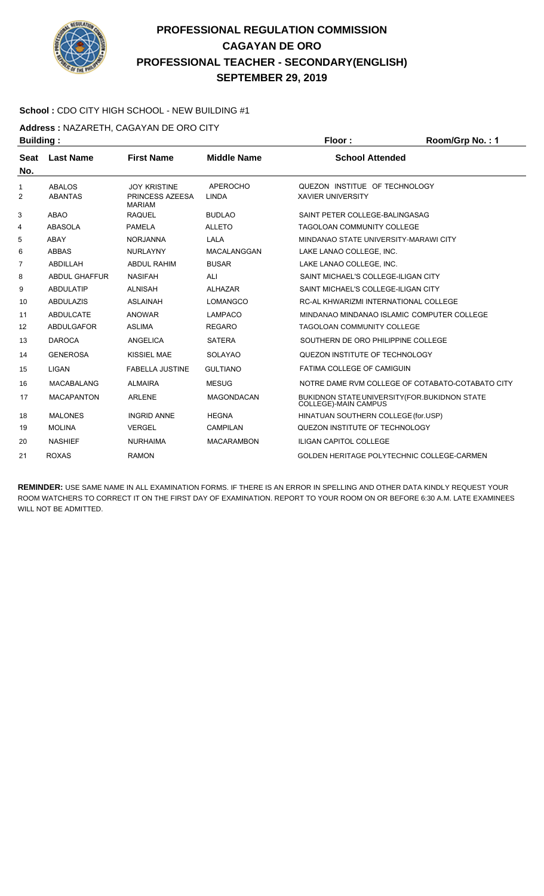

#### **School :** CDO CITY HIGH SCHOOL - NEW BUILDING #1

**Address :** NAZARETH, CAGAYAN DE ORO CITY

|                | <b>Building:</b>     |                                  |                    | Floor:                                                                 | Room/Grp No.: 1                                  |  |
|----------------|----------------------|----------------------------------|--------------------|------------------------------------------------------------------------|--------------------------------------------------|--|
| <b>Seat</b>    | <b>Last Name</b>     | <b>First Name</b>                | <b>Middle Name</b> | <b>School Attended</b>                                                 |                                                  |  |
| No.            |                      |                                  |                    |                                                                        |                                                  |  |
| 1              | <b>ABALOS</b>        | <b>JOY KRISTINE</b>              | <b>APEROCHO</b>    | QUEZON INSTITUE OF TECHNOLOGY                                          |                                                  |  |
| $\overline{2}$ | <b>ABANTAS</b>       | PRINCESS AZEESA<br><b>MARIAM</b> | <b>LINDA</b>       | <b>XAVIER UNIVERSITY</b>                                               |                                                  |  |
| 3              | <b>ABAO</b>          | <b>RAQUEL</b>                    | <b>BUDLAO</b>      | SAINT PETER COLLEGE-BALINGASAG                                         |                                                  |  |
| 4              | <b>ABASOLA</b>       | <b>PAMELA</b>                    | <b>ALLETO</b>      | TAGOLOAN COMMUNITY COLLEGE                                             |                                                  |  |
| 5              | <b>ABAY</b>          | <b>NORJANNA</b>                  | <b>LALA</b>        | MINDANAO STATE UNIVERSITY-MARAWI CITY                                  |                                                  |  |
| 6              | <b>ABBAS</b>         | <b>NURLAYNY</b>                  | MACALANGGAN        | LAKE LANAO COLLEGE, INC.                                               |                                                  |  |
| $\overline{7}$ | <b>ABDILLAH</b>      | <b>ABDUL RAHIM</b>               | <b>BUSAR</b>       | LAKE LANAO COLLEGE, INC.                                               |                                                  |  |
| 8              | <b>ABDUL GHAFFUR</b> | <b>NASIFAH</b>                   | <b>ALI</b>         | SAINT MICHAEL'S COLLEGE-ILIGAN CITY                                    |                                                  |  |
| 9              | <b>ABDULATIP</b>     | <b>ALNISAH</b>                   | <b>ALHAZAR</b>     | SAINT MICHAEL'S COLLEGE-ILIGAN CITY                                    |                                                  |  |
| 10             | <b>ABDULAZIS</b>     | <b>ASLAINAH</b>                  | <b>LOMANGCO</b>    | RC-AL KHWARIZMI INTERNATIONAL COLLEGE                                  |                                                  |  |
| 11             | <b>ABDULCATE</b>     | <b>ANOWAR</b>                    | <b>LAMPACO</b>     | MINDANAO MINDANAO ISLAMIC COMPUTER COLLEGE                             |                                                  |  |
| 12             | <b>ABDULGAFOR</b>    | <b>ASLIMA</b>                    | <b>REGARO</b>      | <b>TAGOLOAN COMMUNITY COLLEGE</b>                                      |                                                  |  |
| 13             | <b>DAROCA</b>        | ANGELICA                         | <b>SATERA</b>      | SOUTHERN DE ORO PHILIPPINE COLLEGE                                     |                                                  |  |
| 14             | <b>GENEROSA</b>      | KISSIEL MAE                      | <b>SOLAYAO</b>     | QUEZON INSTITUTE OF TECHNOLOGY                                         |                                                  |  |
| 15             | <b>LIGAN</b>         | <b>FABELLA JUSTINE</b>           | <b>GULTIANO</b>    | <b>FATIMA COLLEGE OF CAMIGUIN</b>                                      |                                                  |  |
| 16             | <b>MACABALANG</b>    | <b>ALMAIRA</b>                   | <b>MESUG</b>       |                                                                        | NOTRE DAME RVM COLLEGE OF COTABATO-COTABATO CITY |  |
| 17             | <b>MACAPANTON</b>    | <b>ARLENE</b>                    | <b>MAGONDACAN</b>  | BUKIDNON STATE UNIVERSITY (FOR. BUKIDNON STATE<br>COLLEGE)-MAIN CAMPUS |                                                  |  |
| 18             | <b>MALONES</b>       | <b>INGRID ANNE</b>               | <b>HEGNA</b>       | HINATUAN SOUTHERN COLLEGE (for.USP)                                    |                                                  |  |
| 19             | <b>MOLINA</b>        | <b>VERGEL</b>                    | <b>CAMPILAN</b>    | QUEZON INSTITUTE OF TECHNOLOGY                                         |                                                  |  |
| 20             | <b>NASHIEF</b>       | <b>NURHAIMA</b>                  | <b>MACARAMBON</b>  | <b>ILIGAN CAPITOL COLLEGE</b>                                          |                                                  |  |
| 21             | <b>ROXAS</b>         | <b>RAMON</b>                     |                    | GOLDEN HERITAGE POLYTECHNIC COLLEGE-CARMEN                             |                                                  |  |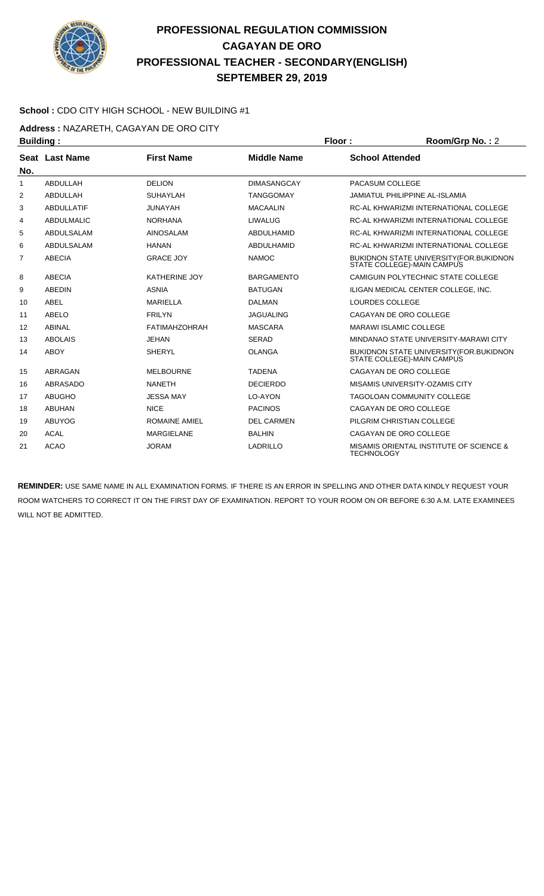

#### **School :** CDO CITY HIGH SCHOOL - NEW BUILDING #1

**Address :** NAZARETH, CAGAYAN DE ORO CITY

| <b>Building:</b> |                   |                      | Floor:             | Room/Grp No.: 2               |                                                                                |
|------------------|-------------------|----------------------|--------------------|-------------------------------|--------------------------------------------------------------------------------|
|                  | Seat Last Name    | <b>First Name</b>    | <b>Middle Name</b> | <b>School Attended</b>        |                                                                                |
| No.              |                   |                      |                    |                               |                                                                                |
| $\mathbf{1}$     | <b>ABDULLAH</b>   | <b>DELION</b>        | <b>DIMASANGCAY</b> | PACASUM COLLEGE               |                                                                                |
| 2                | ABDULLAH          | <b>SUHAYLAH</b>      | <b>TANGGOMAY</b>   |                               | <b>JAMIATUL PHILIPPINE AL-ISLAMIA</b>                                          |
| 3                | <b>ABDULLATIF</b> | <b>JUNAYAH</b>       | <b>MACAALIN</b>    |                               | RC-AL KHWARIZMI INTERNATIONAL COLLEGE                                          |
| 4                | <b>ABDULMALIC</b> | <b>NORHANA</b>       | <b>LIWALUG</b>     |                               | RC-AL KHWARIZMI INTERNATIONAL COLLEGE                                          |
| 5                | <b>ABDULSALAM</b> | <b>AINOSALAM</b>     | <b>ABDULHAMID</b>  |                               | RC-AL KHWARIZMI INTERNATIONAL COLLEGE                                          |
| 6                | <b>ABDULSALAM</b> | <b>HANAN</b>         | ABDULHAMID         |                               | RC-AL KHWARIZMI INTERNATIONAL COLLEGE                                          |
| 7                | <b>ABECIA</b>     | <b>GRACE JOY</b>     | <b>NAMOC</b>       |                               | <b>BUKIDNON STATE UNIVERSITY (FOR. BUKIDNON)</b><br>STATE COLLEGE)-MAIN CAMPUS |
| 8                | <b>ABECIA</b>     | KATHERINE JOY        | <b>BARGAMENTO</b>  |                               | CAMIGUIN POLYTECHNIC STATE COLLEGE                                             |
| 9                | <b>ABEDIN</b>     | <b>ASNIA</b>         | <b>BATUGAN</b>     |                               | ILIGAN MEDICAL CENTER COLLEGE, INC.                                            |
| 10               | <b>ABEL</b>       | <b>MARIELLA</b>      | <b>DALMAN</b>      | <b>LOURDES COLLEGE</b>        |                                                                                |
| 11               | ABELO             | <b>FRILYN</b>        | <b>JAGUALING</b>   |                               | CAGAYAN DE ORO COLLEGE                                                         |
| 12               | <b>ABINAL</b>     | <b>FATIMAHZOHRAH</b> | <b>MASCARA</b>     | <b>MARAWI ISLAMIC COLLEGE</b> |                                                                                |
| 13               | <b>ABOLAIS</b>    | <b>JEHAN</b>         | <b>SERAD</b>       |                               | MINDANAO STATE UNIVERSITY-MARAWI CITY                                          |
| 14               | <b>ABOY</b>       | <b>SHERYL</b>        | <b>OLANGA</b>      |                               | <b>BUKIDNON STATE UNIVERSITY (FOR. BUKIDNON)</b><br>STATE COLLEGE)-MAIN CAMPUS |
| 15               | ABRAGAN           | <b>MELBOURNE</b>     | <b>TADENA</b>      |                               | CAGAYAN DE ORO COLLEGE                                                         |
| 16               | ABRASADO          | <b>NANETH</b>        | <b>DECIERDO</b>    |                               | MISAMIS UNIVERSITY-OZAMIS CITY                                                 |
| 17               | <b>ABUGHO</b>     | <b>JESSA MAY</b>     | LO-AYON            |                               | <b>TAGOLOAN COMMUNITY COLLEGE</b>                                              |
| 18               | <b>ABUHAN</b>     | <b>NICE</b>          | <b>PACINOS</b>     |                               | CAGAYAN DE ORO COLLEGE                                                         |
| 19               | <b>ABUYOG</b>     | <b>ROMAINE AMIEL</b> | <b>DEL CARMEN</b>  |                               | PILGRIM CHRISTIAN COLLEGE                                                      |
| 20               | <b>ACAL</b>       | <b>MARGIELANE</b>    | <b>BALHIN</b>      |                               | CAGAYAN DE ORO COLLEGE                                                         |
| 21               | <b>ACAO</b>       | <b>JORAM</b>         | <b>LADRILLO</b>    | <b>TECHNOLOGY</b>             | MISAMIS ORIENTAL INSTITUTE OF SCIENCE &                                        |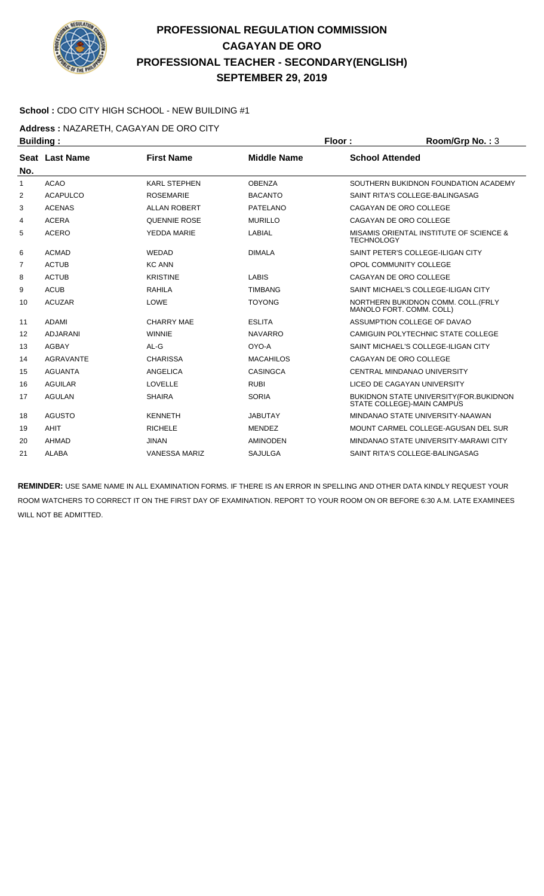

#### **School :** CDO CITY HIGH SCHOOL - NEW BUILDING #1

**Address :** NAZARETH, CAGAYAN DE ORO CITY

| <b>Building:</b> |                       |                      |                    | Floor:                            | Room/Grp No.: 3                         |
|------------------|-----------------------|----------------------|--------------------|-----------------------------------|-----------------------------------------|
| No.              | <b>Seat Last Name</b> | <b>First Name</b>    | <b>Middle Name</b> | <b>School Attended</b>            |                                         |
| 1                | <b>ACAO</b>           | <b>KARL STEPHEN</b>  | <b>OBENZA</b>      |                                   | SOUTHERN BUKIDNON FOUNDATION ACADEMY    |
| 2                | <b>ACAPULCO</b>       | <b>ROSEMARIE</b>     | <b>BACANTO</b>     | SAINT RITA'S COLLEGE-BALINGASAG   |                                         |
| 3                | <b>ACENAS</b>         | <b>ALLAN ROBERT</b>  | <b>PATELANO</b>    | CAGAYAN DE ORO COLLEGE            |                                         |
| 4                | <b>ACERA</b>          | <b>QUENNIE ROSE</b>  | <b>MURILLO</b>     | CAGAYAN DE ORO COLLEGE            |                                         |
| 5                | <b>ACERO</b>          | YEDDA MARIE          | LABIAL             | <b>TECHNOLOGY</b>                 | MISAMIS ORIENTAL INSTITUTE OF SCIENCE & |
| 6                | <b>ACMAD</b>          | <b>WEDAD</b>         | <b>DIMALA</b>      | SAINT PETER'S COLLEGE-ILIGAN CITY |                                         |
| 7                | <b>ACTUB</b>          | <b>KC ANN</b>        |                    | OPOL COMMUNITY COLLEGE            |                                         |
| 8                | <b>ACTUB</b>          | <b>KRISTINE</b>      | <b>LABIS</b>       | CAGAYAN DE ORO COLLEGE            |                                         |
| 9                | <b>ACUB</b>           | <b>RAHILA</b>        | <b>TIMBANG</b>     |                                   | SAINT MICHAEL'S COLLEGE-ILIGAN CITY     |
| 10               | <b>ACUZAR</b>         | LOWE                 | <b>TOYONG</b>      | MANOLO FORT. COMM. COLL)          | NORTHERN BUKIDNON COMM. COLL.(FRLY      |
| 11               | <b>ADAMI</b>          | <b>CHARRY MAE</b>    | <b>ESLITA</b>      | ASSUMPTION COLLEGE OF DAVAO       |                                         |
| 12               | <b>ADJARANI</b>       | <b>WINNIE</b>        | <b>NAVARRO</b>     |                                   | CAMIGUIN POLYTECHNIC STATE COLLEGE      |
| 13               | <b>AGBAY</b>          | AL-G                 | OYO-A              |                                   | SAINT MICHAEL'S COLLEGE-ILIGAN CITY     |
| 14               | <b>AGRAVANTE</b>      | <b>CHARISSA</b>      | <b>MACAHILOS</b>   | CAGAYAN DE ORO COLLEGE            |                                         |
| 15               | <b>AGUANTA</b>        | <b>ANGELICA</b>      | <b>CASINGCA</b>    | CENTRAL MINDANAO UNIVERSITY       |                                         |
| 16               | <b>AGUILAR</b>        | <b>LOVELLE</b>       | <b>RUBI</b>        | LICEO DE CAGAYAN UNIVERSITY       |                                         |
| 17               | <b>AGULAN</b>         | <b>SHAIRA</b>        | <b>SORIA</b>       | STATE COLLEGE)-MAIN CAMPUS        | BUKIDNON STATE UNIVERSITY (FOR.BUKIDNON |
| 18               | <b>AGUSTO</b>         | <b>KENNETH</b>       | <b>JABUTAY</b>     |                                   | MINDANAO STATE UNIVERSITY-NAAWAN        |
| 19               | <b>AHIT</b>           | <b>RICHELE</b>       | <b>MENDEZ</b>      |                                   | MOUNT CARMEL COLLEGE-AGUSAN DEL SUR     |
| 20               | <b>AHMAD</b>          | <b>JINAN</b>         | <b>AMINODEN</b>    |                                   | MINDANAO STATE UNIVERSITY-MARAWI CITY   |
| 21               | <b>ALABA</b>          | <b>VANESSA MARIZ</b> | <b>SAJULGA</b>     | SAINT RITA'S COLLEGE-BALINGASAG   |                                         |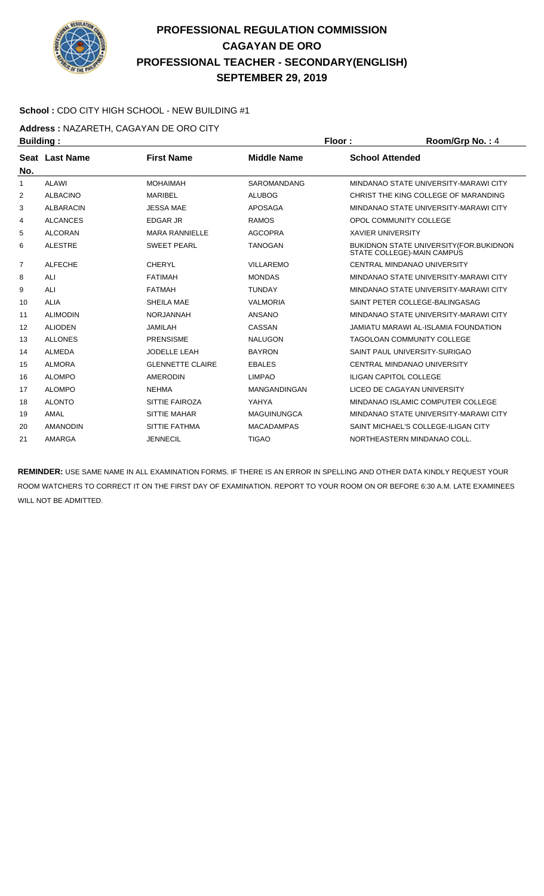

#### **School :** CDO CITY HIGH SCHOOL - NEW BUILDING #1

**Address :** NAZARETH, CAGAYAN DE ORO CITY

| <b>Building:</b> |                  |                         |                     | Floor:                        | Room/Grp No.: 4                                                              |
|------------------|------------------|-------------------------|---------------------|-------------------------------|------------------------------------------------------------------------------|
|                  | Seat Last Name   | <b>First Name</b>       | <b>Middle Name</b>  | <b>School Attended</b>        |                                                                              |
| No.              |                  |                         |                     |                               |                                                                              |
| 1                | <b>ALAWI</b>     | <b>MOHAIMAH</b>         | SAROMANDANG         |                               | MINDANAO STATE UNIVERSITY-MARAWI CITY                                        |
| 2                | <b>ALBACINO</b>  | <b>MARIBEL</b>          | <b>ALUBOG</b>       |                               | CHRIST THE KING COLLEGE OF MARANDING                                         |
| 3                | <b>ALBARACIN</b> | <b>JESSA MAE</b>        | <b>APOSAGA</b>      |                               | MINDANAO STATE UNIVERSITY-MARAWI CITY                                        |
| 4                | <b>ALCANCES</b>  | <b>EDGAR JR</b>         | <b>RAMOS</b>        | OPOL COMMUNITY COLLEGE        |                                                                              |
| 5                | <b>ALCORAN</b>   | <b>MARA RANNIELLE</b>   | <b>AGCOPRA</b>      | <b>XAVIER UNIVERSITY</b>      |                                                                              |
| 6                | <b>ALESTRE</b>   | <b>SWEET PEARL</b>      | <b>TANOGAN</b>      |                               | <b>BUKIDNON STATE UNIVERSITY (FOR.BUKIDNON</b><br>STATE COLLEGE)-MAIN CAMPUS |
| $\overline{7}$   | <b>ALFECHE</b>   | <b>CHERYL</b>           | <b>VILLAREMO</b>    |                               | CENTRAL MINDANAO UNIVERSITY                                                  |
| 8                | ALI              | <b>FATIMAH</b>          | <b>MONDAS</b>       |                               | MINDANAO STATE UNIVERSITY-MARAWI CITY                                        |
| 9                | ALI              | <b>FATMAH</b>           | <b>TUNDAY</b>       |                               | MINDANAO STATE UNIVERSITY-MARAWI CITY                                        |
| 10               | <b>ALIA</b>      | SHEILA MAE              | <b>VALMORIA</b>     |                               | SAINT PETER COLLEGE-BALINGASAG                                               |
| 11               | <b>ALIMODIN</b>  | <b>NORJANNAH</b>        | <b>ANSANO</b>       |                               | MINDANAO STATE UNIVERSITY-MARAWI CITY                                        |
| 12               | <b>ALIODEN</b>   | <b>JAMILAH</b>          | CASSAN              |                               | <b>JAMIATU MARAWI AL-ISLAMIA FOUNDATION</b>                                  |
| 13               | <b>ALLONES</b>   | <b>PRENSISME</b>        | <b>NALUGON</b>      |                               | TAGOLOAN COMMUNITY COLLEGE                                                   |
| 14               | <b>ALMEDA</b>    | <b>JODELLE LEAH</b>     | <b>BAYRON</b>       |                               | SAINT PAUL UNIVERSITY-SURIGAO                                                |
| 15               | <b>ALMORA</b>    | <b>GLENNETTE CLAIRE</b> | <b>EBALES</b>       |                               | CENTRAL MINDANAO UNIVERSITY                                                  |
| 16               | <b>ALOMPO</b>    | <b>AMERODIN</b>         | <b>LIMPAO</b>       | <b>ILIGAN CAPITOL COLLEGE</b> |                                                                              |
| 17               | <b>ALOMPO</b>    | <b>NEHMA</b>            | <b>MANGANDINGAN</b> |                               | LICEO DE CAGAYAN UNIVERSITY                                                  |
| 18               | <b>ALONTO</b>    | SITTIE FAIROZA          | YAHYA               |                               | MINDANAO ISLAMIC COMPUTER COLLEGE                                            |
| 19               | AMAL             | <b>SITTIE MAHAR</b>     | <b>MAGUINUNGCA</b>  |                               | MINDANAO STATE UNIVERSITY-MARAWI CITY                                        |
| 20               | <b>AMANODIN</b>  | SITTIE FATHMA           | <b>MACADAMPAS</b>   |                               | SAINT MICHAEL'S COLLEGE-ILIGAN CITY                                          |
| 21               | AMARGA           | <b>JENNECIL</b>         | <b>TIGAO</b>        |                               | NORTHEASTERN MINDANAO COLL.                                                  |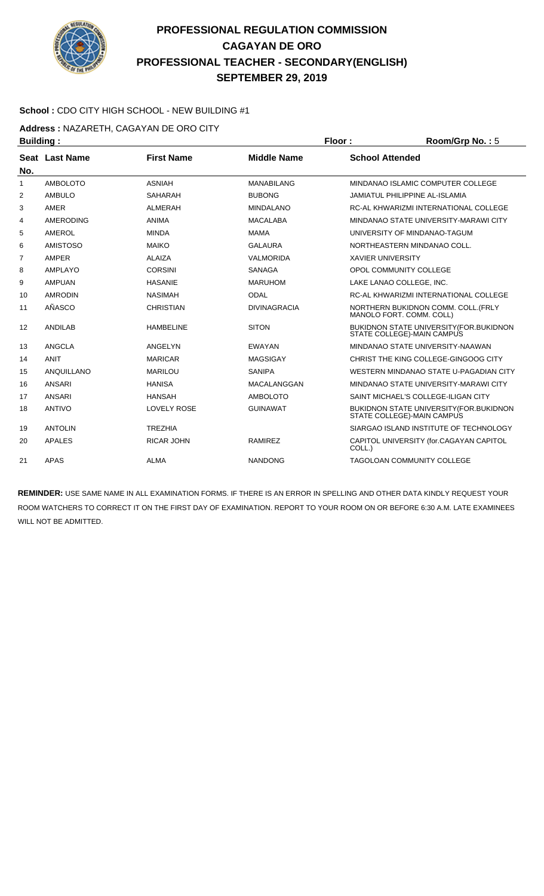

#### **School :** CDO CITY HIGH SCHOOL - NEW BUILDING #1

**Address :** NAZARETH, CAGAYAN DE ORO CITY

| <b>Building:</b><br>Floor: |                       |                    | Room/Grp No.: 5     |                          |                                                                               |
|----------------------------|-----------------------|--------------------|---------------------|--------------------------|-------------------------------------------------------------------------------|
|                            | <b>Seat Last Name</b> | <b>First Name</b>  | <b>Middle Name</b>  | <b>School Attended</b>   |                                                                               |
| No.                        |                       |                    |                     |                          |                                                                               |
| 1                          | <b>AMBOLOTO</b>       | <b>ASNIAH</b>      | <b>MANABILANG</b>   |                          | MINDANAO ISLAMIC COMPUTER COLLEGE                                             |
| $\overline{2}$             | <b>AMBULO</b>         | <b>SAHARAH</b>     | <b>BUBONG</b>       |                          | <b>JAMIATUL PHILIPPINE AL-ISLAMIA</b>                                         |
| 3                          | AMER                  | ALMERAH            | <b>MINDALANO</b>    |                          | RC-AL KHWARIZMI INTERNATIONAL COLLEGE                                         |
| 4                          | <b>AMERODING</b>      | <b>ANIMA</b>       | <b>MACALABA</b>     |                          | MINDANAO STATE UNIVERSITY-MARAWI CITY                                         |
| 5                          | <b>AMEROL</b>         | <b>MINDA</b>       | <b>MAMA</b>         |                          | UNIVERSITY OF MINDANAO-TAGUM                                                  |
| 6                          | <b>AMISTOSO</b>       | <b>MAIKO</b>       | <b>GALAURA</b>      |                          | NORTHEASTERN MINDANAO COLL.                                                   |
| 7                          | AMPER                 | <b>ALAIZA</b>      | <b>VALMORIDA</b>    | <b>XAVIER UNIVERSITY</b> |                                                                               |
| 8                          | AMPLAYO               | <b>CORSINI</b>     | <b>SANAGA</b>       |                          | OPOL COMMUNITY COLLEGE                                                        |
| 9                          | <b>AMPUAN</b>         | <b>HASANIE</b>     | <b>MARUHOM</b>      |                          | LAKE LANAO COLLEGE. INC.                                                      |
| 10                         | <b>AMRODIN</b>        | <b>NASIMAH</b>     | <b>ODAL</b>         |                          | RC-AL KHWARIZMI INTERNATIONAL COLLEGE                                         |
| 11                         | AÑASCO                | <b>CHRISTIAN</b>   | <b>DIVINAGRACIA</b> |                          | NORTHERN BUKIDNON COMM. COLL. (FRLY<br>MANOLO FORT. COMM. COLL)               |
| 12                         | <b>ANDILAB</b>        | <b>HAMBELINE</b>   | <b>SITON</b>        |                          | <b>BUKIDNON STATE UNIVERSITY (FOR.BUKIDNON)</b><br>STATE COLLEGE)-MAIN CAMPUS |
| 13                         | <b>ANGCLA</b>         | ANGELYN            | <b>EWAYAN</b>       |                          | MINDANAO STATE UNIVERSITY-NAAWAN                                              |
| 14                         | <b>ANIT</b>           | <b>MARICAR</b>     | <b>MAGSIGAY</b>     |                          | CHRIST THE KING COLLEGE-GINGOOG CITY                                          |
| 15                         | <b>ANQUILLANO</b>     | <b>MARILOU</b>     | <b>SANIPA</b>       |                          | WESTERN MINDANAO STATE U-PAGADIAN CITY                                        |
| 16                         | <b>ANSARI</b>         | <b>HANISA</b>      | MACALANGGAN         |                          | MINDANAO STATE UNIVERSITY-MARAWI CITY                                         |
| 17                         | ANSARI                | <b>HANSAH</b>      | <b>AMBOLOTO</b>     |                          | SAINT MICHAEL'S COLLEGE-ILIGAN CITY                                           |
| 18                         | <b>ANTIVO</b>         | <b>LOVELY ROSE</b> | <b>GUINAWAT</b>     |                          | <b>BUKIDNON STATE UNIVERSITY (FOR. BUKIDNON</b><br>STATE COLLEGE)-MAIN CAMPUS |
| 19                         | <b>ANTOLIN</b>        | <b>TREZHIA</b>     |                     |                          | SIARGAO ISLAND INSTITUTE OF TECHNOLOGY                                        |
| 20                         | <b>APALES</b>         | <b>RICAR JOHN</b>  | <b>RAMIREZ</b>      | COLL.)                   | CAPITOL UNIVERSITY (for.CAGAYAN CAPITOL                                       |
| 21                         | APAS                  | <b>ALMA</b>        | <b>NANDONG</b>      |                          | <b>TAGOLOAN COMMUNITY COLLEGE</b>                                             |
|                            |                       |                    |                     |                          |                                                                               |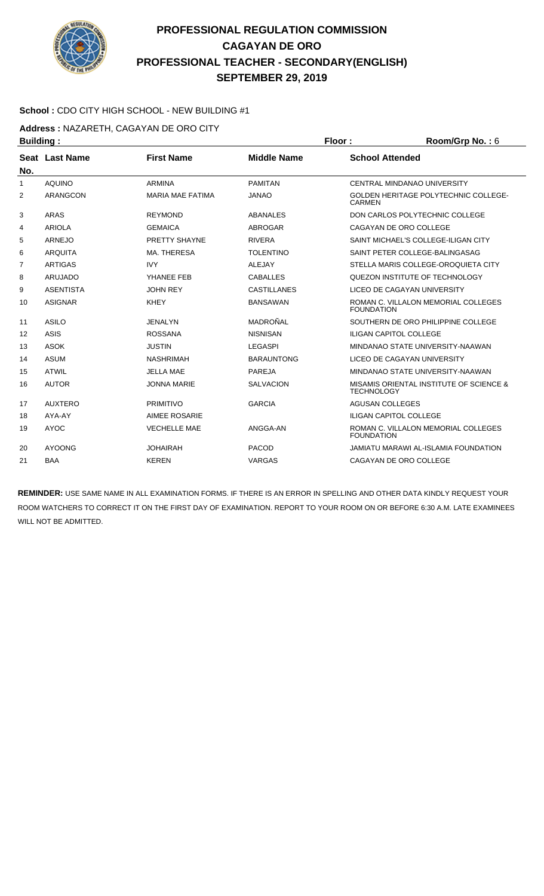

#### **School :** CDO CITY HIGH SCHOOL - NEW BUILDING #1

**Address :** NAZARETH, CAGAYAN DE ORO CITY

| <b>Building:</b> |                  |                         |                    | Floor:                 | Room/Grp No.: 6                             |  |
|------------------|------------------|-------------------------|--------------------|------------------------|---------------------------------------------|--|
|                  | Seat Last Name   | <b>First Name</b>       | <b>Middle Name</b> | <b>School Attended</b> |                                             |  |
| No.              |                  |                         |                    |                        |                                             |  |
| 1                | <b>AQUINO</b>    | <b>ARMINA</b>           | <b>PAMITAN</b>     |                        | CENTRAL MINDANAO UNIVERSITY                 |  |
| 2                | ARANGCON         | <b>MARIA MAE FATIMA</b> | <b>JANAO</b>       | <b>CARMEN</b>          | <b>GOLDEN HERITAGE POLYTECHNIC COLLEGE-</b> |  |
| 3                | <b>ARAS</b>      | <b>REYMOND</b>          | <b>ABANALES</b>    |                        | DON CARLOS POLYTECHNIC COLLEGE              |  |
| 4                | <b>ARIOLA</b>    | <b>GEMAICA</b>          | <b>ABROGAR</b>     |                        | CAGAYAN DE ORO COLLEGE                      |  |
| 5                | <b>ARNEJO</b>    | PRETTY SHAYNE           | <b>RIVERA</b>      |                        | SAINT MICHAEL'S COLLEGE-ILIGAN CITY         |  |
| 6                | <b>ARQUITA</b>   | MA. THERESA             | <b>TOLENTINO</b>   |                        | SAINT PETER COLLEGE-BALINGASAG              |  |
| 7                | <b>ARTIGAS</b>   | <b>IVY</b>              | <b>ALEJAY</b>      |                        | STELLA MARIS COLLEGE-OROQUIETA CITY         |  |
| 8                | <b>ARUJADO</b>   | YHANEE FEB              | <b>CABALLES</b>    |                        | QUEZON INSTITUTE OF TECHNOLOGY              |  |
| 9                | <b>ASENTISTA</b> | <b>JOHN REY</b>         | <b>CASTILLANES</b> |                        | LICEO DE CAGAYAN UNIVERSITY                 |  |
| 10               | <b>ASIGNAR</b>   | <b>KHEY</b>             | <b>BANSAWAN</b>    | <b>FOUNDATION</b>      | ROMAN C. VILLALON MEMORIAL COLLEGES         |  |
| 11               | <b>ASILO</b>     | <b>JENALYN</b>          | MADROÑAL           |                        | SOUTHERN DE ORO PHILIPPINE COLLEGE          |  |
| 12               | <b>ASIS</b>      | <b>ROSSANA</b>          | <b>NISNISAN</b>    |                        | <b>ILIGAN CAPITOL COLLEGE</b>               |  |
| 13               | <b>ASOK</b>      | <b>JUSTIN</b>           | <b>LEGASPI</b>     |                        | MINDANAO STATE UNIVERSITY-NAAWAN            |  |
| 14               | <b>ASUM</b>      | <b>NASHRIMAH</b>        | <b>BARAUNTONG</b>  |                        | LICEO DE CAGAYAN UNIVERSITY                 |  |
| 15               | <b>ATWIL</b>     | <b>JELLA MAE</b>        | PAREJA             |                        | MINDANAO STATE UNIVERSITY-NAAWAN            |  |
| 16               | <b>AUTOR</b>     | <b>JONNA MARIE</b>      | <b>SALVACION</b>   | <b>TECHNOLOGY</b>      | MISAMIS ORIENTAL INSTITUTE OF SCIENCE &     |  |
| 17               | <b>AUXTERO</b>   | <b>PRIMITIVO</b>        | <b>GARCIA</b>      | <b>AGUSAN COLLEGES</b> |                                             |  |
| 18               | AYA-AY           | <b>AIMEE ROSARIE</b>    |                    |                        | <b>ILIGAN CAPITOL COLLEGE</b>               |  |
| 19               | <b>AYOC</b>      | <b>VECHELLE MAE</b>     | ANGGA-AN           | <b>FOUNDATION</b>      | ROMAN C. VILLALON MEMORIAL COLLEGES         |  |
| 20               | <b>AYOONG</b>    | <b>JOHAIRAH</b>         | <b>PACOD</b>       |                        | <b>JAMIATU MARAWI AL-ISLAMIA FOUNDATION</b> |  |
| 21               | <b>BAA</b>       | <b>KEREN</b>            | <b>VARGAS</b>      |                        | CAGAYAN DE ORO COLLEGE                      |  |
|                  |                  |                         |                    |                        |                                             |  |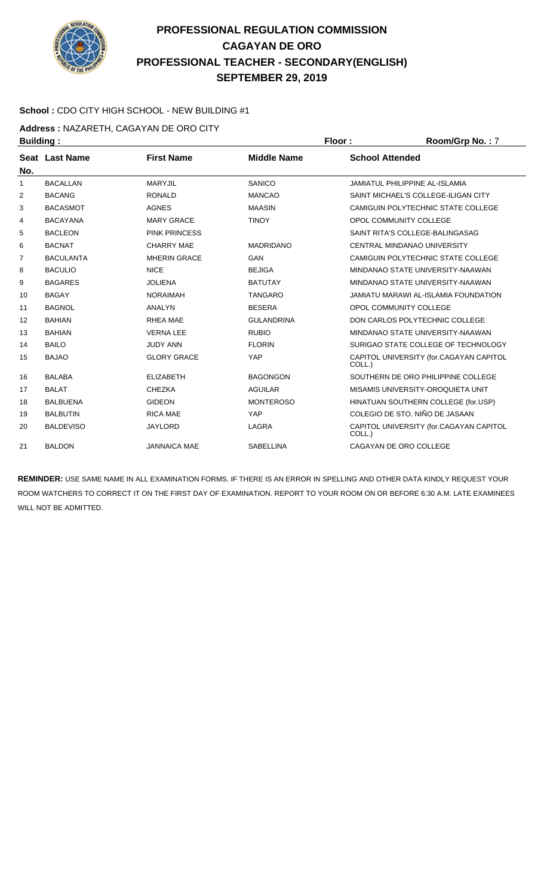

#### **School :** CDO CITY HIGH SCHOOL - NEW BUILDING #1

**Address :** NAZARETH, CAGAYAN DE ORO CITY

| <b>Building:</b> |                                                     |                                                 |                                                 | Room/Grp No.: 7                         |
|------------------|-----------------------------------------------------|-------------------------------------------------|-------------------------------------------------|-----------------------------------------|
| Seat Last Name   | <b>First Name</b>                                   | <b>Middle Name</b>                              | <b>School Attended</b>                          |                                         |
|                  |                                                     |                                                 |                                                 | <b>JAMIATUL PHILIPPINE AL-ISLAMIA</b>   |
|                  |                                                     |                                                 |                                                 | SAINT MICHAEL'S COLLEGE-ILIGAN CITY     |
|                  |                                                     |                                                 |                                                 | CAMIGUIN POLYTECHNIC STATE COLLEGE      |
| <b>BACAYANA</b>  | <b>MARY GRACE</b>                                   | <b>TINOY</b>                                    |                                                 | OPOL COMMUNITY COLLEGE                  |
| <b>BACLEON</b>   | <b>PINK PRINCESS</b>                                |                                                 |                                                 | SAINT RITA'S COLLEGE-BALINGASAG         |
| <b>BACNAT</b>    | <b>CHARRY MAE</b>                                   | <b>MADRIDANO</b>                                |                                                 | CENTRAL MINDANAO UNIVERSITY             |
| <b>BACULANTA</b> | <b>MHERIN GRACE</b>                                 | <b>GAN</b>                                      |                                                 | CAMIGUIN POLYTECHNIC STATE COLLEGE      |
| <b>BACULIO</b>   | <b>NICE</b>                                         | <b>BEJIGA</b>                                   |                                                 | MINDANAO STATE UNIVERSITY-NAAWAN        |
| <b>BAGARES</b>   | <b>JOLIENA</b>                                      | <b>BATUTAY</b>                                  |                                                 | MINDANAO STATE UNIVERSITY-NAAWAN        |
| <b>BAGAY</b>     | <b>NORAIMAH</b>                                     | <b>TANGARO</b>                                  |                                                 | JAMIATU MARAWI AL-ISLAMIA FOUNDATION    |
| <b>BAGNOL</b>    | <b>ANALYN</b>                                       | <b>BESERA</b>                                   |                                                 | OPOL COMMUNITY COLLEGE                  |
| <b>BAHIAN</b>    | RHEA MAE                                            | <b>GULANDRINA</b>                               |                                                 | DON CARLOS POLYTECHNIC COLLEGE          |
| <b>BAHIAN</b>    | <b>VERNA LEE</b>                                    | <b>RUBIO</b>                                    |                                                 | MINDANAO STATE UNIVERSITY-NAAWAN        |
| <b>BAILO</b>     | <b>JUDY ANN</b>                                     | <b>FLORIN</b>                                   |                                                 | SURIGAO STATE COLLEGE OF TECHNOLOGY     |
| <b>BAJAO</b>     | <b>GLORY GRACE</b>                                  | YAP                                             | COLL.)                                          | CAPITOL UNIVERSITY (for.CAGAYAN CAPITOL |
| <b>BALABA</b>    | <b>ELIZABETH</b>                                    | <b>BAGONGON</b>                                 |                                                 | SOUTHERN DE ORO PHILIPPINE COLLEGE      |
| <b>BALAT</b>     | <b>CHEZKA</b>                                       | <b>AGUILAR</b>                                  |                                                 | MISAMIS UNIVERSITY-OROQUIETA UNIT       |
| <b>BALBUENA</b>  | <b>GIDEON</b>                                       | <b>MONTEROSO</b>                                |                                                 | HINATUAN SOUTHERN COLLEGE (for.USP)     |
| <b>BALBUTIN</b>  | <b>RICA MAE</b>                                     | YAP                                             |                                                 | COLEGIO DE STO. NIÑO DE JASAAN          |
| <b>BALDEVISO</b> | <b>JAYLORD</b>                                      | LAGRA                                           | COLL.)                                          | CAPITOL UNIVERSITY (for.CAGAYAN CAPITOL |
| <b>BALDON</b>    | <b>JANNAICA MAE</b>                                 | <b>SABELLINA</b>                                |                                                 | CAGAYAN DE ORO COLLEGE                  |
|                  | <b>BACALLAN</b><br><b>BACANG</b><br><b>BACASMOT</b> | <b>MARYJIL</b><br><b>RONALD</b><br><b>AGNES</b> | <b>SANICO</b><br><b>MANCAO</b><br><b>MAASIN</b> | Floor:                                  |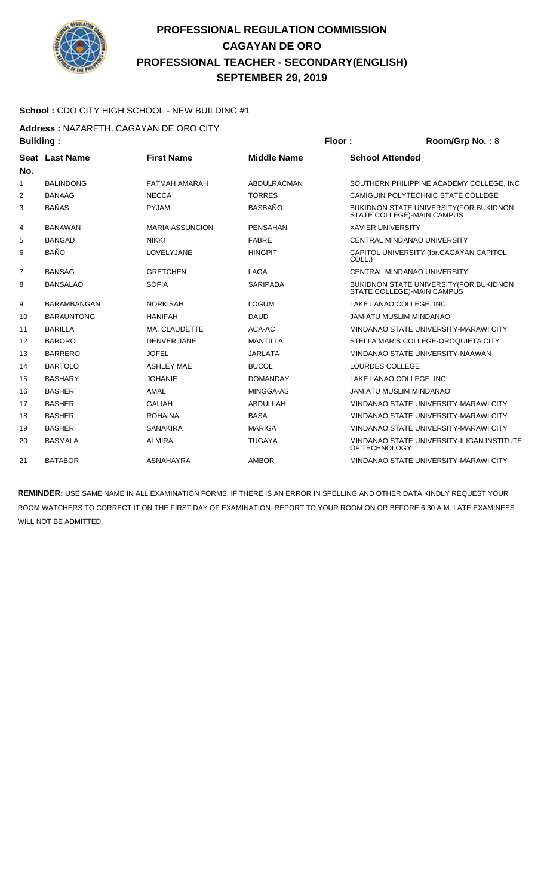

#### **School :** CDO CITY HIGH SCHOOL - NEW BUILDING #1

**Address :** NAZARETH, CAGAYAN DE ORO CITY

| <b>Building:</b> |                    |                        | Floor:<br>Room/Grp No.: 8 |                          |                                                                                |
|------------------|--------------------|------------------------|---------------------------|--------------------------|--------------------------------------------------------------------------------|
|                  | Seat Last Name     | <b>First Name</b>      | <b>Middle Name</b>        | <b>School Attended</b>   |                                                                                |
| No.              |                    |                        |                           |                          |                                                                                |
| 1                | <b>BALINDONG</b>   | <b>FATMAH AMARAH</b>   | ABDULRACMAN               |                          | SOUTHERN PHILIPPINE ACADEMY COLLEGE. INC                                       |
| $\overline{2}$   | <b>BANAAG</b>      | <b>NECCA</b>           | <b>TORRES</b>             |                          | CAMIGUIN POLYTECHNIC STATE COLLEGE                                             |
| 3                | <b>BAÑAS</b>       | <b>PYJAM</b>           | <b>BASBAÑO</b>            |                          | <b>BUKIDNON STATE UNIVERSITY (FOR. BUKIDNON)</b><br>STATE COLLEGE)-MAIN CAMPUS |
| 4                | <b>BANAWAN</b>     | <b>MARIA ASSUNCION</b> | <b>PENSAHAN</b>           | <b>XAVIER UNIVERSITY</b> |                                                                                |
| 5                | <b>BANGAD</b>      | <b>NIKKI</b>           | <b>FABRE</b>              |                          | CENTRAL MINDANAO UNIVERSITY                                                    |
| 6                | <b>BAÑO</b>        | LOVELYJANE             | <b>HINGPIT</b>            | COLL.)                   | CAPITOL UNIVERSITY (for.CAGAYAN CAPITOL                                        |
| $\overline{7}$   | <b>BANSAG</b>      | <b>GRETCHEN</b>        | LAGA                      |                          | CENTRAL MINDANAO UNIVERSITY                                                    |
| 8                | <b>BANSALAO</b>    | <b>SOFIA</b>           | <b>SARIPADA</b>           |                          | BUKIDNON STATE UNIVERSITY (FOR.BUKIDNON<br>STATE COLLEGE)-MAIN CAMPUS          |
| 9                | <b>BARAMBANGAN</b> | <b>NORKISAH</b>        | <b>LOGUM</b>              |                          | LAKE LANAO COLLEGE, INC.                                                       |
| 10               | <b>BARAUNTONG</b>  | <b>HANIFAH</b>         | <b>DAUD</b>               |                          | <b>JAMIATU MUSLIM MINDANAO</b>                                                 |
| 11               | <b>BARILLA</b>     | MA. CLAUDETTE          | ACA-AC                    |                          | MINDANAO STATE UNIVERSITY-MARAWI CITY                                          |
| 12               | <b>BARORO</b>      | <b>DENVER JANE</b>     | <b>MANTILLA</b>           |                          | STELLA MARIS COLLEGE-OROQUIETA CITY                                            |
| 13               | <b>BARRERO</b>     | <b>JOFEL</b>           | <b>JARLATA</b>            |                          | MINDANAO STATE UNIVERSITY-NAAWAN                                               |
| 14               | <b>BARTOLO</b>     | <b>ASHLEY MAE</b>      | <b>BUCOL</b>              | LOURDES COLLEGE          |                                                                                |
| 15               | <b>BASHARY</b>     | <b>JOHANIE</b>         | <b>DOMANDAY</b>           |                          | LAKE LANAO COLLEGE. INC.                                                       |
| 16               | <b>BASHER</b>      | AMAL                   | MINGGA-AS                 |                          | <b>JAMIATU MUSLIM MINDANAO</b>                                                 |
| 17               | <b>BASHER</b>      | <b>GALIAH</b>          | ABDULLAH                  |                          | MINDANAO STATE UNIVERSITY-MARAWI CITY                                          |
| 18               | <b>BASHER</b>      | <b>ROHAINA</b>         | <b>BASA</b>               |                          | MINDANAO STATE UNIVERSITY-MARAWI CITY                                          |
| 19               | <b>BASHER</b>      | <b>SANAKIRA</b>        | <b>MARIGA</b>             |                          | MINDANAO STATE UNIVERSITY-MARAWI CITY                                          |
| 20               | <b>BASMALA</b>     | <b>ALMIRA</b>          | <b>TUGAYA</b>             | OF TECHNOLOGY            | MINDANAO STATE UNIVERSITY-ILIGAN INSTITUTE                                     |
| 21               | <b>BATABOR</b>     | <b>ASNAHAYRA</b>       | <b>AMBOR</b>              |                          | MINDANAO STATE UNIVERSITY-MARAWI CITY                                          |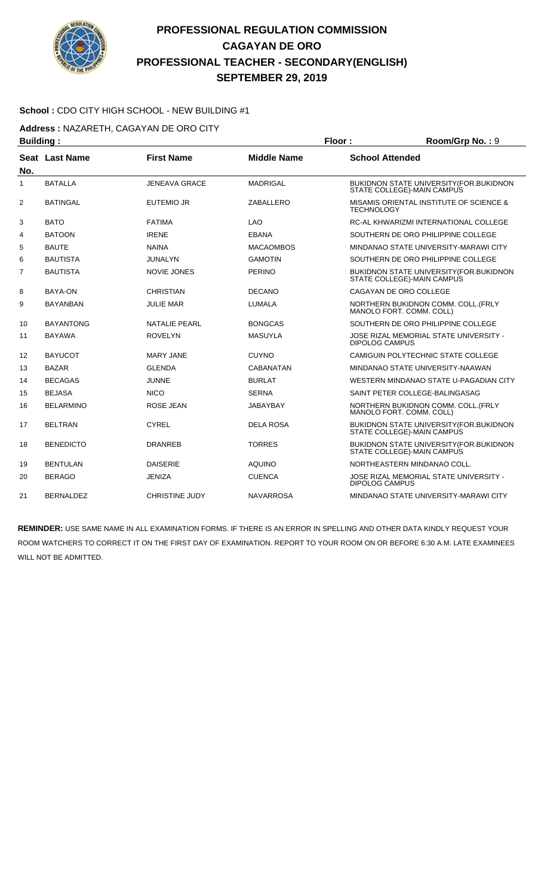

#### **School :** CDO CITY HIGH SCHOOL - NEW BUILDING #1

**Address :** NAZARETH, CAGAYAN DE ORO CITY

| Floor:<br><b>Building:</b> |                  |                       | Room/Grp No.: 9    |                        |                                                                                |
|----------------------------|------------------|-----------------------|--------------------|------------------------|--------------------------------------------------------------------------------|
| No.                        | Seat Last Name   | <b>First Name</b>     | <b>Middle Name</b> | <b>School Attended</b> |                                                                                |
| 1                          | <b>BATALLA</b>   | <b>JENEAVA GRACE</b>  | <b>MADRIGAL</b>    |                        | BUKIDNON STATE UNIVERSITY (FOR.BUKIDNON<br>STATE COLLEGE)-MAIN CAMPUS          |
| 2                          | <b>BATINGAL</b>  | <b>EUTEMIO JR</b>     | ZABALLERO          | <b>TECHNOLOGY</b>      | MISAMIS ORIENTAL INSTITUTE OF SCIENCE &                                        |
| 3                          | <b>BATO</b>      | <b>FATIMA</b>         | <b>LAO</b>         |                        | RC-AL KHWARIZMI INTERNATIONAL COLLEGE                                          |
| 4                          | <b>BATOON</b>    | <b>IRENE</b>          | <b>EBANA</b>       |                        | SOUTHERN DE ORO PHILIPPINE COLLEGE                                             |
| 5                          | <b>BAUTE</b>     | <b>NAINA</b>          | <b>MACAOMBOS</b>   |                        | MINDANAO STATE UNIVERSITY-MARAWI CITY                                          |
| 6                          | <b>BAUTISTA</b>  | JUNALYN               | <b>GAMOTIN</b>     |                        | SOUTHERN DE ORO PHILIPPINE COLLEGE                                             |
| 7                          | <b>BAUTISTA</b>  | <b>NOVIE JONES</b>    | <b>PERINO</b>      |                        | BUKIDNON STATE UNIVERSITY (FOR.BUKIDNON<br>STATE COLLEGE)-MAIN CAMPUS          |
| 8                          | BAYA-ON          | <b>CHRISTIAN</b>      | <b>DECANO</b>      |                        | CAGAYAN DE ORO COLLEGE                                                         |
| 9                          | <b>BAYANBAN</b>  | <b>JULIE MAR</b>      | <b>LUMALA</b>      |                        | NORTHERN BUKIDNON COMM. COLL. (FRLY<br>MANOLO FORT. COMM. COLL)                |
| 10                         | <b>BAYANTONG</b> | <b>NATALIE PEARL</b>  | <b>BONGCAS</b>     |                        | SOUTHERN DE ORO PHILIPPINE COLLEGE                                             |
| 11                         | <b>BAYAWA</b>    | <b>ROVELYN</b>        | <b>MASUYLA</b>     | <b>DIPOLOG CAMPUS</b>  | JOSE RIZAL MEMORIAL STATE UNIVERSITY -                                         |
| 12                         | <b>BAYUCOT</b>   | <b>MARY JANE</b>      | <b>CUYNO</b>       |                        | CAMIGUIN POLYTECHNIC STATE COLLEGE                                             |
| 13                         | <b>BAZAR</b>     | <b>GLENDA</b>         | <b>CABANATAN</b>   |                        | MINDANAO STATE UNIVERSITY-NAAWAN                                               |
| 14                         | <b>BECAGAS</b>   | <b>JUNNE</b>          | <b>BURLAT</b>      |                        | WESTERN MINDANAO STATE U-PAGADIAN CITY                                         |
| 15                         | <b>BEJASA</b>    | <b>NICO</b>           | <b>SERNA</b>       |                        | SAINT PETER COLLEGE-BALINGASAG                                                 |
| 16                         | <b>BELARMINO</b> | <b>ROSE JEAN</b>      | <b>JABAYBAY</b>    |                        | NORTHERN BUKIDNON COMM. COLL. (FRLY<br>MANOLO FORT. COMM. COLL)                |
| 17                         | <b>BELTRAN</b>   | <b>CYREL</b>          | <b>DELA ROSA</b>   |                        | <b>BUKIDNON STATE UNIVERSITY (FOR. BUKIDNON)</b><br>STATE COLLEGE)-MAIN CAMPUS |
| 18                         | <b>BENEDICTO</b> | <b>DRANREB</b>        | <b>TORRES</b>      |                        | <b>BUKIDNON STATE UNIVERSITY (FOR. BUKIDNON)</b><br>STATE COLLEGE)-MAIN CAMPUS |
| 19                         | <b>BENTULAN</b>  | <b>DAISERIE</b>       | <b>AQUINO</b>      |                        | NORTHEASTERN MINDANAO COLL.                                                    |
| 20                         | <b>BERAGO</b>    | <b>JENIZA</b>         | <b>CUENCA</b>      | <b>DIPOLOG CAMPUS</b>  | JOSE RIZAL MEMORIAL STATE UNIVERSITY -                                         |
| 21                         | <b>BERNALDEZ</b> | <b>CHRISTINE JUDY</b> | <b>NAVARROSA</b>   |                        | MINDANAO STATE UNIVERSITY-MARAWI CITY                                          |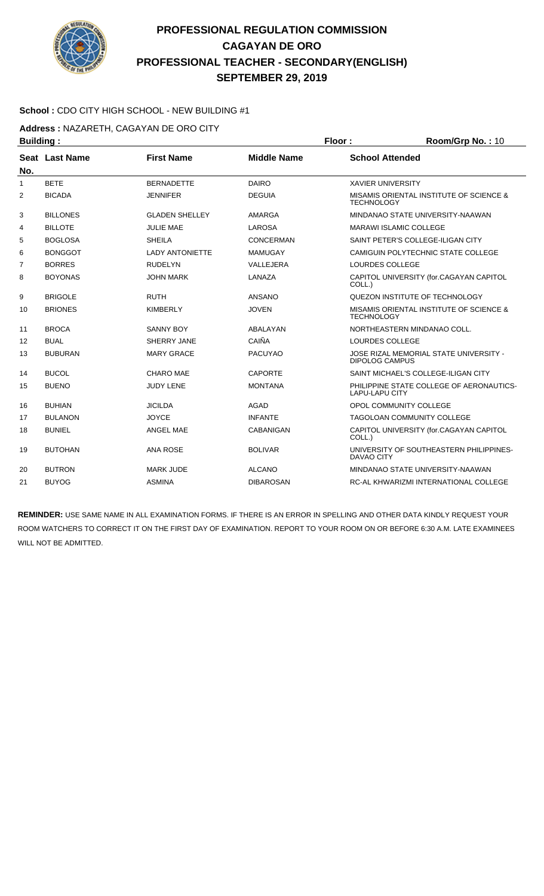

#### **School :** CDO CITY HIGH SCHOOL - NEW BUILDING #1

Address : NAZARETH, CAGAYAN DE ORO CITY

| <b>Building:</b> |                 |                        |                    | Floor:                   | Room/Grp No.: 10                         |
|------------------|-----------------|------------------------|--------------------|--------------------------|------------------------------------------|
|                  | Seat Last Name  | <b>First Name</b>      | <b>Middle Name</b> | <b>School Attended</b>   |                                          |
| No.              |                 |                        |                    |                          |                                          |
| $\mathbf{1}$     | <b>BETE</b>     | <b>BERNADETTE</b>      | <b>DAIRO</b>       | <b>XAVIER UNIVERSITY</b> |                                          |
| 2                | <b>BICADA</b>   | <b>JENNIFER</b>        | <b>DEGUIA</b>      | <b>TECHNOLOGY</b>        | MISAMIS ORIENTAL INSTITUTE OF SCIENCE &  |
| 3                | <b>BILLONES</b> | <b>GLADEN SHELLEY</b>  | AMARGA             |                          | MINDANAO STATE UNIVERSITY-NAAWAN         |
| 4                | <b>BILLOTE</b>  | <b>JULIE MAE</b>       | <b>LAROSA</b>      |                          | <b>MARAWI ISLAMIC COLLEGE</b>            |
| 5                | <b>BOGLOSA</b>  | <b>SHEILA</b>          | CONCERMAN          |                          | SAINT PETER'S COLLEGE-ILIGAN CITY        |
| 6                | <b>BONGGOT</b>  | <b>LADY ANTONIETTE</b> | <b>MAMUGAY</b>     |                          | CAMIGUIN POLYTECHNIC STATE COLLEGE       |
| $\overline{7}$   | <b>BORRES</b>   | <b>RUDELYN</b>         | VALLEJERA          | LOURDES COLLEGE          |                                          |
| 8                | <b>BOYONAS</b>  | <b>JOHN MARK</b>       | LANAZA             | COLL.)                   | CAPITOL UNIVERSITY (for.CAGAYAN CAPITOL  |
| 9                | <b>BRIGOLE</b>  | <b>RUTH</b>            | <b>ANSANO</b>      |                          | QUEZON INSTITUTE OF TECHNOLOGY           |
| 10               | <b>BRIONES</b>  | <b>KIMBERLY</b>        | <b>JOVEN</b>       | <b>TECHNOLOGY</b>        | MISAMIS ORIENTAL INSTITUTE OF SCIENCE &  |
| 11               | <b>BROCA</b>    | <b>SANNY BOY</b>       | ABALAYAN           |                          | NORTHEASTERN MINDANAO COLL.              |
| 12               | <b>BUAL</b>     | SHERRY JANE            | CAIÑA              | LOURDES COLLEGE          |                                          |
| 13               | <b>BUBURAN</b>  | <b>MARY GRACE</b>      | <b>PACUYAO</b>     | <b>DIPOLOG CAMPUS</b>    | JOSE RIZAL MEMORIAL STATE UNIVERSITY -   |
| 14               | <b>BUCOL</b>    | <b>CHARO MAE</b>       | <b>CAPORTE</b>     |                          | SAINT MICHAEL'S COLLEGE-ILIGAN CITY      |
| 15               | <b>BUENO</b>    | <b>JUDY LENE</b>       | <b>MONTANA</b>     | <b>LAPU-LAPU CITY</b>    | PHILIPPINE STATE COLLEGE OF AERONAUTICS- |
| 16               | <b>BUHIAN</b>   | <b>JICILDA</b>         | <b>AGAD</b>        |                          | OPOL COMMUNITY COLLEGE                   |
| 17               | <b>BULANON</b>  | <b>JOYCE</b>           | <b>INFANTE</b>     |                          | <b>TAGOLOAN COMMUNITY COLLEGE</b>        |
| 18               | <b>BUNIEL</b>   | ANGEL MAE              | <b>CABANIGAN</b>   | COLL.)                   | CAPITOL UNIVERSITY (for.CAGAYAN CAPITOL  |
| 19               | <b>BUTOHAN</b>  | <b>ANA ROSE</b>        | <b>BOLIVAR</b>     | DAVAO CITY               | UNIVERSITY OF SOUTHEASTERN PHILIPPINES-  |
| 20               | <b>BUTRON</b>   | <b>MARK JUDE</b>       | <b>ALCANO</b>      |                          | MINDANAO STATE UNIVERSITY-NAAWAN         |
| 21               | <b>BUYOG</b>    | <b>ASMINA</b>          | <b>DIBAROSAN</b>   |                          | RC-AL KHWARIZMI INTERNATIONAL COLLEGE    |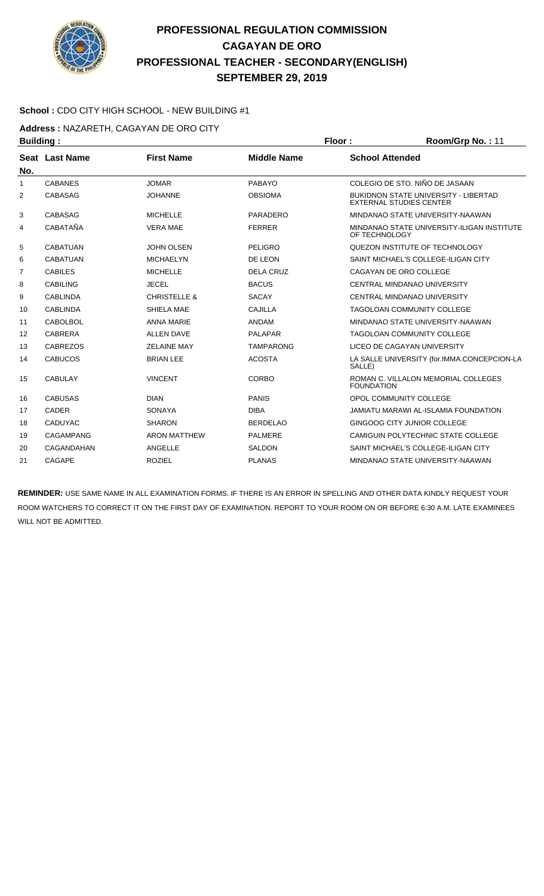

#### **School :** CDO CITY HIGH SCHOOL - NEW BUILDING #1

**Address :** NAZARETH, CAGAYAN DE ORO CITY

| <b>Building:</b> |                  |                         | Floor:             | Room/Grp No.: 11       |                                                                               |
|------------------|------------------|-------------------------|--------------------|------------------------|-------------------------------------------------------------------------------|
|                  | Seat Last Name   | <b>First Name</b>       | <b>Middle Name</b> | <b>School Attended</b> |                                                                               |
| No.              |                  |                         |                    |                        |                                                                               |
| $\mathbf{1}$     | <b>CABANES</b>   | <b>JOMAR</b>            | PABAYO             |                        | COLEGIO DE STO. NIÑO DE JASAAN                                                |
| 2                | <b>CABASAG</b>   | <b>JOHANNE</b>          | <b>OBSIOMA</b>     |                        | <b>BUKIDNON STATE UNIVERSITY - LIBERTAD</b><br><b>EXTERNAL STUDIES CENTER</b> |
| 3                | <b>CABASAG</b>   | <b>MICHELLE</b>         | <b>PARADERO</b>    |                        | MINDANAO STATE UNIVERSITY-NAAWAN                                              |
| 4                | CABATAÑA         | <b>VERA MAE</b>         | <b>FERRER</b>      | OF TECHNOLOGY          | MINDANAO STATE UNIVERSITY-ILIGAN INSTITUTE                                    |
| 5                | <b>CABATUAN</b>  | <b>JOHN OLSEN</b>       | <b>PELIGRO</b>     |                        | QUEZON INSTITUTE OF TECHNOLOGY                                                |
| 6                | <b>CABATUAN</b>  | <b>MICHAELYN</b>        | DE LEON            |                        | SAINT MICHAEL'S COLLEGE-ILIGAN CITY                                           |
| 7                | <b>CABILES</b>   | <b>MICHELLE</b>         | <b>DELA CRUZ</b>   |                        | CAGAYAN DE ORO COLLEGE                                                        |
| 8                | <b>CABILING</b>  | <b>JECEL</b>            | <b>BACUS</b>       |                        | CENTRAL MINDANAO UNIVERSITY                                                   |
| 9                | <b>CABLINDA</b>  | <b>CHRISTELLE &amp;</b> | <b>SACAY</b>       |                        | CENTRAL MINDANAO UNIVERSITY                                                   |
| 10               | <b>CABLINDA</b>  | SHIELA MAE              | <b>CAJILLA</b>     |                        | <b>TAGOLOAN COMMUNITY COLLEGE</b>                                             |
| 11               | <b>CABOLBOL</b>  | <b>ANNA MARIE</b>       | <b>ANDAM</b>       |                        | MINDANAO STATE UNIVERSITY-NAAWAN                                              |
| 12               | <b>CABRERA</b>   | <b>ALLEN DAVE</b>       | <b>PALAPAR</b>     |                        | <b>TAGOLOAN COMMUNITY COLLEGE</b>                                             |
| 13               | <b>CABREZOS</b>  | <b>ZELAINE MAY</b>      | <b>TAMPARONG</b>   |                        | LICEO DE CAGAYAN UNIVERSITY                                                   |
| 14               | <b>CABUCOS</b>   | <b>BRIAN LEE</b>        | <b>ACOSTA</b>      | SALLE)                 | LA SALLE UNIVERSITY (for.IMMA.CONCEPCION-LA                                   |
| 15               | <b>CABULAY</b>   | <b>VINCENT</b>          | CORBO              | <b>FOUNDATION</b>      | ROMAN C. VILLALON MEMORIAL COLLEGES                                           |
| 16               | <b>CABUSAS</b>   | <b>DIAN</b>             | <b>PANIS</b>       |                        | OPOL COMMUNITY COLLEGE                                                        |
| 17               | <b>CADER</b>     | <b>SONAYA</b>           | <b>DIBA</b>        |                        | <b>JAMIATU MARAWI AL-ISLAMIA FOUNDATION</b>                                   |
| 18               | <b>CADUYAC</b>   | <b>SHARON</b>           | <b>BERDELAO</b>    |                        | GINGOOG CITY JUNIOR COLLEGE                                                   |
| 19               | <b>CAGAMPANG</b> | <b>ARON MATTHEW</b>     | <b>PALMERE</b>     |                        | CAMIGUIN POLYTECHNIC STATE COLLEGE                                            |
| 20               | CAGANDAHAN       | ANGELLE                 | <b>SALDON</b>      |                        | SAINT MICHAEL'S COLLEGE-ILIGAN CITY                                           |
| 21               | <b>CAGAPE</b>    | <b>ROZIEL</b>           | <b>PLANAS</b>      |                        | MINDANAO STATE UNIVERSITY-NAAWAN                                              |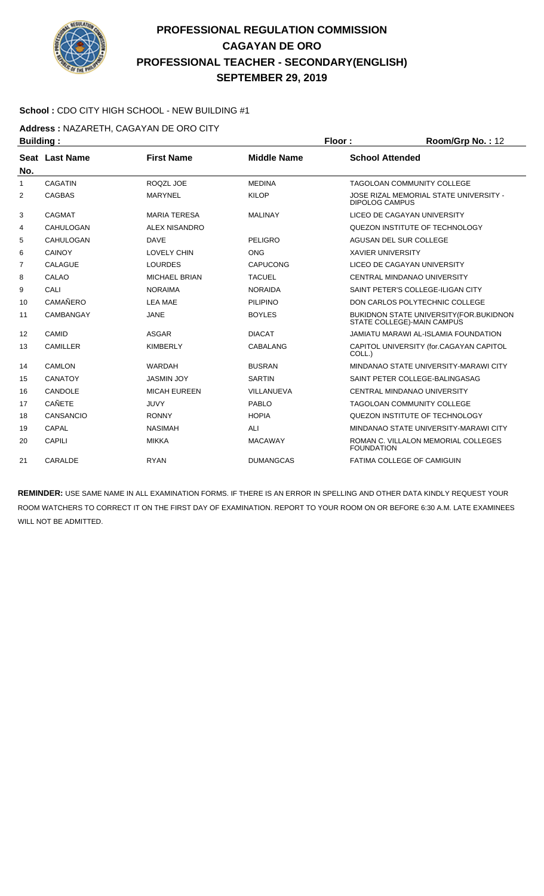

#### **School :** CDO CITY HIGH SCHOOL - NEW BUILDING #1

**Address :** NAZARETH, CAGAYAN DE ORO CITY

| <b>Building:</b> |                  |                      |                    | Floor:                   | Room/Grp No.: 12                                                      |
|------------------|------------------|----------------------|--------------------|--------------------------|-----------------------------------------------------------------------|
|                  | Seat Last Name   | <b>First Name</b>    | <b>Middle Name</b> | <b>School Attended</b>   |                                                                       |
| No.              |                  |                      |                    |                          |                                                                       |
| 1                | <b>CAGATIN</b>   | ROQZL JOE            | <b>MEDINA</b>      |                          | TAGOLOAN COMMUNITY COLLEGE                                            |
| 2                | <b>CAGBAS</b>    | <b>MARYNEL</b>       | <b>KILOP</b>       | <b>DIPOLOG CAMPUS</b>    | JOSE RIZAL MEMORIAL STATE UNIVERSITY -                                |
| 3                | <b>CAGMAT</b>    | <b>MARIA TERESA</b>  | <b>MALINAY</b>     |                          | LICEO DE CAGAYAN UNIVERSITY                                           |
| 4                | CAHULOGAN        | <b>ALEX NISANDRO</b> |                    |                          | QUEZON INSTITUTE OF TECHNOLOGY                                        |
| 5                | CAHULOGAN        | <b>DAVE</b>          | <b>PELIGRO</b>     |                          | AGUSAN DEL SUR COLLEGE                                                |
| 6                | CAINOY           | <b>LOVELY CHIN</b>   | <b>ONG</b>         | <b>XAVIER UNIVERSITY</b> |                                                                       |
| $\overline{7}$   | <b>CALAGUE</b>   | <b>LOURDES</b>       | <b>CAPUCONG</b>    |                          | LICEO DE CAGAYAN UNIVERSITY                                           |
| 8                | CALAO            | MICHAEL BRIAN        | <b>TACUEL</b>      |                          | CENTRAL MINDANAO UNIVERSITY                                           |
| 9                | CALI             | <b>NORAIMA</b>       | <b>NORAIDA</b>     |                          | SAINT PETER'S COLLEGE-ILIGAN CITY                                     |
| 10               | <b>CAMAÑERO</b>  | <b>LEA MAE</b>       | <b>PILIPINO</b>    |                          | DON CARLOS POLYTECHNIC COLLEGE                                        |
| 11               | CAMBANGAY        | <b>JANE</b>          | <b>BOYLES</b>      |                          | BUKIDNON STATE UNIVERSITY (FOR.BUKIDNON<br>STATE COLLEGE)-MAIN CAMPUS |
| 12               | CAMID            | <b>ASGAR</b>         | <b>DIACAT</b>      |                          | JAMIATU MARAWI AL-ISLAMIA FOUNDATION                                  |
| 13               | <b>CAMILLER</b>  | <b>KIMBERLY</b>      | CABALANG           | COLL.)                   | CAPITOL UNIVERSITY (for.CAGAYAN CAPITOL                               |
| 14               | <b>CAMLON</b>    | <b>WARDAH</b>        | <b>BUSRAN</b>      |                          | MINDANAO STATE UNIVERSITY-MARAWI CITY                                 |
| 15               | <b>CANATOY</b>   | <b>JASMIN JOY</b>    | <b>SARTIN</b>      |                          | SAINT PETER COLLEGE-BALINGASAG                                        |
| 16               | CANDOLE          | <b>MICAH EUREEN</b>  | VILLANUEVA         |                          | CENTRAL MINDANAO UNIVERSITY                                           |
| 17               | <b>CAÑETE</b>    | <b>JUVY</b>          | <b>PABLO</b>       |                          | <b>TAGOLOAN COMMUNITY COLLEGE</b>                                     |
| 18               | <b>CANSANCIO</b> | <b>RONNY</b>         | <b>HOPIA</b>       |                          | QUEZON INSTITUTE OF TECHNOLOGY                                        |
| 19               | CAPAL            | <b>NASIMAH</b>       | ALI                |                          | MINDANAO STATE UNIVERSITY-MARAWI CITY                                 |
| 20               | <b>CAPILI</b>    | <b>MIKKA</b>         | <b>MACAWAY</b>     | <b>FOUNDATION</b>        | ROMAN C. VILLALON MEMORIAL COLLEGES                                   |
| 21               | CARALDE          | <b>RYAN</b>          | <b>DUMANGCAS</b>   |                          | FATIMA COLLEGE OF CAMIGUIN                                            |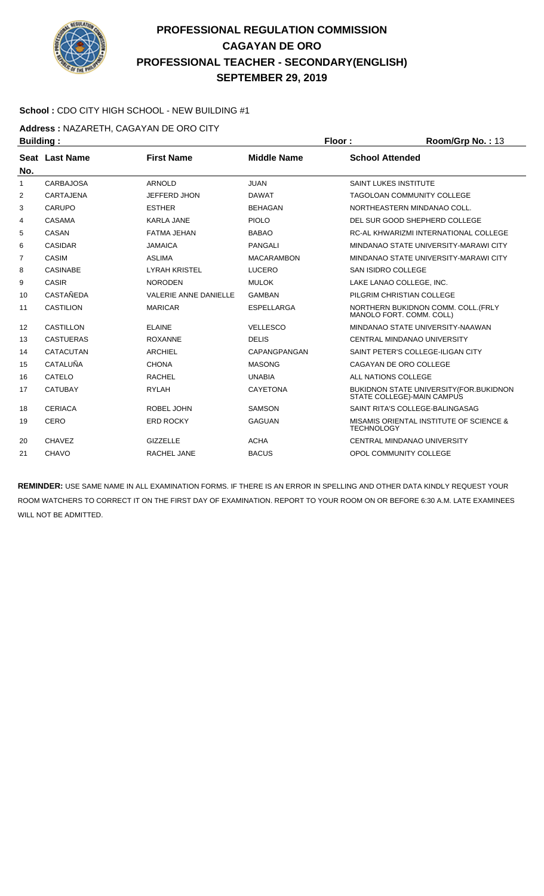

#### **School :** CDO CITY HIGH SCHOOL - NEW BUILDING #1

**Address :** NAZARETH, CAGAYAN DE ORO CITY

| <b>Building:</b> |                  |                              |                    | Floor:                 | Room/Grp No.: 13                                                      |
|------------------|------------------|------------------------------|--------------------|------------------------|-----------------------------------------------------------------------|
|                  | Seat Last Name   | <b>First Name</b>            | <b>Middle Name</b> | <b>School Attended</b> |                                                                       |
| No.              |                  |                              |                    |                        |                                                                       |
| 1                | <b>CARBAJOSA</b> | <b>ARNOLD</b>                | <b>JUAN</b>        |                        | <b>SAINT LUKES INSTITUTE</b>                                          |
| 2                | <b>CARTAJENA</b> | <b>JEFFERD JHON</b>          | <b>DAWAT</b>       |                        | <b>TAGOLOAN COMMUNITY COLLEGE</b>                                     |
| 3                | <b>CARUPO</b>    | <b>ESTHER</b>                | <b>BEHAGAN</b>     |                        | NORTHEASTERN MINDANAO COLL.                                           |
| 4                | CASAMA           | <b>KARLA JANE</b>            | PIOLO              |                        | DEL SUR GOOD SHEPHERD COLLEGE                                         |
| 5                | CASAN            | <b>FATMA JEHAN</b>           | <b>BABAO</b>       |                        | RC-AL KHWARIZMI INTERNATIONAL COLLEGE                                 |
| 6                | <b>CASIDAR</b>   | <b>JAMAICA</b>               | <b>PANGALI</b>     |                        | MINDANAO STATE UNIVERSITY-MARAWI CITY                                 |
| $\overline{7}$   | <b>CASIM</b>     | <b>ASLIMA</b>                | <b>MACARAMBON</b>  |                        | MINDANAO STATE UNIVERSITY-MARAWI CITY                                 |
| 8                | <b>CASINABE</b>  | <b>LYRAH KRISTEL</b>         | <b>LUCERO</b>      | SAN ISIDRO COLLEGE     |                                                                       |
| 9                | CASIR            | <b>NORODEN</b>               | <b>MULOK</b>       |                        | LAKE LANAO COLLEGE, INC.                                              |
| 10               | <b>CASTAÑEDA</b> | <b>VALERIE ANNE DANIELLE</b> | <b>GAMBAN</b>      |                        | PILGRIM CHRISTIAN COLLEGE                                             |
| 11               | <b>CASTILION</b> | <b>MARICAR</b>               | <b>ESPELLARGA</b>  |                        | NORTHERN BUKIDNON COMM. COLL. (FRLY<br>MANOLO FORT. COMM. COLL)       |
| 12               | CASTILLON        | <b>ELAINE</b>                | <b>VELLESCO</b>    |                        | MINDANAO STATE UNIVERSITY-NAAWAN                                      |
| 13               | <b>CASTUERAS</b> | <b>ROXANNE</b>               | <b>DELIS</b>       |                        | CENTRAL MINDANAO UNIVERSITY                                           |
| 14               | <b>CATACUTAN</b> | <b>ARCHIEL</b>               | CAPANGPANGAN       |                        | SAINT PETER'S COLLEGE-ILIGAN CITY                                     |
| 15               | CATALUÑA         | <b>CHONA</b>                 | <b>MASONG</b>      |                        | CAGAYAN DE ORO COLLEGE                                                |
| 16               | CATELO           | <b>RACHEL</b>                | <b>UNABIA</b>      |                        | ALL NATIONS COLLEGE                                                   |
| 17               | <b>CATUBAY</b>   | <b>RYLAH</b>                 | <b>CAYETONA</b>    |                        | BUKIDNON STATE UNIVERSITY (FOR.BUKIDNON<br>STATE COLLEGE)-MAIN CAMPUS |
| 18               | <b>CERIACA</b>   | ROBEL JOHN                   | <b>SAMSON</b>      |                        | SAINT RITA'S COLLEGE-BALINGASAG                                       |
| 19               | CERO             | <b>ERD ROCKY</b>             | <b>GAGUAN</b>      | <b>TECHNOLOGY</b>      | MISAMIS ORIENTAL INSTITUTE OF SCIENCE &                               |
| 20               | <b>CHAVEZ</b>    | <b>GIZZELLE</b>              | <b>ACHA</b>        |                        | CENTRAL MINDANAO UNIVERSITY                                           |
| 21               | <b>CHAVO</b>     | RACHEL JANE                  | <b>BACUS</b>       |                        | OPOL COMMUNITY COLLEGE                                                |
|                  |                  |                              |                    |                        |                                                                       |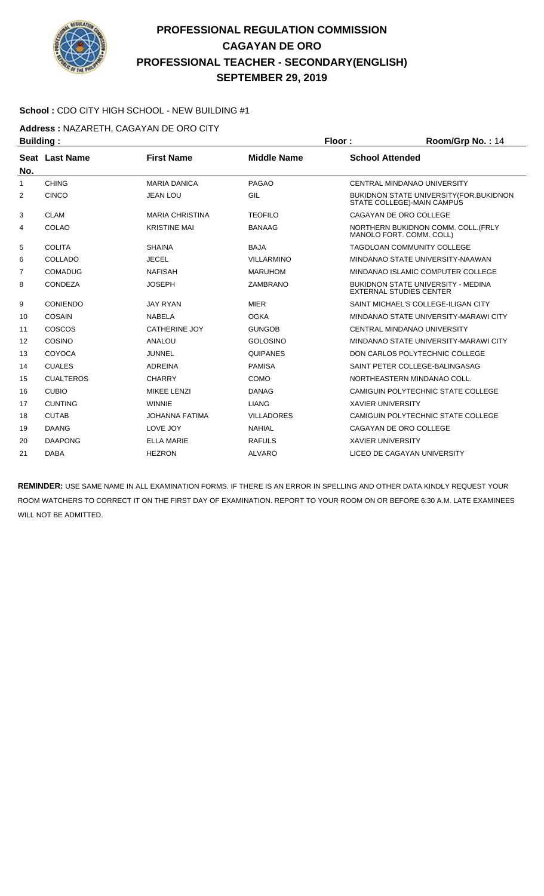

#### **School :** CDO CITY HIGH SCHOOL - NEW BUILDING #1

**Address :** NAZARETH, CAGAYAN DE ORO CITY

| <b>Building:</b> |                  |                        |                    | Floor:                   | Room/Grp No.: 14                                                               |
|------------------|------------------|------------------------|--------------------|--------------------------|--------------------------------------------------------------------------------|
| No.              | Seat Last Name   | <b>First Name</b>      | <b>Middle Name</b> | <b>School Attended</b>   |                                                                                |
| 1                | <b>CHING</b>     | <b>MARIA DANICA</b>    | <b>PAGAO</b>       |                          | <b>CENTRAL MINDANAO UNIVERSITY</b>                                             |
| 2                | <b>CINCO</b>     | <b>JEAN LOU</b>        | GIL                |                          | <b>BUKIDNON STATE UNIVERSITY (FOR. BUKIDNON)</b><br>STATE COLLEGE)-MAIN CAMPUS |
| 3                | <b>CLAM</b>      | <b>MARIA CHRISTINA</b> | <b>TEOFILO</b>     |                          | CAGAYAN DE ORO COLLEGE                                                         |
| 4                | COLAO            | <b>KRISTINE MAI</b>    | <b>BANAAG</b>      |                          | NORTHERN BUKIDNON COMM. COLL. (FRLY<br>MANOLO FORT, COMM, COLL)                |
| 5                | <b>COLITA</b>    | <b>SHAINA</b>          | <b>BAJA</b>        |                          | TAGOLOAN COMMUNITY COLLEGE                                                     |
| 6                | COLLADO          | <b>JECEL</b>           | <b>VILLARMINO</b>  |                          | MINDANAO STATE UNIVERSITY-NAAWAN                                               |
| 7                | <b>COMADUG</b>   | <b>NAFISAH</b>         | <b>MARUHOM</b>     |                          | MINDANAO ISLAMIC COMPUTER COLLEGE                                              |
| 8                | CONDEZA          | <b>JOSEPH</b>          | ZAMBRANO           |                          | BUKIDNON STATE UNIVERSITY - MEDINA<br><b>EXTERNAL STUDIES CENTER</b>           |
| 9                | <b>CONIENDO</b>  | <b>JAY RYAN</b>        | <b>MIER</b>        |                          | SAINT MICHAEL'S COLLEGE-ILIGAN CITY                                            |
| 10               | <b>COSAIN</b>    | <b>NABELA</b>          | <b>OGKA</b>        |                          | MINDANAO STATE UNIVERSITY-MARAWI CITY                                          |
| 11               | COSCOS           | CATHERINE JOY          | <b>GUNGOB</b>      |                          | <b>CENTRAL MINDANAO UNIVERSITY</b>                                             |
| 12               | COSINO           | ANALOU                 | <b>GOLOSINO</b>    |                          | MINDANAO STATE UNIVERSITY-MARAWI CITY                                          |
| 13               | <b>COYOCA</b>    | <b>JUNNEL</b>          | <b>QUIPANES</b>    |                          | DON CARLOS POLYTECHNIC COLLEGE                                                 |
| 14               | <b>CUALES</b>    | ADREINA                | <b>PAMISA</b>      |                          | SAINT PETER COLLEGE-BALINGASAG                                                 |
| 15               | <b>CUALTEROS</b> | <b>CHARRY</b>          | <b>COMO</b>        |                          | NORTHEASTERN MINDANAO COLL.                                                    |
| 16               | <b>CUBIO</b>     | <b>MIKEE LENZI</b>     | <b>DANAG</b>       |                          | CAMIGUIN POLYTECHNIC STATE COLLEGE                                             |
| 17               | <b>CUNTING</b>   | <b>WINNIE</b>          | <b>LIANG</b>       | <b>XAVIER UNIVERSITY</b> |                                                                                |
| 18               | <b>CUTAB</b>     | <b>JOHANNA FATIMA</b>  | <b>VILLADORES</b>  |                          | CAMIGUIN POLYTECHNIC STATE COLLEGE                                             |
| 19               | <b>DAANG</b>     | LOVE JOY               | <b>NAHIAL</b>      |                          | CAGAYAN DE ORO COLLEGE                                                         |
| 20               | <b>DAAPONG</b>   | <b>ELLA MARIE</b>      | <b>RAFULS</b>      | <b>XAVIER UNIVERSITY</b> |                                                                                |
| 21               | <b>DABA</b>      | <b>HEZRON</b>          | <b>ALVARO</b>      |                          | LICEO DE CAGAYAN UNIVERSITY                                                    |
|                  |                  |                        |                    |                          |                                                                                |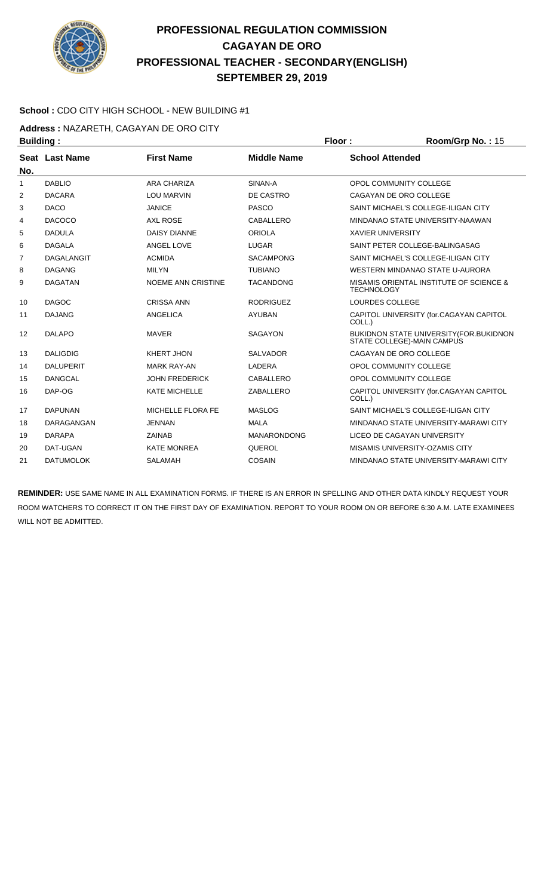

#### **School :** CDO CITY HIGH SCHOOL - NEW BUILDING #1

**Address :** NAZARETH, CAGAYAN DE ORO CITY

| <b>Building:</b> |                   |                           | Floor:             | Room/Grp No.: 15                                                       |
|------------------|-------------------|---------------------------|--------------------|------------------------------------------------------------------------|
|                  | Seat Last Name    | <b>First Name</b>         | <b>Middle Name</b> | <b>School Attended</b>                                                 |
| No.              |                   |                           |                    |                                                                        |
| $\mathbf{1}$     | <b>DABLIO</b>     | <b>ARA CHARIZA</b>        | SINAN-A            | OPOL COMMUNITY COLLEGE                                                 |
| 2                | <b>DACARA</b>     | <b>LOU MARVIN</b>         | DE CASTRO          | CAGAYAN DE ORO COLLEGE                                                 |
| 3                | <b>DACO</b>       | <b>JANICE</b>             | <b>PASCO</b>       | SAINT MICHAEL'S COLLEGE-ILIGAN CITY                                    |
| 4                | <b>DACOCO</b>     | <b>AXL ROSE</b>           | CABALLERO          | MINDANAO STATE UNIVERSITY-NAAWAN                                       |
| 5                | <b>DADULA</b>     | <b>DAISY DIANNE</b>       | <b>ORIOLA</b>      | <b>XAVIER UNIVERSITY</b>                                               |
| 6                | <b>DAGALA</b>     | ANGEL LOVE                | <b>LUGAR</b>       | SAINT PETER COLLEGE-BALINGASAG                                         |
| 7                | <b>DAGALANGIT</b> | <b>ACMIDA</b>             | <b>SACAMPONG</b>   | SAINT MICHAEL'S COLLEGE-ILIGAN CITY                                    |
| 8                | <b>DAGANG</b>     | <b>MILYN</b>              | <b>TUBIANO</b>     | WESTERN MINDANAO STATE U-AURORA                                        |
| 9                | <b>DAGATAN</b>    | <b>NOEME ANN CRISTINE</b> | <b>TACANDONG</b>   | MISAMIS ORIENTAL INSTITUTE OF SCIENCE &<br><b>TECHNOLOGY</b>           |
| 10               | <b>DAGOC</b>      | <b>CRISSA ANN</b>         | <b>RODRIGUEZ</b>   | LOURDES COLLEGE                                                        |
| 11               | <b>DAJANG</b>     | <b>ANGELICA</b>           | <b>AYUBAN</b>      | CAPITOL UNIVERSITY (for.CAGAYAN CAPITOL<br>COLL.)                      |
| 12               | <b>DALAPO</b>     | <b>MAVER</b>              | <b>SAGAYON</b>     | BUKIDNON STATE UNIVERSITY (FOR. BUKIDNON<br>STATE COLLEGE)-MAIN CAMPUS |
| 13               | <b>DALIGDIG</b>   | KHERT JHON                | <b>SALVADOR</b>    | CAGAYAN DE ORO COLLEGE                                                 |
| 14               | <b>DALUPERIT</b>  | <b>MARK RAY-AN</b>        | LADERA             | OPOL COMMUNITY COLLEGE                                                 |
| 15               | <b>DANGCAL</b>    | <b>JOHN FREDERICK</b>     | CABALLERO          | OPOL COMMUNITY COLLEGE                                                 |
| 16               | DAP-OG            | <b>KATE MICHELLE</b>      | ZABALLERO          | CAPITOL UNIVERSITY (for.CAGAYAN CAPITOL<br>COLL.)                      |
| 17               | <b>DAPUNAN</b>    | MICHELLE FLORA FE         | <b>MASLOG</b>      | SAINT MICHAEL'S COLLEGE-ILIGAN CITY                                    |
| 18               | DARAGANGAN        | <b>JENNAN</b>             | <b>MALA</b>        | MINDANAO STATE UNIVERSITY-MARAWI CITY                                  |
| 19               | <b>DARAPA</b>     | <b>ZAINAB</b>             | <b>MANARONDONG</b> | LICEO DE CAGAYAN UNIVERSITY                                            |
| 20               | DAT-UGAN          | <b>KATE MONREA</b>        | QUEROL             | MISAMIS UNIVERSITY-OZAMIS CITY                                         |
| 21               | <b>DATUMOLOK</b>  | <b>SALAMAH</b>            | <b>COSAIN</b>      | MINDANAO STATE UNIVERSITY-MARAWI CITY                                  |
|                  |                   |                           |                    |                                                                        |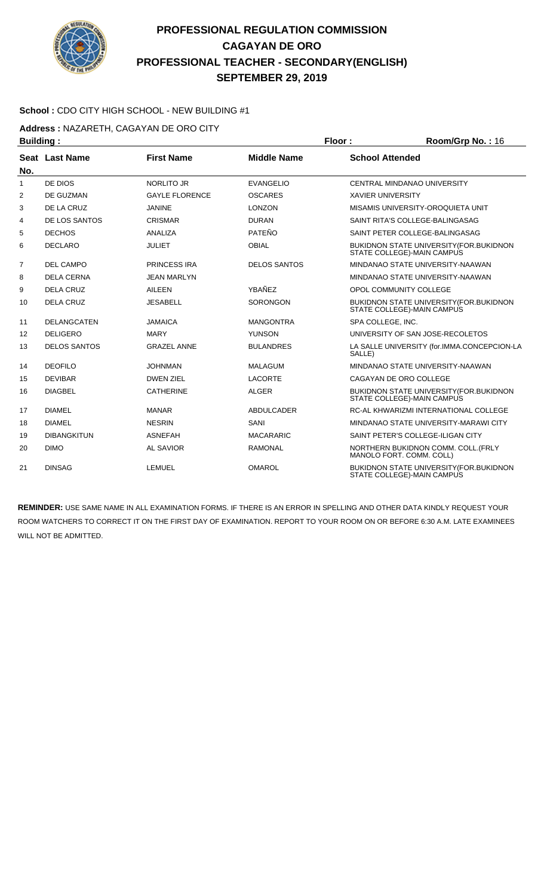

#### **School :** CDO CITY HIGH SCHOOL - NEW BUILDING #1

**Address :** NAZARETH, CAGAYAN DE ORO CITY

| <b>Building:</b> |                       |                       |                     | Floor:                   | Room/Grp No.: 16                                                              |
|------------------|-----------------------|-----------------------|---------------------|--------------------------|-------------------------------------------------------------------------------|
|                  | <b>Seat Last Name</b> | <b>First Name</b>     | <b>Middle Name</b>  | <b>School Attended</b>   |                                                                               |
| No.              |                       |                       |                     |                          |                                                                               |
| $\mathbf{1}$     | DE DIOS               | <b>NORLITO JR</b>     | <b>EVANGELIO</b>    |                          | CENTRAL MINDANAO UNIVERSITY                                                   |
| 2                | DE GUZMAN             | <b>GAYLE FLORENCE</b> | <b>OSCARES</b>      | <b>XAVIER UNIVERSITY</b> |                                                                               |
| 3                | DE LA CRUZ            | <b>JANINE</b>         | <b>LONZON</b>       |                          | MISAMIS UNIVERSITY-OROQUIETA UNIT                                             |
| 4                | DE LOS SANTOS         | <b>CRISMAR</b>        | <b>DURAN</b>        |                          | SAINT RITA'S COLLEGE-BALINGASAG                                               |
| 5                | <b>DECHOS</b>         | ANALIZA               | PATEÑO              |                          | SAINT PETER COLLEGE-BALINGASAG                                                |
| 6                | <b>DECLARO</b>        | <b>JULIET</b>         | <b>OBIAL</b>        |                          | <b>BUKIDNON STATE UNIVERSITY (FOR.BUKIDNON</b><br>STATE COLLEGE)-MAIN CAMPUS  |
| $\overline{7}$   | <b>DEL CAMPO</b>      | <b>PRINCESS IRA</b>   | <b>DELOS SANTOS</b> |                          | MINDANAO STATE UNIVERSITY-NAAWAN                                              |
| 8                | <b>DELA CERNA</b>     | <b>JEAN MARLYN</b>    |                     |                          | MINDANAO STATE UNIVERSITY-NAAWAN                                              |
| 9                | <b>DELA CRUZ</b>      | <b>AILEEN</b>         | YBAÑEZ              |                          | OPOL COMMUNITY COLLEGE                                                        |
| 10               | <b>DELA CRUZ</b>      | <b>JESABELL</b>       | <b>SORONGON</b>     |                          | <b>BUKIDNON STATE UNIVERSITY (FOR.BUKIDNON)</b><br>STATE COLLEGE)-MAIN CAMPUS |
| 11               | <b>DELANGCATEN</b>    | <b>JAMAICA</b>        | <b>MANGONTRA</b>    | SPA COLLEGE, INC.        |                                                                               |
| 12               | <b>DELIGERO</b>       | <b>MARY</b>           | <b>YUNSON</b>       |                          | UNIVERSITY OF SAN JOSE-RECOLETOS                                              |
| 13               | <b>DELOS SANTOS</b>   | <b>GRAZEL ANNE</b>    | <b>BULANDRES</b>    | SALLE)                   | LA SALLE UNIVERSITY (for.IMMA.CONCEPCION-LA                                   |
| 14               | <b>DEOFILO</b>        | <b>JOHNMAN</b>        | <b>MALAGUM</b>      |                          | MINDANAO STATE UNIVERSITY-NAAWAN                                              |
| 15               | <b>DEVIBAR</b>        | <b>DWEN ZIEL</b>      | <b>LACORTE</b>      |                          | CAGAYAN DE ORO COLLEGE                                                        |
| 16               | <b>DIAGBEL</b>        | <b>CATHERINE</b>      | <b>ALGER</b>        |                          | <b>BUKIDNON STATE UNIVERSITY (FOR.BUKIDNON)</b><br>STATE COLLEGE)-MAIN CAMPUS |
| 17               | <b>DIAMEL</b>         | <b>MANAR</b>          | <b>ABDULCADER</b>   |                          | RC-AL KHWARIZMI INTERNATIONAL COLLEGE                                         |
| 18               | <b>DIAMEL</b>         | <b>NESRIN</b>         | SANI                |                          | MINDANAO STATE UNIVERSITY-MARAWI CITY                                         |
| 19               | <b>DIBANGKITUN</b>    | <b>ASNEFAH</b>        | <b>MACARARIC</b>    |                          | SAINT PETER'S COLLEGE-ILIGAN CITY                                             |
| 20               | <b>DIMO</b>           | <b>AL SAVIOR</b>      | <b>RAMONAL</b>      |                          | NORTHERN BUKIDNON COMM. COLL. (FRLY<br>MANOLO FORT. COMM. COLL)               |
| 21               | <b>DINSAG</b>         | <b>LEMUEL</b>         | <b>OMAROL</b>       |                          | BUKIDNON STATE UNIVERSITY (FOR. BUKIDNON<br>STATE COLLEGE)-MAIN CAMPUS        |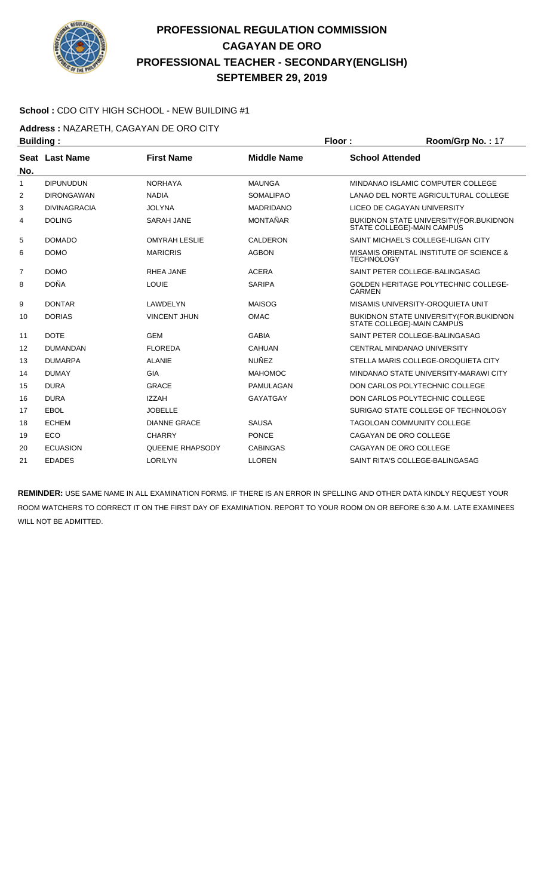

#### **School :** CDO CITY HIGH SCHOOL - NEW BUILDING #1

**Address :** NAZARETH, CAGAYAN DE ORO CITY

|                | <b>Building:</b>    |                         |                    | Floor:<br>Room/Grp No.: 17 |                                                                        |  |
|----------------|---------------------|-------------------------|--------------------|----------------------------|------------------------------------------------------------------------|--|
|                | Seat Last Name      | <b>First Name</b>       | <b>Middle Name</b> | <b>School Attended</b>     |                                                                        |  |
| No.            |                     |                         |                    |                            |                                                                        |  |
| 1              | <b>DIPUNUDUN</b>    | <b>NORHAYA</b>          | <b>MAUNGA</b>      |                            | MINDANAO ISLAMIC COMPUTER COLLEGE                                      |  |
| $\overline{2}$ | <b>DIRONGAWAN</b>   | <b>NADIA</b>            | <b>SOMALIPAO</b>   |                            | LANAO DEL NORTE AGRICULTURAL COLLEGE                                   |  |
| 3              | <b>DIVINAGRACIA</b> | <b>JOLYNA</b>           | <b>MADRIDANO</b>   |                            | LICEO DE CAGAYAN UNIVERSITY                                            |  |
| 4              | <b>DOLING</b>       | <b>SARAH JANE</b>       | <b>MONTAÑAR</b>    |                            | BUKIDNON STATE UNIVERSITY (FOR BUKIDNON<br>STATE COLLEGE)-MAIN CAMPUS  |  |
| 5              | <b>DOMADO</b>       | <b>OMYRAH LESLIE</b>    | CALDERON           |                            | SAINT MICHAEL'S COLLEGE-ILIGAN CITY                                    |  |
| 6              | <b>DOMO</b>         | <b>MARICRIS</b>         | <b>AGBON</b>       | <b>TECHNOLOGY</b>          | MISAMIS ORIENTAL INSTITUTE OF SCIENCE &                                |  |
| $\overline{7}$ | <b>DOMO</b>         | <b>RHEA JANE</b>        | <b>ACERA</b>       |                            | SAINT PETER COLLEGE-BALINGASAG                                         |  |
| 8              | <b>DOÑA</b>         | <b>LOUIE</b>            | <b>SARIPA</b>      | <b>CARMEN</b>              | <b>GOLDEN HERITAGE POLYTECHNIC COLLEGE-</b>                            |  |
| 9              | <b>DONTAR</b>       | LAWDELYN                | <b>MAISOG</b>      |                            | MISAMIS UNIVERSITY-OROQUIETA UNIT                                      |  |
| 10             | <b>DORIAS</b>       | <b>VINCENT JHUN</b>     | <b>OMAC</b>        |                            | BUKIDNON STATE UNIVERSITY (FOR. BUKIDNON<br>STATE COLLEGE)-MAIN CAMPUS |  |
| 11             | <b>DOTE</b>         | <b>GEM</b>              | <b>GABIA</b>       |                            | SAINT PETER COLLEGE-BALINGASAG                                         |  |
| 12             | <b>DUMANDAN</b>     | <b>FLOREDA</b>          | <b>CAHUAN</b>      |                            | CENTRAL MINDANAO UNIVERSITY                                            |  |
| 13             | <b>DUMARPA</b>      | <b>ALANIE</b>           | <b>NUÑEZ</b>       |                            | STELLA MARIS COLLEGE-OROQUIETA CITY                                    |  |
| 14             | <b>DUMAY</b>        | <b>GIA</b>              | <b>MAHOMOC</b>     |                            | MINDANAO STATE UNIVERSITY-MARAWI CITY                                  |  |
| 15             | <b>DURA</b>         | <b>GRACE</b>            | PAMULAGAN          |                            | DON CARLOS POLYTECHNIC COLLEGE                                         |  |
| 16             | <b>DURA</b>         | <b>IZZAH</b>            | GAYATGAY           |                            | DON CARLOS POLYTECHNIC COLLEGE                                         |  |
| 17             | EBOL                | <b>JOBELLE</b>          |                    |                            | SURIGAO STATE COLLEGE OF TECHNOLOGY                                    |  |
| 18             | <b>ECHEM</b>        | <b>DIANNE GRACE</b>     | <b>SAUSA</b>       |                            | <b>TAGOLOAN COMMUNITY COLLEGE</b>                                      |  |
| 19             | <b>ECO</b>          | <b>CHARRY</b>           | <b>PONCE</b>       |                            | CAGAYAN DE ORO COLLEGE                                                 |  |
| 20             | <b>ECUASION</b>     | <b>QUEENIE RHAPSODY</b> | <b>CABINGAS</b>    |                            | CAGAYAN DE ORO COLLEGE                                                 |  |
| 21             | <b>EDADES</b>       | <b>LORILYN</b>          | <b>LLOREN</b>      |                            | SAINT RITA'S COLLEGE-BALINGASAG                                        |  |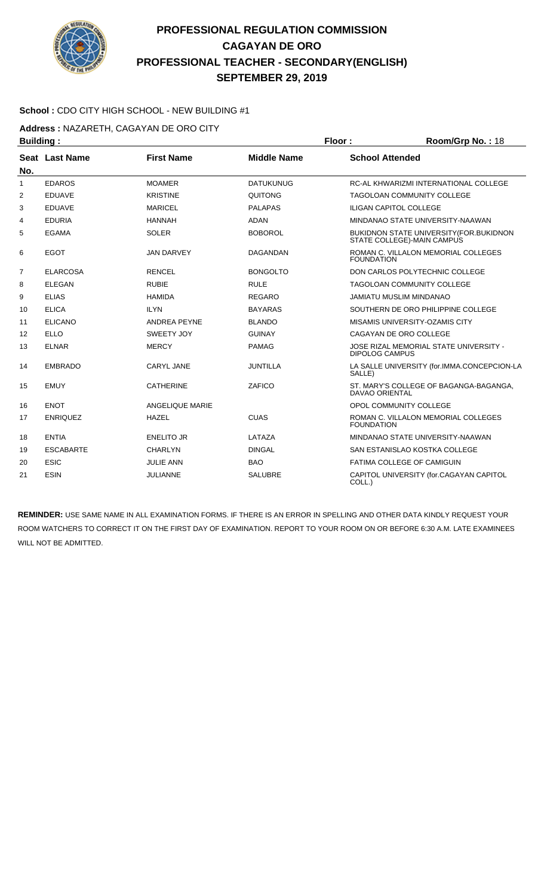

#### **School :** CDO CITY HIGH SCHOOL - NEW BUILDING #1

**Address :** NAZARETH, CAGAYAN DE ORO CITY

|                     | <b>Building:</b> |                     |                    | Floor:<br>Room/Grp No.: 18 |                                                                              |
|---------------------|------------------|---------------------|--------------------|----------------------------|------------------------------------------------------------------------------|
|                     | Seat Last Name   | <b>First Name</b>   | <b>Middle Name</b> | <b>School Attended</b>     |                                                                              |
| No.<br>$\mathbf{1}$ | <b>EDAROS</b>    | <b>MOAMER</b>       | <b>DATUKUNUG</b>   |                            | RC-AL KHWARIZMI INTERNATIONAL COLLEGE                                        |
| $\overline{2}$      | <b>EDUAVE</b>    | <b>KRISTINE</b>     | QUITONG            |                            | <b>TAGOLOAN COMMUNITY COLLEGE</b>                                            |
|                     |                  |                     |                    |                            |                                                                              |
| 3                   | <b>EDUAVE</b>    | <b>MARICEL</b>      | <b>PALAPAS</b>     |                            | <b>ILIGAN CAPITOL COLLEGE</b>                                                |
| 4                   | <b>EDURIA</b>    | <b>HANNAH</b>       | <b>ADAN</b>        |                            | MINDANAO STATE UNIVERSITY-NAAWAN                                             |
| 5                   | <b>EGAMA</b>     | <b>SOLER</b>        | <b>BOBOROL</b>     |                            | <b>BUKIDNON STATE UNIVERSITY (FOR.BUKIDNON</b><br>STATE COLLEGE)-MAIN CAMPUS |
| 6                   | <b>EGOT</b>      | <b>JAN DARVEY</b>   | <b>DAGANDAN</b>    | <b>FOUNDATION</b>          | ROMAN C. VILLALON MEMORIAL COLLEGES                                          |
| $\overline{7}$      | <b>ELARCOSA</b>  | <b>RENCEL</b>       | <b>BONGOLTO</b>    |                            | DON CARLOS POLYTECHNIC COLLEGE                                               |
| 8                   | <b>ELEGAN</b>    | <b>RUBIE</b>        | <b>RULE</b>        |                            | <b>TAGOLOAN COMMUNITY COLLEGE</b>                                            |
| 9                   | <b>ELIAS</b>     | <b>HAMIDA</b>       | <b>REGARO</b>      |                            | <b>JAMIATU MUSLIM MINDANAO</b>                                               |
| 10                  | <b>ELICA</b>     | <b>ILYN</b>         | <b>BAYARAS</b>     |                            | SOUTHERN DE ORO PHILIPPINE COLLEGE                                           |
| 11                  | <b>ELICANO</b>   | <b>ANDREA PEYNE</b> | <b>BLANDO</b>      |                            | MISAMIS UNIVERSITY-OZAMIS CITY                                               |
| 12                  | <b>ELLO</b>      | SWEETY JOY          | <b>GUINAY</b>      |                            | CAGAYAN DE ORO COLLEGE                                                       |
| 13                  | <b>ELNAR</b>     | <b>MERCY</b>        | <b>PAMAG</b>       | <b>DIPOLOG CAMPUS</b>      | JOSE RIZAL MEMORIAL STATE UNIVERSITY -                                       |
| 14                  | <b>EMBRADO</b>   | <b>CARYL JANE</b>   | <b>JUNTILLA</b>    | SALLE)                     | LA SALLE UNIVERSITY (for.IMMA.CONCEPCION-LA                                  |
| 15                  | <b>EMUY</b>      | <b>CATHERINE</b>    | ZAFICO             | <b>DAVAO ORIENTAL</b>      | ST. MARY'S COLLEGE OF BAGANGA-BAGANGA,                                       |
| 16                  | <b>ENOT</b>      | ANGELIQUE MARIE     |                    |                            | OPOL COMMUNITY COLLEGE                                                       |
| 17                  | <b>ENRIQUEZ</b>  | <b>HAZEL</b>        | <b>CUAS</b>        | <b>FOUNDATION</b>          | ROMAN C. VILLALON MEMORIAL COLLEGES                                          |
| 18                  | <b>ENTIA</b>     | <b>ENELITO JR</b>   | LATAZA             |                            | MINDANAO STATE UNIVERSITY-NAAWAN                                             |
| 19                  | <b>ESCABARTE</b> | <b>CHARLYN</b>      | <b>DINGAL</b>      |                            | SAN ESTANISLAO KOSTKA COLLEGE                                                |
| 20                  | <b>ESIC</b>      | <b>JULIE ANN</b>    | <b>BAO</b>         |                            | FATIMA COLLEGE OF CAMIGUIN                                                   |
| 21                  | <b>ESIN</b>      | <b>JULIANNE</b>     | <b>SALUBRE</b>     | COLL.)                     | CAPITOL UNIVERSITY (for.CAGAYAN CAPITOL                                      |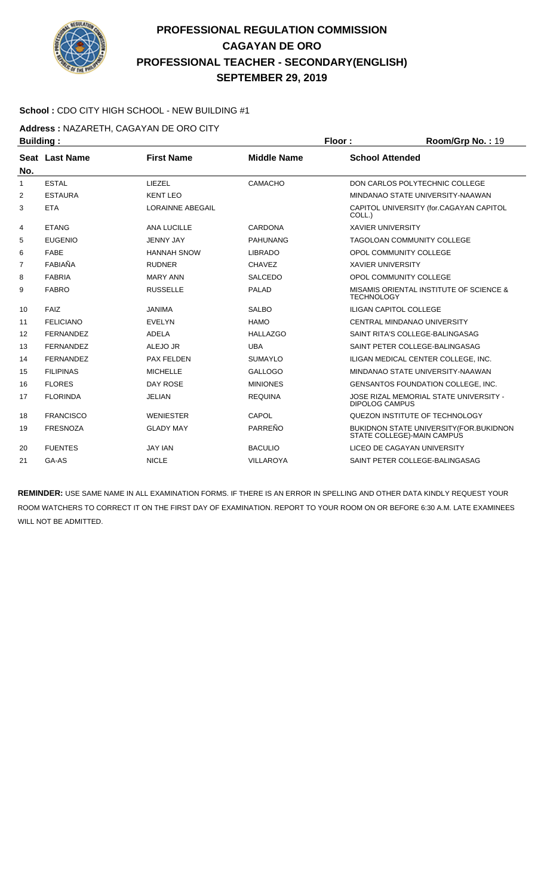

#### **School :** CDO CITY HIGH SCHOOL - NEW BUILDING #1

**Address :** NAZARETH, CAGAYAN DE ORO CITY

| <b>Building:</b> |                  |                         | Floor:             | Room/Grp No.: 19                                                       |
|------------------|------------------|-------------------------|--------------------|------------------------------------------------------------------------|
|                  | Seat Last Name   | <b>First Name</b>       | <b>Middle Name</b> | <b>School Attended</b>                                                 |
| No.              |                  |                         |                    |                                                                        |
| 1                | <b>ESTAL</b>     | LIEZEL                  | <b>CAMACHO</b>     | DON CARLOS POLYTECHNIC COLLEGE                                         |
| $\overline{2}$   | <b>ESTAURA</b>   | <b>KENT LEO</b>         |                    | MINDANAO STATE UNIVERSITY-NAAWAN                                       |
| 3                | <b>ETA</b>       | <b>LORAINNE ABEGAIL</b> |                    | CAPITOL UNIVERSITY (for.CAGAYAN CAPITOL<br>COLL.)                      |
| 4                | <b>ETANG</b>     | <b>ANA LUCILLE</b>      | CARDONA            | <b>XAVIER UNIVERSITY</b>                                               |
| 5                | <b>EUGENIO</b>   | <b>JENNY JAY</b>        | <b>PAHUNANG</b>    | <b>TAGOLOAN COMMUNITY COLLEGE</b>                                      |
| 6                | <b>FABE</b>      | <b>HANNAH SNOW</b>      | <b>LIBRADO</b>     | OPOL COMMUNITY COLLEGE                                                 |
| $\overline{7}$   | FABIAÑA          | <b>RUDNER</b>           | <b>CHAVEZ</b>      | <b>XAVIER UNIVERSITY</b>                                               |
| 8                | <b>FABRIA</b>    | <b>MARY ANN</b>         | <b>SALCEDO</b>     | OPOL COMMUNITY COLLEGE                                                 |
| 9                | <b>FABRO</b>     | <b>RUSSELLE</b>         | <b>PALAD</b>       | MISAMIS ORIENTAL INSTITUTE OF SCIENCE &<br><b>TECHNOLOGY</b>           |
| 10               | FAIZ             | <b>JANIMA</b>           | <b>SALBO</b>       | <b>ILIGAN CAPITOL COLLEGE</b>                                          |
| 11               | <b>FELICIANO</b> | <b>EVELYN</b>           | <b>HAMO</b>        | CENTRAL MINDANAO UNIVERSITY                                            |
| 12               | <b>FERNANDEZ</b> | ADELA                   | <b>HALLAZGO</b>    | SAINT RITA'S COLLEGE-BALINGASAG                                        |
| 13               | <b>FERNANDEZ</b> | ALEJO JR                | <b>UBA</b>         | SAINT PETER COLLEGE-BALINGASAG                                         |
| 14               | <b>FERNANDEZ</b> | PAX FELDEN              | <b>SUMAYLO</b>     | ILIGAN MEDICAL CENTER COLLEGE, INC.                                    |
| 15               | <b>FILIPINAS</b> | <b>MICHELLE</b>         | <b>GALLOGO</b>     | MINDANAO STATE UNIVERSITY-NAAWAN                                       |
| 16               | <b>FLORES</b>    | <b>DAY ROSE</b>         | <b>MINIONES</b>    | GENSANTOS FOUNDATION COLLEGE, INC.                                     |
| 17               | <b>FLORINDA</b>  | <b>JELIAN</b>           | <b>REQUINA</b>     | JOSE RIZAL MEMORIAL STATE UNIVERSITY -<br><b>DIPOLOG CAMPUS</b>        |
| 18               | <b>FRANCISCO</b> | <b>WENIESTER</b>        | CAPOL              | QUEZON INSTITUTE OF TECHNOLOGY                                         |
| 19               | <b>FRESNOZA</b>  | <b>GLADY MAY</b>        | PARREÑO            | BUKIDNON STATE UNIVERSITY (FOR. BUKIDNON<br>STATE COLLEGE)-MAIN CAMPUS |
| 20               | <b>FUENTES</b>   | <b>JAY IAN</b>          | <b>BACULIO</b>     | LICEO DE CAGAYAN UNIVERSITY                                            |
| 21               | GA-AS            | <b>NICLE</b>            | <b>VILLAROYA</b>   | SAINT PETER COLLEGE-BALINGASAG                                         |
|                  |                  |                         |                    |                                                                        |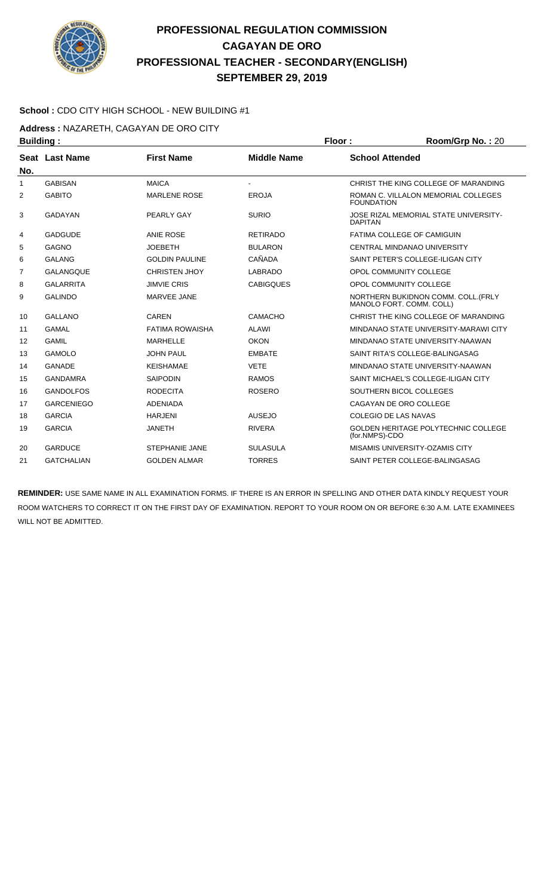

#### **School :** CDO CITY HIGH SCHOOL - NEW BUILDING #1

**Address :** NAZARETH, CAGAYAN DE ORO CITY

|                   |                                    |                    | Floor:                 | Room/Grp No.: 20                                                |
|-------------------|------------------------------------|--------------------|------------------------|-----------------------------------------------------------------|
|                   | <b>First Name</b>                  | <b>Middle Name</b> | <b>School Attended</b> |                                                                 |
|                   |                                    |                    |                        |                                                                 |
| <b>GABISAN</b>    | <b>MAICA</b>                       |                    |                        | CHRIST THE KING COLLEGE OF MARANDING                            |
| <b>GABITO</b>     | <b>MARLENE ROSE</b>                | <b>EROJA</b>       | <b>FOUNDATION</b>      | ROMAN C. VILLALON MEMORIAL COLLEGES                             |
| <b>GADAYAN</b>    | PEARLY GAY                         | <b>SURIO</b>       | <b>DAPITAN</b>         | JOSE RIZAL MEMORIAL STATE UNIVERSITY-                           |
| <b>GADGUDE</b>    | <b>ANIE ROSE</b>                   | <b>RETIRADO</b>    |                        | FATIMA COLLEGE OF CAMIGUIN                                      |
| <b>GAGNO</b>      | <b>JOEBETH</b>                     | <b>BULARON</b>     |                        | CENTRAL MINDANAO UNIVERSITY                                     |
| <b>GALANG</b>     | <b>GOLDIN PAULINE</b>              | CAÑADA             |                        | SAINT PETER'S COLLEGE-ILIGAN CITY                               |
| <b>GALANGQUE</b>  | <b>CHRISTEN JHOY</b>               | <b>LABRADO</b>     |                        | OPOL COMMUNITY COLLEGE                                          |
| <b>GALARRITA</b>  | <b>JIMVIE CRIS</b>                 | <b>CABIGQUES</b>   |                        | OPOL COMMUNITY COLLEGE                                          |
| <b>GALINDO</b>    | MARVEE JANE                        |                    |                        | NORTHERN BUKIDNON COMM. COLL. (FRLY<br>MANOLO FORT. COMM. COLL) |
| <b>GALLANO</b>    | CAREN                              | CAMACHO            |                        | CHRIST THE KING COLLEGE OF MARANDING                            |
| <b>GAMAL</b>      | <b>FATIMA ROWAISHA</b>             | <b>ALAWI</b>       |                        | MINDANAO STATE UNIVERSITY-MARAWI CITY                           |
| <b>GAMIL</b>      | <b>MARHELLE</b>                    | <b>OKON</b>        |                        | MINDANAO STATE UNIVERSITY-NAAWAN                                |
| <b>GAMOLO</b>     | <b>JOHN PAUL</b>                   | <b>EMBATE</b>      |                        | SAINT RITA'S COLLEGE-BALINGASAG                                 |
| <b>GANADE</b>     | <b>KEISHAMAE</b>                   | <b>VETE</b>        |                        | MINDANAO STATE UNIVERSITY-NAAWAN                                |
| <b>GANDAMRA</b>   | <b>SAIPODIN</b>                    | <b>RAMOS</b>       |                        | SAINT MICHAEL'S COLLEGE-ILIGAN CITY                             |
| <b>GANDOLFOS</b>  | <b>RODECITA</b>                    | <b>ROSERO</b>      |                        | SOUTHERN BICOL COLLEGES                                         |
| <b>GARCENIEGO</b> | <b>ADENIADA</b>                    |                    |                        | CAGAYAN DE ORO COLLEGE                                          |
| <b>GARCIA</b>     | <b>HARJENI</b>                     | <b>AUSEJO</b>      |                        | <b>COLEGIO DE LAS NAVAS</b>                                     |
| <b>GARCIA</b>     | <b>JANETH</b>                      | <b>RIVERA</b>      | (for.NMPS)-CDO         | GOLDEN HERITAGE POLYTECHNIC COLLEGE                             |
| <b>GARDUCE</b>    | <b>STEPHANIE JANE</b>              | <b>SULASULA</b>    |                        | MISAMIS UNIVERSITY-OZAMIS CITY                                  |
| <b>GATCHALIAN</b> | <b>GOLDEN ALMAR</b>                | <b>TORRES</b>      |                        | SAINT PETER COLLEGE-BALINGASAG                                  |
|                   | <b>Building:</b><br>Seat Last Name |                    |                        |                                                                 |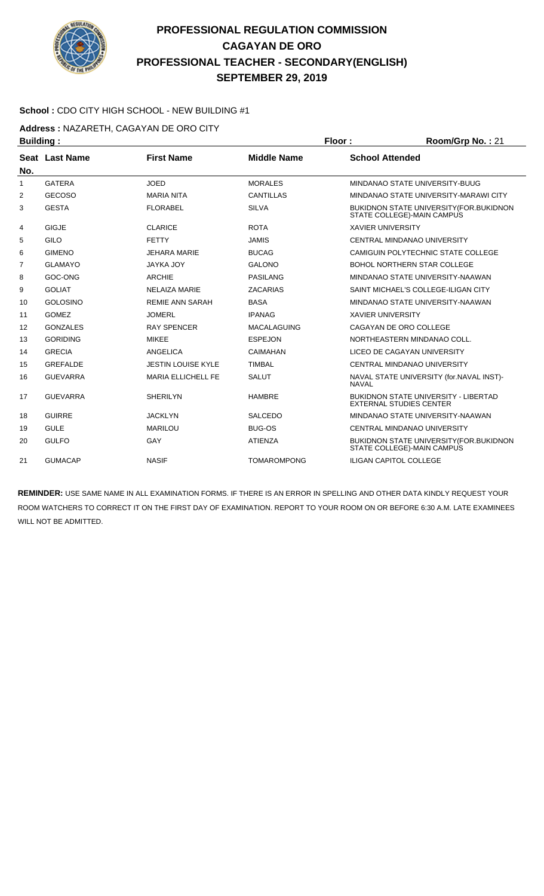

#### **School :** CDO CITY HIGH SCHOOL - NEW BUILDING #1

**Address :** NAZARETH, CAGAYAN DE ORO CITY

| <b>Building:</b> |                       |                           |                    | Floor:                   | Room/Grp No.: 21                                                              |
|------------------|-----------------------|---------------------------|--------------------|--------------------------|-------------------------------------------------------------------------------|
|                  | <b>Seat Last Name</b> | <b>First Name</b>         | <b>Middle Name</b> | <b>School Attended</b>   |                                                                               |
| No.              |                       |                           |                    |                          |                                                                               |
| 1                | <b>GATERA</b>         | <b>JOED</b>               | <b>MORALES</b>     |                          | MINDANAO STATE UNIVERSITY-BUUG                                                |
| 2                | <b>GECOSO</b>         | <b>MARIA NITA</b>         | <b>CANTILLAS</b>   |                          | MINDANAO STATE UNIVERSITY-MARAWI CITY                                         |
| 3                | <b>GESTA</b>          | <b>FLORABEL</b>           | <b>SILVA</b>       |                          | <b>BUKIDNON STATE UNIVERSITY (FOR.BUKIDNON</b><br>STATE COLLEGE)-MAIN CAMPUS  |
| 4                | <b>GIGJE</b>          | <b>CLARICE</b>            | <b>ROTA</b>        | <b>XAVIER UNIVERSITY</b> |                                                                               |
| 5                | <b>GILO</b>           | <b>FETTY</b>              | <b>JAMIS</b>       |                          | <b>CENTRAL MINDANAO UNIVERSITY</b>                                            |
| 6                | <b>GIMENO</b>         | <b>JEHARA MARIE</b>       | <b>BUCAG</b>       |                          | CAMIGUIN POLYTECHNIC STATE COLLEGE                                            |
| 7                | <b>GLAMAYO</b>        | <b>JAYKA JOY</b>          | <b>GALONO</b>      |                          | <b>BOHOL NORTHERN STAR COLLEGE</b>                                            |
| 8                | GOC-ONG               | <b>ARCHIE</b>             | <b>PASILANG</b>    |                          | MINDANAO STATE UNIVERSITY-NAAWAN                                              |
| 9                | <b>GOLIAT</b>         | <b>NELAIZA MARIE</b>      | <b>ZACARIAS</b>    |                          | SAINT MICHAEL'S COLLEGE-ILIGAN CITY                                           |
| 10               | <b>GOLOSINO</b>       | <b>REMIE ANN SARAH</b>    | <b>BASA</b>        |                          | MINDANAO STATE UNIVERSITY-NAAWAN                                              |
| 11               | <b>GOMEZ</b>          | <b>JOMERL</b>             | <b>IPANAG</b>      | <b>XAVIER UNIVERSITY</b> |                                                                               |
| 12               | <b>GONZALES</b>       | <b>RAY SPENCER</b>        | <b>MACALAGUING</b> |                          | CAGAYAN DE ORO COLLEGE                                                        |
| 13               | <b>GORIDING</b>       | <b>MIKEE</b>              | <b>ESPEJON</b>     |                          | NORTHEASTERN MINDANAO COLL.                                                   |
| 14               | <b>GRECIA</b>         | <b>ANGELICA</b>           | <b>CAIMAHAN</b>    |                          | LICEO DE CAGAYAN UNIVERSITY                                                   |
| 15               | <b>GREFALDE</b>       | <b>JESTIN LOUISE KYLE</b> | <b>TIMBAL</b>      |                          | <b>CENTRAL MINDANAO UNIVERSITY</b>                                            |
| 16               | <b>GUEVARRA</b>       | <b>MARIA ELLICHELL FE</b> | <b>SALUT</b>       | <b>NAVAL</b>             | NAVAL STATE UNIVERSITY (for.NAVAL INST)-                                      |
| 17               | <b>GUEVARRA</b>       | <b>SHERILYN</b>           | <b>HAMBRE</b>      |                          | <b>BUKIDNON STATE UNIVERSITY - LIBERTAD</b><br><b>EXTERNAL STUDIES CENTER</b> |
| 18               | <b>GUIRRE</b>         | <b>JACKLYN</b>            | <b>SALCEDO</b>     |                          | MINDANAO STATE UNIVERSITY-NAAWAN                                              |
| 19               | <b>GULE</b>           | <b>MARILOU</b>            | <b>BUG-OS</b>      |                          | <b>CENTRAL MINDANAO UNIVERSITY</b>                                            |
| 20               | <b>GULFO</b>          | GAY                       | <b>ATIENZA</b>     |                          | <b>BUKIDNON STATE UNIVERSITY (FOR.BUKIDNON</b><br>STATE COLLEGE)-MAIN CAMPUS  |
| 21               | <b>GUMACAP</b>        | <b>NASIF</b>              | <b>TOMAROMPONG</b> |                          | <b>ILIGAN CAPITOL COLLEGE</b>                                                 |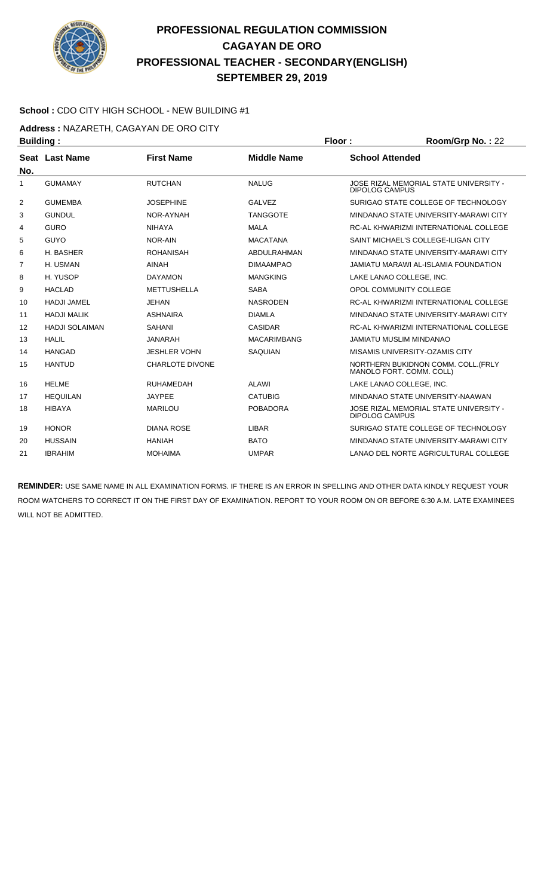

#### **School :** CDO CITY HIGH SCHOOL - NEW BUILDING #1

**Address :** NAZARETH, CAGAYAN DE ORO CITY

| <b>Building:</b> |                       |                        | Floor:             | Room/Grp No.: 22                                                |
|------------------|-----------------------|------------------------|--------------------|-----------------------------------------------------------------|
|                  | Seat Last Name        | <b>First Name</b>      | <b>Middle Name</b> | <b>School Attended</b>                                          |
| No.              |                       |                        |                    |                                                                 |
| 1                | <b>GUMAMAY</b>        | <b>RUTCHAN</b>         | <b>NALUG</b>       | JOSE RIZAL MEMORIAL STATE UNIVERSITY -<br><b>DIPOLOG CAMPUS</b> |
| 2                | <b>GUMEMBA</b>        | <b>JOSEPHINE</b>       | <b>GALVEZ</b>      | SURIGAO STATE COLLEGE OF TECHNOLOGY                             |
| 3                | <b>GUNDUL</b>         | NOR-AYNAH              | <b>TANGGOTE</b>    | MINDANAO STATE UNIVERSITY-MARAWI CITY                           |
| 4                | <b>GURO</b>           | <b>NIHAYA</b>          | <b>MALA</b>        | RC-AL KHWARIZMI INTERNATIONAL COLLEGE                           |
| 5                | <b>GUYO</b>           | NOR-AIN                | <b>MACATANA</b>    | SAINT MICHAEL'S COLLEGE-ILIGAN CITY                             |
| 6                | H. BASHER             | <b>ROHANISAH</b>       | ABDULRAHMAN        | MINDANAO STATE UNIVERSITY-MARAWI CITY                           |
| 7                | H. USMAN              | <b>AINAH</b>           | <b>DIMAAMPAO</b>   | JAMIATU MARAWI AL-ISLAMIA FOUNDATION                            |
| 8                | H. YUSOP              | <b>DAYAMON</b>         | <b>MANGKING</b>    | LAKE LANAO COLLEGE. INC.                                        |
| 9                | <b>HACLAD</b>         | <b>METTUSHELLA</b>     | <b>SABA</b>        | OPOL COMMUNITY COLLEGE                                          |
| 10               | <b>HADJI JAMEL</b>    | <b>JEHAN</b>           | <b>NASRODEN</b>    | RC-AL KHWARIZMI INTERNATIONAL COLLEGE                           |
| 11               | <b>HADJI MALIK</b>    | <b>ASHNAIRA</b>        | <b>DIAMLA</b>      | MINDANAO STATE UNIVERSITY-MARAWI CITY                           |
| 12               | <b>HADJI SOLAIMAN</b> | <b>SAHANI</b>          | <b>CASIDAR</b>     | RC-AL KHWARIZMI INTERNATIONAL COLLEGE                           |
| 13               | <b>HALIL</b>          | <b>JANARAH</b>         | <b>MACARIMBANG</b> | <b>JAMIATU MUSLIM MINDANAO</b>                                  |
| 14               | <b>HANGAD</b>         | <b>JESHLER VOHN</b>    | SAQUIAN            | MISAMIS UNIVERSITY-OZAMIS CITY                                  |
| 15               | <b>HANTUD</b>         | <b>CHARLOTE DIVONE</b> |                    | NORTHERN BUKIDNON COMM. COLL. (FRLY<br>MANOLO FORT, COMM, COLL) |
| 16               | <b>HELME</b>          | <b>RUHAMEDAH</b>       | <b>ALAWI</b>       | LAKE LANAO COLLEGE, INC.                                        |
| 17               | <b>HEQUILAN</b>       | <b>JAYPEE</b>          | <b>CATUBIG</b>     | MINDANAO STATE UNIVERSITY-NAAWAN                                |
| 18               | <b>HIBAYA</b>         | <b>MARILOU</b>         | <b>POBADORA</b>    | JOSE RIZAL MEMORIAL STATE UNIVERSITY -<br><b>DIPOLOG CAMPUS</b> |
| 19               | <b>HONOR</b>          | <b>DIANA ROSE</b>      | <b>LIBAR</b>       | SURIGAO STATE COLLEGE OF TECHNOLOGY                             |
| 20               | <b>HUSSAIN</b>        | <b>HANIAH</b>          | <b>BATO</b>        | MINDANAO STATE UNIVERSITY-MARAWI CITY                           |
| 21               | <b>IBRAHIM</b>        | <b>MOHAIMA</b>         | <b>UMPAR</b>       | LANAO DEL NORTE AGRICULTURAL COLLEGE                            |
|                  |                       |                        |                    |                                                                 |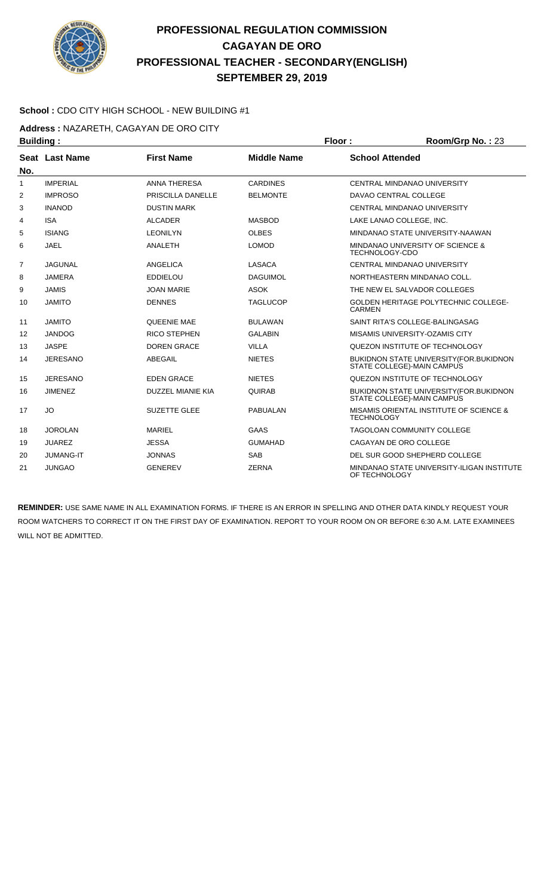

#### **School :** CDO CITY HIGH SCHOOL - NEW BUILDING #1

**Address :** NAZARETH, CAGAYAN DE ORO CITY

| <b>Building:</b> |                  |                          |                    | Floor:                 | Room/Grp No.: 23                                                               |
|------------------|------------------|--------------------------|--------------------|------------------------|--------------------------------------------------------------------------------|
|                  | Seat Last Name   | <b>First Name</b>        | <b>Middle Name</b> | <b>School Attended</b> |                                                                                |
| No.              |                  |                          |                    |                        |                                                                                |
| $\mathbf{1}$     | <b>IMPERIAL</b>  | <b>ANNA THERESA</b>      | <b>CARDINES</b>    |                        | CENTRAL MINDANAO UNIVERSITY                                                    |
| 2                | <b>IMPROSO</b>   | PRISCILLA DANELLE        | <b>BELMONTE</b>    |                        | DAVAO CENTRAL COLLEGE                                                          |
| 3                | <b>INANOD</b>    | <b>DUSTIN MARK</b>       |                    |                        | <b>CENTRAL MINDANAO UNIVERSITY</b>                                             |
| 4                | <b>ISA</b>       | <b>ALCADER</b>           | <b>MASBOD</b>      |                        | LAKE LANAO COLLEGE, INC.                                                       |
| 5                | <b>ISIANG</b>    | <b>LEONILYN</b>          | <b>OLBES</b>       |                        | MINDANAO STATE UNIVERSITY-NAAWAN                                               |
| 6                | <b>JAEL</b>      | ANALETH                  | <b>LOMOD</b>       | <b>TECHNOLOGY-CDO</b>  | MINDANAO UNIVERSITY OF SCIENCE &                                               |
| 7                | <b>JAGUNAL</b>   | <b>ANGELICA</b>          | <b>LASACA</b>      |                        | CENTRAL MINDANAO UNIVERSITY                                                    |
| 8                | <b>JAMERA</b>    | <b>EDDIELOU</b>          | <b>DAGUIMOL</b>    |                        | NORTHEASTERN MINDANAO COLL.                                                    |
| 9                | <b>JAMIS</b>     | <b>JOAN MARIE</b>        | <b>ASOK</b>        |                        | THE NEW EL SALVADOR COLLEGES                                                   |
| 10               | <b>JAMITO</b>    | <b>DENNES</b>            | <b>TAGLUCOP</b>    | <b>CARMEN</b>          | <b>GOLDEN HERITAGE POLYTECHNIC COLLEGE-</b>                                    |
| 11               | <b>JAMITO</b>    | QUEENIE MAE              | <b>BULAWAN</b>     |                        | SAINT RITA'S COLLEGE-BALINGASAG                                                |
| 12               | <b>JANDOG</b>    | <b>RICO STEPHEN</b>      | <b>GALABIN</b>     |                        | MISAMIS UNIVERSITY-OZAMIS CITY                                                 |
| 13               | <b>JASPE</b>     | <b>DOREN GRACE</b>       | <b>VILLA</b>       |                        | QUEZON INSTITUTE OF TECHNOLOGY                                                 |
| 14               | <b>JERESANO</b>  | ABEGAIL                  | <b>NIETES</b>      |                        | <b>BUKIDNON STATE UNIVERSITY (FOR. BUKIDNON)</b><br>STATE COLLEGE)-MAIN CAMPUS |
| 15               | <b>JERESANO</b>  | <b>EDEN GRACE</b>        | <b>NIETES</b>      |                        | QUEZON INSTITUTE OF TECHNOLOGY                                                 |
| 16               | <b>JIMENEZ</b>   | <b>DUZZEL MIANIE KIA</b> | <b>QUIRAB</b>      |                        | BUKIDNON STATE UNIVERSITY (FOR.BUKIDNON<br>STATE COLLEGE)-MAIN CAMPUS          |
| 17               | JO               | <b>SUZETTE GLEE</b>      | <b>PABUALAN</b>    | <b>TECHNOLOGY</b>      | MISAMIS ORIENTAL INSTITUTE OF SCIENCE &                                        |
| 18               | <b>JOROLAN</b>   | <b>MARIEL</b>            | <b>GAAS</b>        |                        | <b>TAGOLOAN COMMUNITY COLLEGE</b>                                              |
| 19               | <b>JUAREZ</b>    | <b>JESSA</b>             | <b>GUMAHAD</b>     |                        | CAGAYAN DE ORO COLLEGE                                                         |
| 20               | <b>JUMANG-IT</b> | <b>JONNAS</b>            | <b>SAB</b>         |                        | DEL SUR GOOD SHEPHERD COLLEGE                                                  |
| 21               | <b>JUNGAO</b>    | <b>GENEREV</b>           | <b>ZERNA</b>       | OF TECHNOLOGY          | MINDANAO STATE UNIVERSITY-ILIGAN INSTITUTE                                     |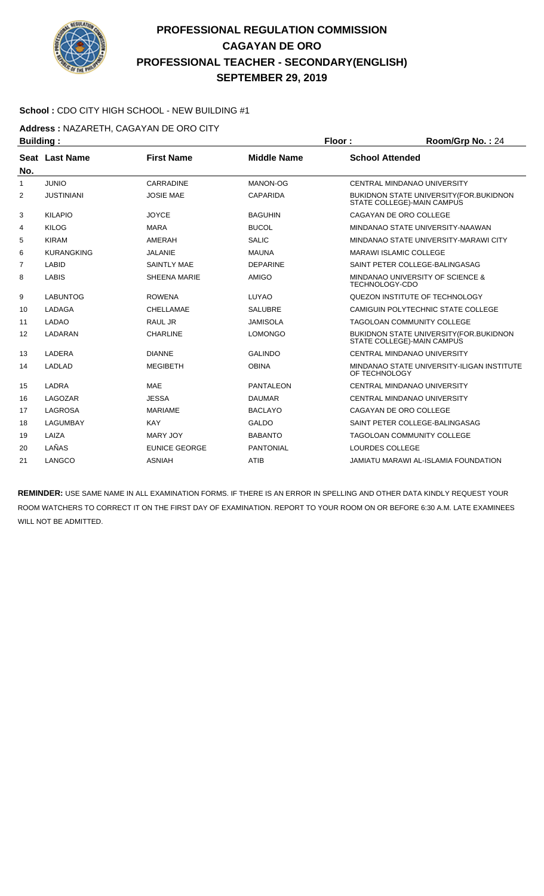

#### **School :** CDO CITY HIGH SCHOOL - NEW BUILDING #1

**Address :** NAZARETH, CAGAYAN DE ORO CITY

| <b>Building:</b> |                   |                      | Floor:             | Room/Grp No.: 24                                                               |
|------------------|-------------------|----------------------|--------------------|--------------------------------------------------------------------------------|
|                  | Seat Last Name    | <b>First Name</b>    | <b>Middle Name</b> | <b>School Attended</b>                                                         |
| No.              | <b>JUNIO</b>      | CARRADINE            | MANON-OG           | <b>CENTRAL MINDANAO UNIVERSITY</b>                                             |
| 1                |                   |                      |                    |                                                                                |
| $\overline{2}$   | <b>JUSTINIANI</b> | <b>JOSIE MAE</b>     | <b>CAPARIDA</b>    | <b>BUKIDNON STATE UNIVERSITY (FOR. BUKIDNON)</b><br>STATE COLLEGE)-MAIN CAMPUS |
| 3                | <b>KILAPIO</b>    | <b>JOYCE</b>         | <b>BAGUHIN</b>     | CAGAYAN DE ORO COLLEGE                                                         |
| 4                | <b>KILOG</b>      | <b>MARA</b>          | <b>BUCOL</b>       | MINDANAO STATE UNIVERSITY-NAAWAN                                               |
| 5                | <b>KIRAM</b>      | AMERAH               | <b>SALIC</b>       | MINDANAO STATE UNIVERSITY-MARAWI CITY                                          |
| 6                | <b>KURANGKING</b> | <b>JALANIE</b>       | <b>MAUNA</b>       | <b>MARAWI ISLAMIC COLLEGE</b>                                                  |
| 7                | <b>LABID</b>      | <b>SAINTLY MAE</b>   | <b>DEPARINE</b>    | SAINT PETER COLLEGE-BALINGASAG                                                 |
| 8                | <b>LABIS</b>      | SHEENA MARIE         | AMIGO              | MINDANAO UNIVERSITY OF SCIENCE &<br>TECHNOLOGY-CDO                             |
| 9                | <b>LABUNTOG</b>   | <b>ROWENA</b>        | LUYAO              | QUEZON INSTITUTE OF TECHNOLOGY                                                 |
| 10               | LADAGA            | CHELLAMAE            | <b>SALUBRE</b>     | CAMIGUIN POLYTECHNIC STATE COLLEGE                                             |
| 11               | <b>LADAO</b>      | RAUL JR              | <b>JAMISOLA</b>    | <b>TAGOLOAN COMMUNITY COLLEGE</b>                                              |
| 12               | LADARAN           | <b>CHARLINE</b>      | <b>LOMONGO</b>     | BUKIDNON STATE UNIVERSITY (FOR. BUKIDNON<br>STATE COLLEGE)-MAIN CAMPUS         |
| 13               | LADERA            | <b>DIANNE</b>        | <b>GALINDO</b>     | CENTRAL MINDANAO UNIVERSITY                                                    |
| 14               | <b>LADLAD</b>     | <b>MEGIBETH</b>      | <b>OBINA</b>       | MINDANAO STATE UNIVERSITY-ILIGAN INSTITUTE<br>OF TECHNOLOGY                    |
| 15               | LADRA             | <b>MAE</b>           | <b>PANTALEON</b>   | <b>CENTRAL MINDANAO UNIVERSITY</b>                                             |
| 16               | LAGOZAR           | <b>JESSA</b>         | <b>DAUMAR</b>      | CENTRAL MINDANAO UNIVERSITY                                                    |
| 17               | LAGROSA           | <b>MARIAME</b>       | <b>BACLAYO</b>     | CAGAYAN DE ORO COLLEGE                                                         |
| 18               | <b>LAGUMBAY</b>   | <b>KAY</b>           | <b>GALDO</b>       | SAINT PETER COLLEGE-BALINGASAG                                                 |
| 19               | LAIZA             | <b>MARY JOY</b>      | <b>BABANTO</b>     | <b>TAGOLOAN COMMUNITY COLLEGE</b>                                              |
| 20               | LAÑAS             | <b>EUNICE GEORGE</b> | <b>PANTONIAL</b>   | LOURDES COLLEGE                                                                |
| 21               | LANGCO            | <b>ASNIAH</b>        | <b>ATIB</b>        | <b>JAMIATU MARAWI AL-ISLAMIA FOUNDATION</b>                                    |
|                  |                   |                      |                    |                                                                                |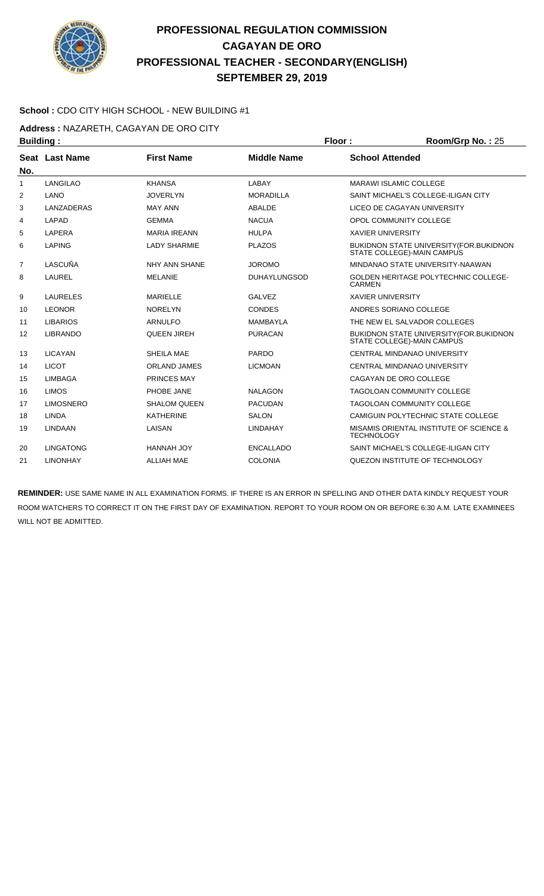

#### **School :** CDO CITY HIGH SCHOOL - NEW BUILDING #1

**Address :** NAZARETH, CAGAYAN DE ORO CITY

| <b>Building:</b><br>Floor: |                  |                     |                     | Room/Grp No.: 25         |                                                                              |
|----------------------------|------------------|---------------------|---------------------|--------------------------|------------------------------------------------------------------------------|
|                            | Seat Last Name   | <b>First Name</b>   | <b>Middle Name</b>  | <b>School Attended</b>   |                                                                              |
| No.                        |                  |                     |                     |                          |                                                                              |
| 1                          | <b>LANGILAO</b>  | <b>KHANSA</b>       | LABAY               |                          | <b>MARAWI ISLAMIC COLLEGE</b>                                                |
| 2                          | <b>LANO</b>      | <b>JOVERLYN</b>     | <b>MORADILLA</b>    |                          | SAINT MICHAEL'S COLLEGE-ILIGAN CITY                                          |
| 3                          | LANZADERAS       | <b>MAY ANN</b>      | ABALDE              |                          | LICEO DE CAGAYAN UNIVERSITY                                                  |
| 4                          | <b>LAPAD</b>     | <b>GEMMA</b>        | <b>NACUA</b>        |                          | OPOL COMMUNITY COLLEGE                                                       |
| 5                          | <b>LAPERA</b>    | <b>MARIA IREANN</b> | <b>HULPA</b>        | <b>XAVIER UNIVERSITY</b> |                                                                              |
| 6                          | <b>LAPING</b>    | <b>LADY SHARMIE</b> | <b>PLAZOS</b>       |                          | BUKIDNON STATE UNIVERSITY (FOR. BUKIDNON<br>STATE COLLEGE)-MAIN CAMPUS       |
| 7                          | LASCUÑA          | NHY ANN SHANE       | <b>JOROMO</b>       |                          | MINDANAO STATE UNIVERSITY-NAAWAN                                             |
| 8                          | LAUREL           | <b>MELANIE</b>      | <b>DUHAYLUNGSOD</b> | <b>CARMEN</b>            | <b>GOLDEN HERITAGE POLYTECHNIC COLLEGE-</b>                                  |
| 9                          | <b>LAURELES</b>  | <b>MARIELLE</b>     | <b>GALVEZ</b>       | <b>XAVIER UNIVERSITY</b> |                                                                              |
| 10                         | <b>LEONOR</b>    | <b>NORELYN</b>      | <b>CONDES</b>       |                          | ANDRES SORIANO COLLEGE                                                       |
| 11                         | <b>LIBARIOS</b>  | <b>ARNULFO</b>      | <b>MAMBAYLA</b>     |                          | THE NEW EL SALVADOR COLLEGES                                                 |
| 12                         | <b>LIBRANDO</b>  | <b>QUEEN JIREH</b>  | <b>PURACAN</b>      |                          | <b>BUKIDNON STATE UNIVERSITY (FOR.BUKIDNON</b><br>STATE COLLEGE)-MAIN CAMPUS |
| 13                         | <b>LICAYAN</b>   | SHEILA MAE          | PARDO               |                          | CENTRAL MINDANAO UNIVERSITY                                                  |
| 14                         | <b>LICOT</b>     | <b>ORLAND JAMES</b> | <b>LICMOAN</b>      |                          | CENTRAL MINDANAO UNIVERSITY                                                  |
| 15                         | <b>LIMBAGA</b>   | <b>PRINCES MAY</b>  |                     |                          | CAGAYAN DE ORO COLLEGE                                                       |
| 16                         | <b>LIMOS</b>     | PHOBE JANE          | <b>NALAGON</b>      |                          | <b>TAGOLOAN COMMUNITY COLLEGE</b>                                            |
| 17                         | <b>LIMOSNERO</b> | <b>SHALOM QUEEN</b> | <b>PACUDAN</b>      |                          | <b>TAGOLOAN COMMUNITY COLLEGE</b>                                            |
| 18                         | LINDA            | <b>KATHERINE</b>    | <b>SALON</b>        |                          | CAMIGUIN POLYTECHNIC STATE COLLEGE                                           |
| 19                         | <b>LINDAAN</b>   | LAISAN              | <b>LINDAHAY</b>     | <b>TECHNOLOGY</b>        | MISAMIS ORIENTAL INSTITUTE OF SCIENCE &                                      |
| 20                         | <b>LINGATONG</b> | HANNAH JOY          | <b>ENCALLADO</b>    |                          | SAINT MICHAEL'S COLLEGE-ILIGAN CITY                                          |
| 21                         | <b>LINONHAY</b>  | <b>ALLIAH MAE</b>   | <b>COLONIA</b>      |                          | QUEZON INSTITUTE OF TECHNOLOGY                                               |
|                            |                  |                     |                     |                          |                                                                              |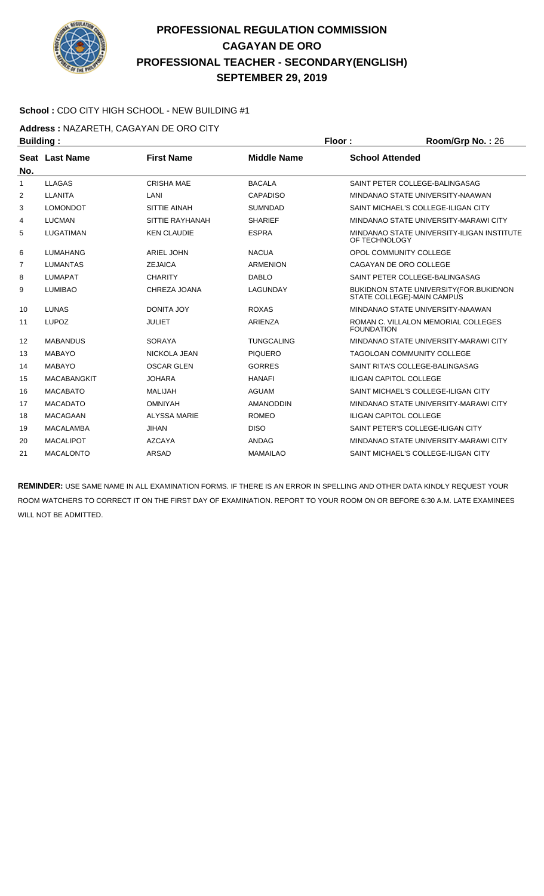

#### **School :** CDO CITY HIGH SCHOOL - NEW BUILDING #1

**Address :** NAZARETH, CAGAYAN DE ORO CITY

| <b>Building:</b> |                    |                     | Floor:             |                        | Room/Grp No.: 26                                                              |
|------------------|--------------------|---------------------|--------------------|------------------------|-------------------------------------------------------------------------------|
|                  | Seat Last Name     | <b>First Name</b>   | <b>Middle Name</b> | <b>School Attended</b> |                                                                               |
| No.              |                    |                     |                    |                        |                                                                               |
| 1                | <b>LLAGAS</b>      | <b>CRISHA MAE</b>   | <b>BACALA</b>      |                        | SAINT PETER COLLEGE-BALINGASAG                                                |
| 2                | <b>LLANITA</b>     | LANI                | <b>CAPADISO</b>    |                        | MINDANAO STATE UNIVERSITY-NAAWAN                                              |
| 3                | <b>LOMONDOT</b>    | <b>SITTIE AINAH</b> | <b>SUMNDAD</b>     |                        | SAINT MICHAEL'S COLLEGE-ILIGAN CITY                                           |
| 4                | <b>LUCMAN</b>      | SITTIE RAYHANAH     | <b>SHARIEF</b>     |                        | MINDANAO STATE UNIVERSITY-MARAWI CITY                                         |
| 5                | <b>LUGATIMAN</b>   | <b>KEN CLAUDIE</b>  | <b>ESPRA</b>       | OF TECHNOLOGY          | MINDANAO STATE UNIVERSITY-ILIGAN INSTITUTE                                    |
| 6                | <b>LUMAHANG</b>    | <b>ARIEL JOHN</b>   | <b>NACUA</b>       |                        | OPOL COMMUNITY COLLEGE                                                        |
| 7                | <b>LUMANTAS</b>    | <b>ZEJAICA</b>      | <b>ARMENION</b>    |                        | CAGAYAN DE ORO COLLEGE                                                        |
| 8                | <b>LUMAPAT</b>     | <b>CHARITY</b>      | <b>DABLO</b>       |                        | SAINT PETER COLLEGE-BALINGASAG                                                |
| 9                | <b>LUMIBAO</b>     | CHREZA JOANA        | <b>LAGUNDAY</b>    |                        | <b>BUKIDNON STATE UNIVERSITY (FOR. BUKIDNON</b><br>STATE COLLEGE)-MAIN CAMPUS |
| 10               | <b>LUNAS</b>       | DONITA JOY          | <b>ROXAS</b>       |                        | MINDANAO STATE UNIVERSITY-NAAWAN                                              |
| 11               | <b>LUPOZ</b>       | <b>JULIET</b>       | ARIENZA            | <b>FOUNDATION</b>      | ROMAN C. VILLALON MEMORIAL COLLEGES                                           |
| 12               | <b>MABANDUS</b>    | <b>SORAYA</b>       | <b>TUNGCALING</b>  |                        | MINDANAO STATE UNIVERSITY-MARAWI CITY                                         |
| 13               | <b>MABAYO</b>      | NICKOLA JEAN        | <b>PIQUERO</b>     |                        | TAGOLOAN COMMUNITY COLLEGE                                                    |
| 14               | <b>MABAYO</b>      | <b>OSCAR GLEN</b>   | <b>GORRES</b>      |                        | SAINT RITA'S COLLEGE-BALINGASAG                                               |
| 15               | <b>MACABANGKIT</b> | <b>JOHARA</b>       | <b>HANAFI</b>      |                        | <b>ILIGAN CAPITOL COLLEGE</b>                                                 |
| 16               | <b>MACABATO</b>    | <b>MALIJAH</b>      | <b>AGUAM</b>       |                        | SAINT MICHAEL'S COLLEGE-ILIGAN CITY                                           |
| 17               | <b>MACADATO</b>    | <b>OMNIYAH</b>      | <b>AMANODDIN</b>   |                        | MINDANAO STATE UNIVERSITY-MARAWI CITY                                         |
| 18               | <b>MACAGAAN</b>    | <b>ALYSSA MARIE</b> | <b>ROMEO</b>       |                        | <b>ILIGAN CAPITOL COLLEGE</b>                                                 |
| 19               | <b>MACALAMBA</b>   | <b>JIHAN</b>        | <b>DISO</b>        |                        | SAINT PETER'S COLLEGE-ILIGAN CITY                                             |
| 20               | <b>MACALIPOT</b>   | <b>AZCAYA</b>       | <b>ANDAG</b>       |                        | MINDANAO STATE UNIVERSITY-MARAWI CITY                                         |
| 21               | <b>MACALONTO</b>   | <b>ARSAD</b>        | <b>MAMAILAO</b>    |                        | SAINT MICHAEL'S COLLEGE-ILIGAN CITY                                           |
|                  |                    |                     |                    |                        |                                                                               |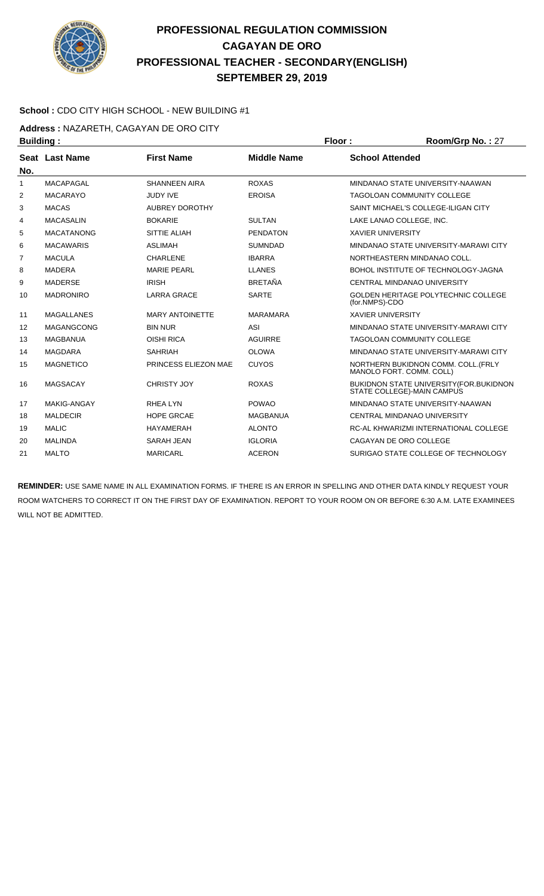

#### **School :** CDO CITY HIGH SCHOOL - NEW BUILDING #1

**Address :** NAZARETH, CAGAYAN DE ORO CITY

| <b>Building:</b> |                    |                        | Floor:<br>Room/Grp No.: 27 |                          |                                                                        |
|------------------|--------------------|------------------------|----------------------------|--------------------------|------------------------------------------------------------------------|
|                  | Seat Last Name     | <b>First Name</b>      | <b>Middle Name</b>         | <b>School Attended</b>   |                                                                        |
| No.              |                    |                        |                            |                          |                                                                        |
| 1                | <b>MACAPAGAL</b>   | <b>SHANNEEN AIRA</b>   | <b>ROXAS</b>               |                          | MINDANAO STATE UNIVERSITY-NAAWAN                                       |
| 2                | <b>MACARAYO</b>    | <b>JUDY IVE</b>        | <b>EROISA</b>              |                          | <b>TAGOLOAN COMMUNITY COLLEGE</b>                                      |
| 3                | <b>MACAS</b>       | <b>AUBREY DOROTHY</b>  |                            |                          | SAINT MICHAEL'S COLLEGE-ILIGAN CITY                                    |
| 4                | <b>MACASALIN</b>   | <b>BOKARIE</b>         | <b>SULTAN</b>              |                          | LAKE LANAO COLLEGE, INC.                                               |
| 5                | <b>MACATANONG</b>  | SITTIE ALIAH           | <b>PENDATON</b>            | <b>XAVIER UNIVERSITY</b> |                                                                        |
| 6                | <b>MACAWARIS</b>   | <b>ASLIMAH</b>         | <b>SUMNDAD</b>             |                          | MINDANAO STATE UNIVERSITY-MARAWI CITY                                  |
| $\overline{7}$   | <b>MACULA</b>      | <b>CHARLENE</b>        | <b>IBARRA</b>              |                          | NORTHEASTERN MINDANAO COLL.                                            |
| 8                | <b>MADERA</b>      | <b>MARIE PEARL</b>     | <b>LLANES</b>              |                          | BOHOL INSTITUTE OF TECHNOLOGY-JAGNA                                    |
| 9                | <b>MADERSE</b>     | <b>IRISH</b>           | <b>BRETAÑA</b>             |                          | CENTRAL MINDANAO UNIVERSITY                                            |
| 10               | <b>MADRONIRO</b>   | <b>LARRA GRACE</b>     | <b>SARTE</b>               | (for.NMPS)-CDO           | <b>GOLDEN HERITAGE POLYTECHNIC COLLEGE</b>                             |
| 11               | <b>MAGALLANES</b>  | <b>MARY ANTOINETTE</b> | <b>MARAMARA</b>            | <b>XAVIER UNIVERSITY</b> |                                                                        |
| 12               | <b>MAGANGCONG</b>  | <b>BIN NUR</b>         | <b>ASI</b>                 |                          | MINDANAO STATE UNIVERSITY-MARAWI CITY                                  |
| 13               | <b>MAGBANUA</b>    | <b>OISHI RICA</b>      | <b>AGUIRRE</b>             |                          | <b>TAGOLOAN COMMUNITY COLLEGE</b>                                      |
| 14               | <b>MAGDARA</b>     | <b>SAHRIAH</b>         | <b>OLOWA</b>               |                          | MINDANAO STATE UNIVERSITY-MARAWI CITY                                  |
| 15               | <b>MAGNETICO</b>   | PRINCESS ELIEZON MAE   | <b>CUYOS</b>               |                          | NORTHERN BUKIDNON COMM. COLL. (FRLY<br>MANOLO FORT. COMM. COLL)        |
| 16               | <b>MAGSACAY</b>    | <b>CHRISTY JOY</b>     | <b>ROXAS</b>               |                          | BUKIDNON STATE UNIVERSITY (FOR. BUKIDNON<br>STATE COLLEGE)-MAIN CAMPUS |
| 17               | <b>MAKIG-ANGAY</b> | RHEA LYN               | <b>POWAO</b>               |                          | MINDANAO STATE UNIVERSITY-NAAWAN                                       |
| 18               | <b>MALDECIR</b>    | <b>HOPE GRCAE</b>      | <b>MAGBANUA</b>            |                          | CENTRAL MINDANAO UNIVERSITY                                            |
| 19               | <b>MALIC</b>       | <b>HAYAMERAH</b>       | <b>ALONTO</b>              |                          | RC-AL KHWARIZMI INTERNATIONAL COLLEGE                                  |
| 20               | <b>MALINDA</b>     | <b>SARAH JEAN</b>      | <b>IGLORIA</b>             |                          | CAGAYAN DE ORO COLLEGE                                                 |
| 21               | <b>MALTO</b>       | <b>MARICARL</b>        | <b>ACERON</b>              |                          | SURIGAO STATE COLLEGE OF TECHNOLOGY                                    |
|                  |                    |                        |                            |                          |                                                                        |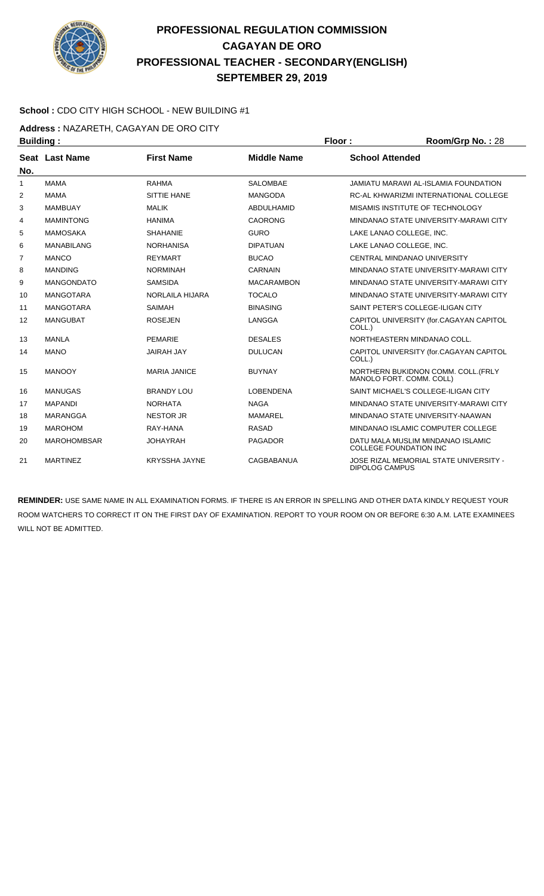

#### **School :** CDO CITY HIGH SCHOOL - NEW BUILDING #1

**Address :** NAZARETH, CAGAYAN DE ORO CITY

|                | Floor:<br><b>Building:</b> |                      |                    | Room/Grp No.: 28       |                                                                    |
|----------------|----------------------------|----------------------|--------------------|------------------------|--------------------------------------------------------------------|
| Seat           | <b>Last Name</b>           | <b>First Name</b>    | <b>Middle Name</b> | <b>School Attended</b> |                                                                    |
| No.            |                            |                      |                    |                        |                                                                    |
| 1              | <b>MAMA</b>                | <b>RAHMA</b>         | <b>SAI OMBAF</b>   |                        | JAMIATU MARAWI AL-ISI AMIA FOUNDATION                              |
| 2              | <b>MAMA</b>                | <b>SITTIE HANE</b>   | <b>MANGODA</b>     |                        | RC-AL KHWARIZMI INTERNATIONAL COLLEGE                              |
| 3              | <b>MAMBUAY</b>             | <b>MALIK</b>         | <b>ABDULHAMID</b>  |                        | MISAMIS INSTITUTE OF TECHNOLOGY                                    |
| 4              | <b>MAMINTONG</b>           | <b>HANIMA</b>        | <b>CAORONG</b>     |                        | MINDANAO STATE UNIVERSITY-MARAWI CITY                              |
| 5              | <b>MAMOSAKA</b>            | <b>SHAHANIE</b>      | <b>GURO</b>        |                        | LAKE LANAO COLLEGE. INC.                                           |
| 6              | <b>MANABILANG</b>          | <b>NORHANISA</b>     | <b>DIPATUAN</b>    |                        | LAKE LANAO COLLEGE. INC.                                           |
| $\overline{7}$ | <b>MANCO</b>               | <b>REYMART</b>       | <b>BUCAO</b>       |                        | <b>CENTRAL MINDANAO UNIVERSITY</b>                                 |
| 8              | <b>MANDING</b>             | <b>NORMINAH</b>      | <b>CARNAIN</b>     |                        | MINDANAO STATE UNIVERSITY-MARAWI CITY                              |
| 9              | <b>MANGONDATO</b>          | <b>SAMSIDA</b>       | <b>MACARAMBON</b>  |                        | MINDANAO STATE UNIVERSITY-MARAWI CITY                              |
| 10             | <b>MANGOTARA</b>           | NORLAILA HIJARA      | <b>TOCALO</b>      |                        | MINDANAO STATE UNIVERSITY-MARAWI CITY                              |
| 11             | <b>MANGOTARA</b>           | <b>SAIMAH</b>        | <b>BINASING</b>    |                        | SAINT PETER'S COLLEGE-ILIGAN CITY                                  |
| 12             | <b>MANGUBAT</b>            | <b>ROSEJEN</b>       | LANGGA             | COLL.)                 | CAPITOL UNIVERSITY (for.CAGAYAN CAPITOL                            |
| 13             | <b>MANLA</b>               | <b>PEMARIE</b>       | <b>DESALES</b>     |                        | NORTHEASTERN MINDANAO COLL.                                        |
| 14             | <b>MANO</b>                | <b>JAIRAH JAY</b>    | <b>DULUCAN</b>     | COLL.)                 | CAPITOL UNIVERSITY (for.CAGAYAN CAPITOL                            |
| 15             | <b>MANOOY</b>              | <b>MARIA JANICE</b>  | <b>BUYNAY</b>      |                        | NORTHERN BUKIDNON COMM. COLL.(FRLY<br>MANOLO FORT. COMM. COLL)     |
| 16             | <b>MANUGAS</b>             | <b>BRANDY LOU</b>    | <b>LOBENDENA</b>   |                        | SAINT MICHAEL'S COLLEGE-ILIGAN CITY                                |
| 17             | <b>MAPANDI</b>             | <b>NORHATA</b>       | <b>NAGA</b>        |                        | MINDANAO STATE UNIVERSITY-MARAWI CITY                              |
| 18             | MARANGGA                   | <b>NESTOR JR</b>     | MAMAREL            |                        | MINDANAO STATE UNIVERSITY-NAAWAN                                   |
| 19             | <b>MAROHOM</b>             | RAY-HANA             | <b>RASAD</b>       |                        | MINDANAO ISLAMIC COMPUTER COLLEGE                                  |
| 20             | <b>MAROHOMBSAR</b>         | <b>JOHAYRAH</b>      | <b>PAGADOR</b>     |                        | DATU MALA MUSLIM MINDANAO ISLAMIC<br><b>COLLEGE FOUNDATION INC</b> |
| 21             | <b>MARTINEZ</b>            | <b>KRYSSHA JAYNE</b> | CAGBABANUA         | <b>DIPOLOG CAMPUS</b>  | JOSE RIZAL MEMORIAL STATE UNIVERSITY -                             |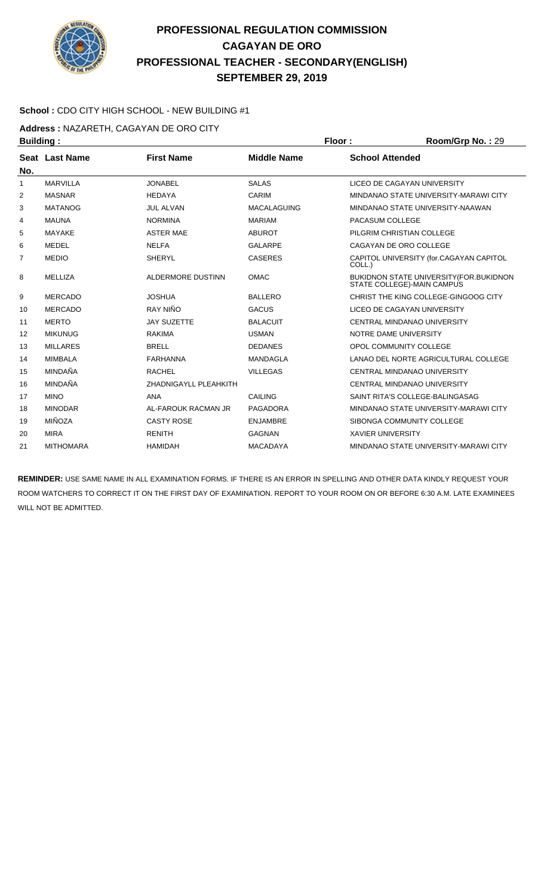

#### **School :** CDO CITY HIGH SCHOOL - NEW BUILDING #1

**Address :** NAZARETH, CAGAYAN DE ORO CITY

| <b>Building:</b> |                  |                          |                    | Floor:                   | Room/Grp No.: 29                                                             |
|------------------|------------------|--------------------------|--------------------|--------------------------|------------------------------------------------------------------------------|
| Seat             | <b>Last Name</b> | <b>First Name</b>        | <b>Middle Name</b> | <b>School Attended</b>   |                                                                              |
| No.              |                  |                          |                    |                          |                                                                              |
| $\mathbf{1}$     | <b>MARVILLA</b>  | <b>JONABEL</b>           | <b>SALAS</b>       |                          | LICEO DE CAGAYAN UNIVERSITY                                                  |
| 2                | <b>MASNAR</b>    | <b>HEDAYA</b>            | CARIM              |                          | MINDANAO STATE UNIVERSITY-MARAWI CITY                                        |
| 3                | <b>MATANOG</b>   | <b>JUL ALVAN</b>         | <b>MACALAGUING</b> |                          | MINDANAO STATE UNIVERSITY-NAAWAN                                             |
| 4                | <b>MAUNA</b>     | <b>NORMINA</b>           | <b>MARIAM</b>      | PACASUM COLLEGE          |                                                                              |
| 5                | <b>MAYAKE</b>    | <b>ASTER MAE</b>         | <b>ABUROT</b>      |                          | PILGRIM CHRISTIAN COLLEGE                                                    |
| 6                | MEDEL            | <b>NELFA</b>             | <b>GALARPE</b>     |                          | CAGAYAN DE ORO COLLEGE                                                       |
| 7                | <b>MEDIO</b>     | <b>SHERYL</b>            | <b>CASERES</b>     | COLL.)                   | CAPITOL UNIVERSITY (for.CAGAYAN CAPITOL                                      |
| 8                | <b>MELLIZA</b>   | <b>ALDERMORE DUSTINN</b> | <b>OMAC</b>        |                          | <b>BUKIDNON STATE UNIVERSITY (FOR.BUKIDNON</b><br>STATE COLLEGE)-MAIN CAMPUS |
| 9                | <b>MERCADO</b>   | <b>JOSHUA</b>            | <b>BALLERO</b>     |                          | CHRIST THE KING COLLEGE-GINGOOG CITY                                         |
| 10               | <b>MERCADO</b>   | RAY NIÑO                 | <b>GACUS</b>       |                          | LICEO DE CAGAYAN UNIVERSITY                                                  |
| 11               | <b>MERTO</b>     | <b>JAY SUZETTE</b>       | <b>BALACUIT</b>    |                          | CENTRAL MINDANAO UNIVERSITY                                                  |
| 12               | <b>MIKUNUG</b>   | <b>RAKIMA</b>            | <b>USMAN</b>       |                          | NOTRE DAME UNIVERSITY                                                        |
| 13               | <b>MILLARES</b>  | <b>BRELL</b>             | <b>DEDANES</b>     |                          | OPOL COMMUNITY COLLEGE                                                       |
| 14               | <b>MIMBALA</b>   | <b>FARHANNA</b>          | <b>MANDAGLA</b>    |                          | LANAO DEL NORTE AGRICULTURAL COLLEGE                                         |
| 15               | MINDAÑA          | <b>RACHEL</b>            | <b>VILLEGAS</b>    |                          | CENTRAL MINDANAO UNIVERSITY                                                  |
| 16               | MINDAÑA          | ZHADNIGAYLL PLEAHKITH    |                    |                          | CENTRAL MINDANAO UNIVERSITY                                                  |
| 17               | <b>MINO</b>      | <b>ANA</b>               | <b>CAILING</b>     |                          | SAINT RITA'S COLLEGE-BALINGASAG                                              |
| 18               | <b>MINODAR</b>   | AL-FAROUK RACMAN JR      | PAGADORA           |                          | MINDANAO STATE UNIVERSITY-MARAWI CITY                                        |
| 19               | <b>MIÑOZA</b>    | <b>CASTY ROSE</b>        | <b>ENJAMBRE</b>    |                          | SIBONGA COMMUNITY COLLEGE                                                    |
| 20               | <b>MIRA</b>      | <b>RENITH</b>            | <b>GAGNAN</b>      | <b>XAVIER UNIVERSITY</b> |                                                                              |
| 21               | <b>MITHOMARA</b> | <b>HAMIDAH</b>           | <b>MACADAYA</b>    |                          | MINDANAO STATE UNIVERSITY-MARAWI CITY                                        |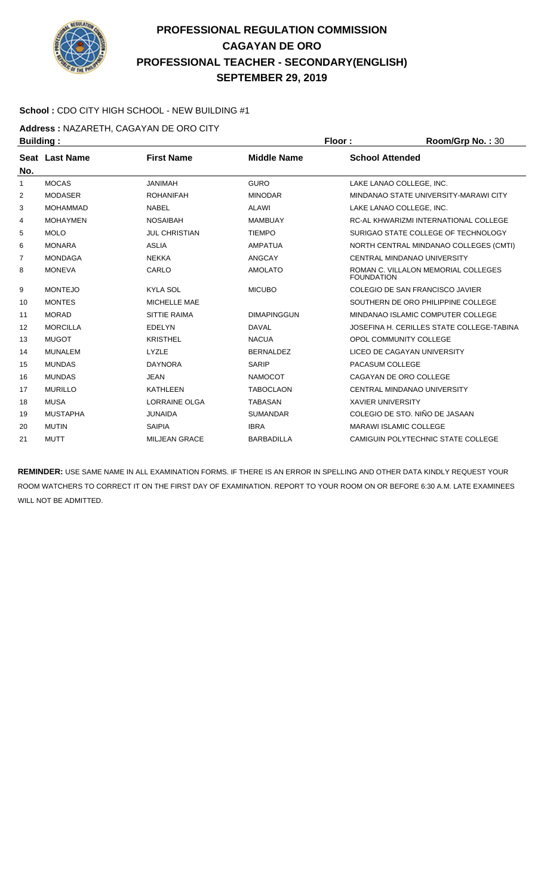

#### **School :** CDO CITY HIGH SCHOOL - NEW BUILDING #1

Address : NAZARETH, CAGAYAN DE ORO CITY

| <b>Building:</b> |                 |                      |                    | Floor:                   | Room/Grp No.: 30                          |
|------------------|-----------------|----------------------|--------------------|--------------------------|-------------------------------------------|
|                  | Seat Last Name  | <b>First Name</b>    | <b>Middle Name</b> | <b>School Attended</b>   |                                           |
| No.              |                 |                      |                    |                          |                                           |
| 1                | <b>MOCAS</b>    | <b>JANIMAH</b>       | <b>GURO</b>        |                          | LAKE LANAO COLLEGE. INC.                  |
| 2                | <b>MODASER</b>  | <b>ROHANIFAH</b>     | <b>MINODAR</b>     |                          | MINDANAO STATE UNIVERSITY-MARAWI CITY     |
| 3                | <b>MOHAMMAD</b> | <b>NABEL</b>         | <b>ALAWI</b>       |                          | LAKE LANAO COLLEGE. INC.                  |
| 4                | <b>MOHAYMEN</b> | <b>NOSAIBAH</b>      | <b>MAMBUAY</b>     |                          | RC-AL KHWARIZMI INTERNATIONAL COLLEGE     |
| 5                | <b>MOLO</b>     | <b>JUL CHRISTIAN</b> | <b>TIEMPO</b>      |                          | SURIGAO STATE COLLEGE OF TECHNOLOGY       |
| 6                | <b>MONARA</b>   | <b>ASLIA</b>         | <b>AMPATUA</b>     |                          | NORTH CENTRAL MINDANAO COLLEGES (CMTI)    |
| 7                | <b>MONDAGA</b>  | <b>NEKKA</b>         | ANGCAY             |                          | CENTRAL MINDANAO UNIVERSITY               |
| 8                | <b>MONEVA</b>   | CARLO                | <b>AMOLATO</b>     | <b>FOUNDATION</b>        | ROMAN C. VILLALON MEMORIAL COLLEGES       |
| 9                | <b>MONTEJO</b>  | <b>KYLA SOL</b>      | <b>MICUBO</b>      |                          | COLEGIO DE SAN FRANCISCO JAVIER           |
| 10               | <b>MONTES</b>   | MICHELLE MAE         |                    |                          | SOUTHERN DE ORO PHILIPPINE COLLEGE        |
| 11               | <b>MORAD</b>    | <b>SITTIE RAIMA</b>  | <b>DIMAPINGGUN</b> |                          | MINDANAO ISLAMIC COMPUTER COLLEGE         |
| 12               | <b>MORCILLA</b> | <b>EDELYN</b>        | <b>DAVAL</b>       |                          | JOSEFINA H. CERILLES STATE COLLEGE-TABINA |
| 13               | <b>MUGOT</b>    | <b>KRISTHEL</b>      | <b>NACUA</b>       |                          | OPOL COMMUNITY COLLEGE                    |
| 14               | <b>MUNALEM</b>  | LYZLE                | <b>BERNALDEZ</b>   |                          | LICEO DE CAGAYAN UNIVERSITY               |
| 15               | <b>MUNDAS</b>   | <b>DAYNORA</b>       | <b>SARIP</b>       | PACASUM COLLEGE          |                                           |
| 16               | <b>MUNDAS</b>   | <b>JEAN</b>          | <b>NAMOCOT</b>     |                          | CAGAYAN DE ORO COLLEGE                    |
| 17               | <b>MURILLO</b>  | <b>KATHLEEN</b>      | <b>TABOCLAON</b>   |                          | CENTRAL MINDANAO UNIVERSITY               |
| 18               | <b>MUSA</b>     | <b>LORRAINE OLGA</b> | <b>TABASAN</b>     | <b>XAVIER UNIVERSITY</b> |                                           |
| 19               | <b>MUSTAPHA</b> | <b>JUNAIDA</b>       | <b>SUMANDAR</b>    |                          | COLEGIO DE STO. NIÑO DE JASAAN            |
| 20               | <b>MUTIN</b>    | <b>SAIPIA</b>        | <b>IBRA</b>        |                          | <b>MARAWI ISLAMIC COLLEGE</b>             |
| 21               | <b>MUTT</b>     | <b>MILJEAN GRACE</b> | <b>BARBADILLA</b>  |                          | CAMIGUIN POLYTECHNIC STATE COLLEGE        |
|                  |                 |                      |                    |                          |                                           |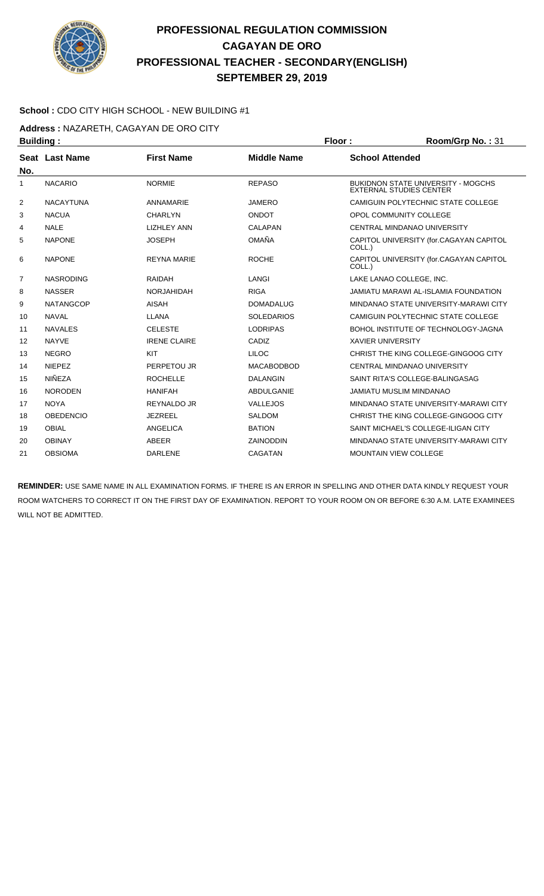

#### **School :** CDO CITY HIGH SCHOOL - NEW BUILDING #1

**Address :** NAZARETH, CAGAYAN DE ORO CITY

| <b>Building:</b> |                  |                     |                    | Floor:<br>Room/Grp No.: 31 |                                                                             |  |
|------------------|------------------|---------------------|--------------------|----------------------------|-----------------------------------------------------------------------------|--|
|                  | Seat Last Name   | <b>First Name</b>   | <b>Middle Name</b> | <b>School Attended</b>     |                                                                             |  |
| No.              |                  |                     |                    |                            |                                                                             |  |
| 1                | <b>NACARIO</b>   | <b>NORMIE</b>       | <b>REPASO</b>      |                            | <b>BUKIDNON STATE UNIVERSITY - MOGCHS</b><br><b>EXTERNAL STUDIES CENTER</b> |  |
| 2                | <b>NACAYTUNA</b> | ANNAMARIE           | <b>JAMERO</b>      |                            | CAMIGUIN POLYTECHNIC STATE COLLEGE                                          |  |
| 3                | <b>NACUA</b>     | <b>CHARLYN</b>      | <b>ONDOT</b>       |                            | OPOL COMMUNITY COLLEGE                                                      |  |
| 4                | <b>NALE</b>      | <b>LIZHLEY ANN</b>  | <b>CALAPAN</b>     |                            | CENTRAL MINDANAO UNIVERSITY                                                 |  |
| 5                | <b>NAPONE</b>    | <b>JOSEPH</b>       | OMAÑA              | COLL.)                     | CAPITOL UNIVERSITY (for.CAGAYAN CAPITOL                                     |  |
| 6                | <b>NAPONE</b>    | <b>REYNA MARIE</b>  | <b>ROCHE</b>       | COLL.)                     | CAPITOL UNIVERSITY (for.CAGAYAN CAPITOL                                     |  |
| 7                | <b>NASRODING</b> | <b>RAIDAH</b>       | LANGI              |                            | LAKE LANAO COLLEGE, INC.                                                    |  |
| 8                | <b>NASSER</b>    | <b>NORJAHIDAH</b>   | <b>RIGA</b>        |                            | <b>JAMIATU MARAWI AL-ISLAMIA FOUNDATION</b>                                 |  |
| 9                | <b>NATANGCOP</b> | <b>AISAH</b>        | <b>DOMADALUG</b>   |                            | MINDANAO STATE UNIVERSITY-MARAWI CITY                                       |  |
| 10               | <b>NAVAL</b>     | <b>LLANA</b>        | <b>SOLEDARIOS</b>  |                            | CAMIGUIN POLYTECHNIC STATE COLLEGE                                          |  |
| 11               | <b>NAVALES</b>   | <b>CELESTE</b>      | <b>LODRIPAS</b>    |                            | BOHOL INSTITUTE OF TECHNOLOGY-JAGNA                                         |  |
| 12               | <b>NAYVE</b>     | <b>IRENE CLAIRE</b> | CADIZ              | <b>XAVIER UNIVERSITY</b>   |                                                                             |  |
| 13               | <b>NEGRO</b>     | KIT                 | <b>LILOC</b>       |                            | CHRIST THE KING COLLEGE-GINGOOG CITY                                        |  |
| 14               | <b>NIEPEZ</b>    | PERPETOU JR         | <b>MACABODBOD</b>  |                            | CENTRAL MINDANAO UNIVERSITY                                                 |  |
| 15               | NIÑEZA           | <b>ROCHELLE</b>     | <b>DALANGIN</b>    |                            | SAINT RITA'S COLLEGE-BALINGASAG                                             |  |
| 16               | <b>NORODEN</b>   | <b>HANIFAH</b>      | <b>ABDULGANIE</b>  |                            | <b>JAMIATU MUSLIM MINDANAO</b>                                              |  |
| 17               | <b>NOYA</b>      | REYNALDO JR         | <b>VALLEJOS</b>    |                            | MINDANAO STATE UNIVERSITY-MARAWI CITY                                       |  |
| 18               | <b>OBEDENCIO</b> | <b>JEZREEL</b>      | <b>SALDOM</b>      |                            | CHRIST THE KING COLLEGE-GINGOOG CITY                                        |  |
| 19               | <b>OBIAL</b>     | <b>ANGELICA</b>     | <b>BATION</b>      |                            | SAINT MICHAEL'S COLLEGE-ILIGAN CITY                                         |  |
| 20               | <b>OBINAY</b>    | ABEER               | <b>ZAINODDIN</b>   |                            | MINDANAO STATE UNIVERSITY-MARAWI CITY                                       |  |
| 21               | <b>OBSIOMA</b>   | <b>DARLENE</b>      | <b>CAGATAN</b>     |                            | <b>MOUNTAIN VIEW COLLEGE</b>                                                |  |
|                  |                  |                     |                    |                            |                                                                             |  |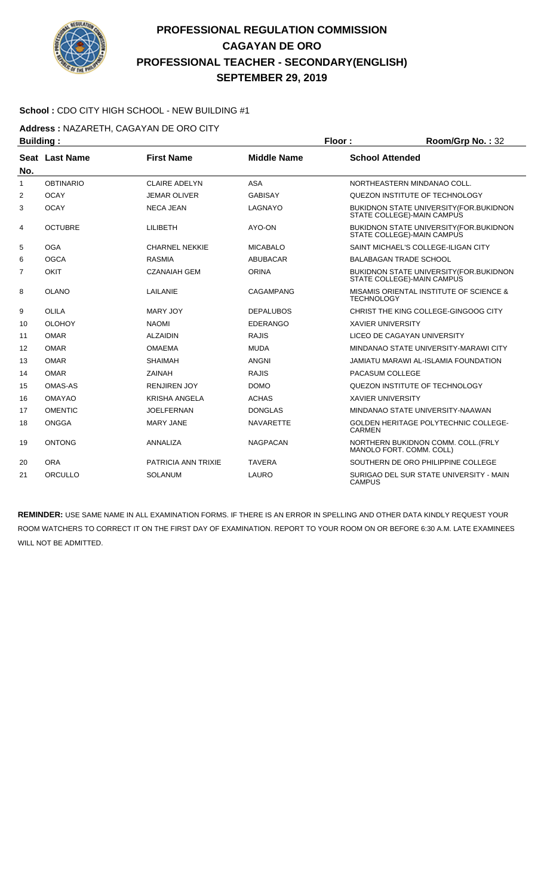

#### **School :** CDO CITY HIGH SCHOOL - NEW BUILDING #1

**Address :** NAZARETH, CAGAYAN DE ORO CITY

| <b>Building:</b> |                       |                       |                    | Floor:            | Room/Grp No.: 32                                                               |
|------------------|-----------------------|-----------------------|--------------------|-------------------|--------------------------------------------------------------------------------|
|                  | <b>Seat Last Name</b> | <b>First Name</b>     | <b>Middle Name</b> |                   | <b>School Attended</b>                                                         |
| No.              |                       |                       |                    |                   |                                                                                |
| $\mathbf{1}$     | <b>OBTINARIO</b>      | <b>CLAIRE ADELYN</b>  | <b>ASA</b>         |                   | NORTHEASTERN MINDANAO COLL.                                                    |
| 2                | <b>OCAY</b>           | <b>JEMAR OLIVER</b>   | <b>GABISAY</b>     |                   | QUEZON INSTITUTE OF TECHNOLOGY                                                 |
| 3                | <b>OCAY</b>           | <b>NECA JEAN</b>      | LAGNAYO            |                   | BUKIDNON STATE UNIVERSITY (FOR. BUKIDNON<br>STATE COLLEGE)-MAIN CAMPUS         |
| 4                | <b>OCTUBRE</b>        | <b>LILIBETH</b>       | AYO-ON             |                   | BUKIDNON STATE UNIVERSITY(FOR.BUKIDNON<br>STATE COLLEGE)-MAIN CAMPUS           |
| 5                | <b>OGA</b>            | <b>CHARNEL NEKKIE</b> | <b>MICABALO</b>    |                   | SAINT MICHAEL'S COLLEGE-ILIGAN CITY                                            |
| 6                | <b>OGCA</b>           | <b>RASMIA</b>         | <b>ABUBACAR</b>    |                   | <b>BALABAGAN TRADE SCHOOL</b>                                                  |
| $\overline{7}$   | OKIT                  | <b>CZANAIAH GEM</b>   | <b>ORINA</b>       |                   | <b>BUKIDNON STATE UNIVERSITY (FOR. BUKIDNON)</b><br>STATE COLLEGE)-MAIN CAMPUS |
| 8                | <b>OLANO</b>          | LAILANIE              | CAGAMPANG          | <b>TECHNOLOGY</b> | MISAMIS ORIENTAL INSTITUTE OF SCIENCE &                                        |
| 9                | <b>OLILA</b>          | <b>MARY JOY</b>       | <b>DEPALUBOS</b>   |                   | CHRIST THE KING COLLEGE-GINGOOG CITY                                           |
| 10               | <b>OLOHOY</b>         | <b>NAOMI</b>          | <b>EDERANGO</b>    |                   | <b>XAVIER UNIVERSITY</b>                                                       |
| 11               | <b>OMAR</b>           | <b>ALZAIDIN</b>       | <b>RAJIS</b>       |                   | LICEO DE CAGAYAN UNIVERSITY                                                    |
| 12               | <b>OMAR</b>           | <b>OMAEMA</b>         | <b>MUDA</b>        |                   | MINDANAO STATE UNIVERSITY-MARAWI CITY                                          |
| 13               | <b>OMAR</b>           | <b>SHAIMAH</b>        | <b>ANGNI</b>       |                   | JAMIATU MARAWI AL-ISLAMIA FOUNDATION                                           |
| 14               | <b>OMAR</b>           | ZAINAH                | <b>RAJIS</b>       |                   | PACASUM COLLEGE                                                                |
| 15               | <b>OMAS-AS</b>        | <b>RENJIREN JOY</b>   | <b>DOMO</b>        |                   | QUEZON INSTITUTE OF TECHNOLOGY                                                 |
| 16               | <b>OMAYAO</b>         | <b>KRISHA ANGELA</b>  | <b>ACHAS</b>       |                   | <b>XAVIER UNIVERSITY</b>                                                       |
| 17               | <b>OMENTIC</b>        | <b>JOELFERNAN</b>     | <b>DONGLAS</b>     |                   | MINDANAO STATE UNIVERSITY-NAAWAN                                               |
| 18               | ONGGA                 | <b>MARY JANE</b>      | <b>NAVARETTE</b>   | <b>CARMEN</b>     | <b>GOLDEN HERITAGE POLYTECHNIC COLLEGE-</b>                                    |
| 19               | <b>ONTONG</b>         | <b>ANNALIZA</b>       | <b>NAGPACAN</b>    |                   | NORTHERN BUKIDNON COMM. COLL. (FRLY<br>MANOLO FORT. COMM. COLL)                |
| 20               | <b>ORA</b>            | PATRICIA ANN TRIXIE   | <b>TAVERA</b>      |                   | SOUTHERN DE ORO PHILIPPINE COLLEGE                                             |
| 21               | ORCULLO               | <b>SOLANUM</b>        | LAURO              | <b>CAMPUS</b>     | SURIGAO DEL SUR STATE UNIVERSITY - MAIN                                        |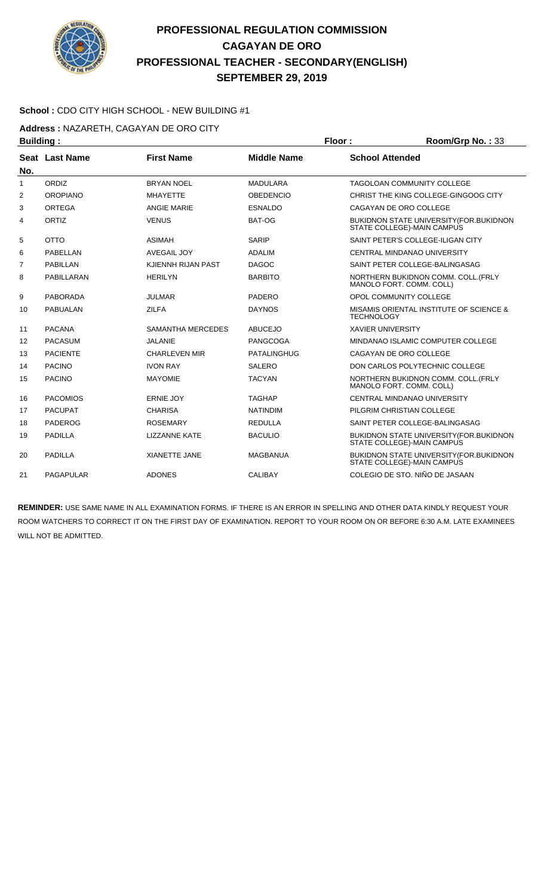

#### **School :** CDO CITY HIGH SCHOOL - NEW BUILDING #1

**Address :** NAZARETH, CAGAYAN DE ORO CITY

| <b>Building:</b> |                  |                      |                    | Floor:                   | Room/Grp No.: 33                                                             |
|------------------|------------------|----------------------|--------------------|--------------------------|------------------------------------------------------------------------------|
|                  | Seat Last Name   | <b>First Name</b>    | <b>Middle Name</b> | <b>School Attended</b>   |                                                                              |
| No.              |                  |                      |                    |                          |                                                                              |
| $\mathbf{1}$     | ORDIZ            | <b>BRYAN NOEL</b>    | <b>MADULARA</b>    |                          | <b>TAGOLOAN COMMUNITY COLLEGE</b>                                            |
| 2                | <b>OROPIANO</b>  | <b>MHAYETTE</b>      | <b>OBEDENCIO</b>   |                          | CHRIST THE KING COLLEGE-GINGOOG CITY                                         |
| 3                | <b>ORTEGA</b>    | <b>ANGIE MARIE</b>   | <b>ESNALDO</b>     |                          | CAGAYAN DE ORO COLLEGE                                                       |
| 4                | ORTIZ            | <b>VENUS</b>         | BAT-OG             |                          | BUKIDNON STATE UNIVERSITY (FOR. BUKIDNON<br>STATE COLLEGE)-MAIN CAMPUS       |
| 5                | <b>OTTO</b>      | <b>ASIMAH</b>        | <b>SARIP</b>       |                          | SAINT PETER'S COLLEGE-ILIGAN CITY                                            |
| 6                | PABELLAN         | <b>AVEGAIL JOY</b>   | <b>ADALIM</b>      |                          | CENTRAL MINDANAO UNIVERSITY                                                  |
| $\overline{7}$   | <b>PABILLAN</b>  | KJIENNH RIJAN PAST   | <b>DAGOC</b>       |                          | SAINT PETER COLLEGE-BALINGASAG                                               |
| 8                | PABILLARAN       | <b>HERILYN</b>       | <b>BARBITO</b>     |                          | NORTHERN BUKIDNON COMM. COLL. (FRLY<br>MANOLO FORT, COMM, COLL)              |
| 9                | <b>PABORADA</b>  | <b>JULMAR</b>        | PADERO             |                          | OPOL COMMUNITY COLLEGE                                                       |
| 10               | <b>PABUALAN</b>  | <b>ZILFA</b>         | <b>DAYNOS</b>      | <b>TECHNOLOGY</b>        | MISAMIS ORIENTAL INSTITUTE OF SCIENCE &                                      |
| 11               | <b>PACANA</b>    | SAMANTHA MERCEDES    | <b>ABUCEJO</b>     | <b>XAVIER UNIVERSITY</b> |                                                                              |
| 12               | <b>PACASUM</b>   | JALANIE              | PANGCOGA           |                          | MINDANAO ISLAMIC COMPUTER COLLEGE                                            |
| 13               | <b>PACIENTE</b>  | <b>CHARLEVEN MIR</b> | <b>PATALINGHUG</b> |                          | CAGAYAN DE ORO COLLEGE                                                       |
| 14               | <b>PACINO</b>    | <b>IVON RAY</b>      | <b>SALERO</b>      |                          | DON CARLOS POLYTECHNIC COLLEGE                                               |
| 15               | <b>PACINO</b>    | <b>MAYOMIE</b>       | <b>TACYAN</b>      |                          | NORTHERN BUKIDNON COMM. COLL. (FRLY<br>MANOLO FORT, COMM, COLL)              |
| 16               | <b>PACOMIOS</b>  | <b>ERNIE JOY</b>     | <b>TAGHAP</b>      |                          | CENTRAL MINDANAO UNIVERSITY                                                  |
| 17               | <b>PACUPAT</b>   | <b>CHARISA</b>       | <b>NATINDIM</b>    |                          | PILGRIM CHRISTIAN COLLEGE                                                    |
| 18               | PADEROG          | <b>ROSEMARY</b>      | <b>REDULLA</b>     |                          | SAINT PETER COLLEGE-BALINGASAG                                               |
| 19               | <b>PADILLA</b>   | <b>LIZZANNE KATE</b> | <b>BACULIO</b>     |                          | <b>BUKIDNON STATE UNIVERSITY (FOR.BUKIDNON</b><br>STATE COLLEGE)-MAIN CAMPUS |
| 20               | <b>PADILLA</b>   | <b>XIANETTE JANE</b> | <b>MAGBANUA</b>    |                          | BUKIDNON STATE UNIVERSITY (FOR. BUKIDNON<br>STATE COLLEGE)-MAIN CAMPUS       |
| 21               | <b>PAGAPULAR</b> | <b>ADONES</b>        | <b>CALIBAY</b>     |                          | COLEGIO DE STO. NIÑO DE JASAAN                                               |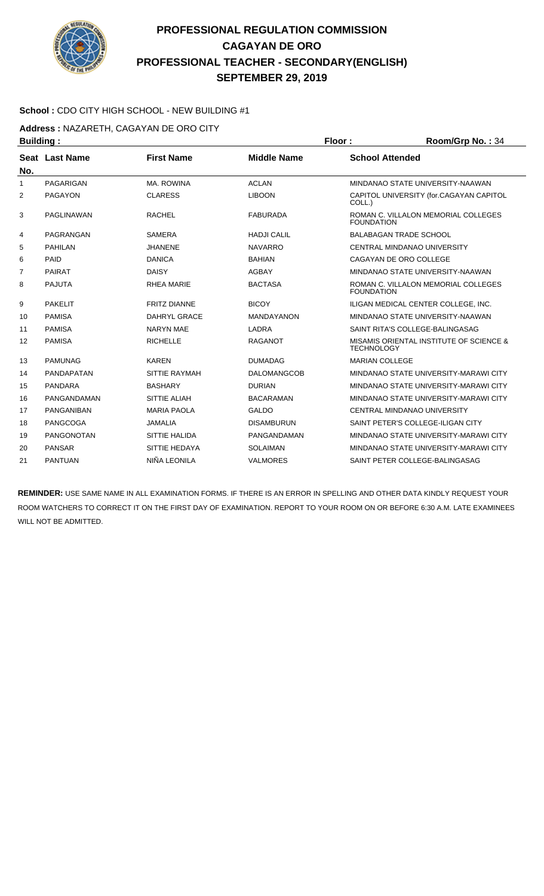

#### **School :** CDO CITY HIGH SCHOOL - NEW BUILDING #1

**Address :** NAZARETH, CAGAYAN DE ORO CITY

| <b>Building:</b> |                   |                     |                    | Floor:                 | Room/Grp No.: 34                        |
|------------------|-------------------|---------------------|--------------------|------------------------|-----------------------------------------|
|                  | Seat Last Name    | <b>First Name</b>   | <b>Middle Name</b> | <b>School Attended</b> |                                         |
| No.              |                   |                     |                    |                        |                                         |
| 1                | PAGARIGAN         | MA, ROWINA          | <b>ACLAN</b>       |                        | MINDANAO STATE UNIVERSITY-NAAWAN        |
| 2                | <b>PAGAYON</b>    | <b>CLARESS</b>      | <b>LIBOON</b>      | COLL.)                 | CAPITOL UNIVERSITY (for.CAGAYAN CAPITOL |
| 3                | PAGLINAWAN        | <b>RACHEL</b>       | <b>FABURADA</b>    | <b>FOUNDATION</b>      | ROMAN C. VILLALON MEMORIAL COLLEGES     |
| 4                | PAGRANGAN         | <b>SAMERA</b>       | <b>HADJI CALIL</b> |                        | <b>BALABAGAN TRADE SCHOOL</b>           |
| 5                | <b>PAHILAN</b>    | <b>JHANENE</b>      | <b>NAVARRO</b>     |                        | CENTRAL MINDANAO UNIVERSITY             |
| 6                | PAID              | <b>DANICA</b>       | <b>BAHIAN</b>      |                        | CAGAYAN DE ORO COLLEGE                  |
| 7                | <b>PAIRAT</b>     | <b>DAISY</b>        | <b>AGBAY</b>       |                        | MINDANAO STATE UNIVERSITY-NAAWAN        |
| 8                | <b>PAJUTA</b>     | <b>RHEA MARIE</b>   | <b>BACTASA</b>     | <b>FOUNDATION</b>      | ROMAN C. VILLALON MEMORIAL COLLEGES     |
| 9                | <b>PAKELIT</b>    | <b>FRITZ DIANNE</b> | <b>BICOY</b>       |                        | ILIGAN MEDICAL CENTER COLLEGE, INC.     |
| 10               | <b>PAMISA</b>     | DAHRYL GRACE        | <b>MANDAYANON</b>  |                        | MINDANAO STATE UNIVERSITY-NAAWAN        |
| 11               | <b>PAMISA</b>     | <b>NARYN MAE</b>    | LADRA              |                        | SAINT RITA'S COLLEGE-BALINGASAG         |
| 12               | <b>PAMISA</b>     | <b>RICHELLE</b>     | <b>RAGANOT</b>     | <b>TECHNOLOGY</b>      | MISAMIS ORIENTAL INSTITUTE OF SCIENCE & |
| 13               | <b>PAMUNAG</b>    | <b>KAREN</b>        | <b>DUMADAG</b>     | <b>MARIAN COLLEGE</b>  |                                         |
| 14               | <b>PANDAPATAN</b> | SITTIE RAYMAH       | <b>DALOMANGCOB</b> |                        | MINDANAO STATE UNIVERSITY-MARAWI CITY   |
| 15               | <b>PANDARA</b>    | <b>BASHARY</b>      | <b>DURIAN</b>      |                        | MINDANAO STATE UNIVERSITY-MARAWI CITY   |
| 16               | PANGANDAMAN       | SITTIE ALIAH        | <b>BACARAMAN</b>   |                        | MINDANAO STATE UNIVERSITY-MARAWI CITY   |
| 17               | PANGANIBAN        | <b>MARIA PAOLA</b>  | <b>GALDO</b>       |                        | CENTRAL MINDANAO UNIVERSITY             |
| 18               | <b>PANGCOGA</b>   | <b>JAMALIA</b>      | <b>DISAMBURUN</b>  |                        | SAINT PETER'S COLLEGE-ILIGAN CITY       |
| 19               | <b>PANGONOTAN</b> | SITTIE HALIDA       | PANGANDAMAN        |                        | MINDANAO STATE UNIVERSITY-MARAWI CITY   |
| 20               | <b>PANSAR</b>     | SITTIE HEDAYA       | <b>SOLAIMAN</b>    |                        | MINDANAO STATE UNIVERSITY-MARAWI CITY   |
| 21               | <b>PANTUAN</b>    | NIÑA LEONILA        | <b>VALMORES</b>    |                        | SAINT PETER COLLEGE-BALINGASAG          |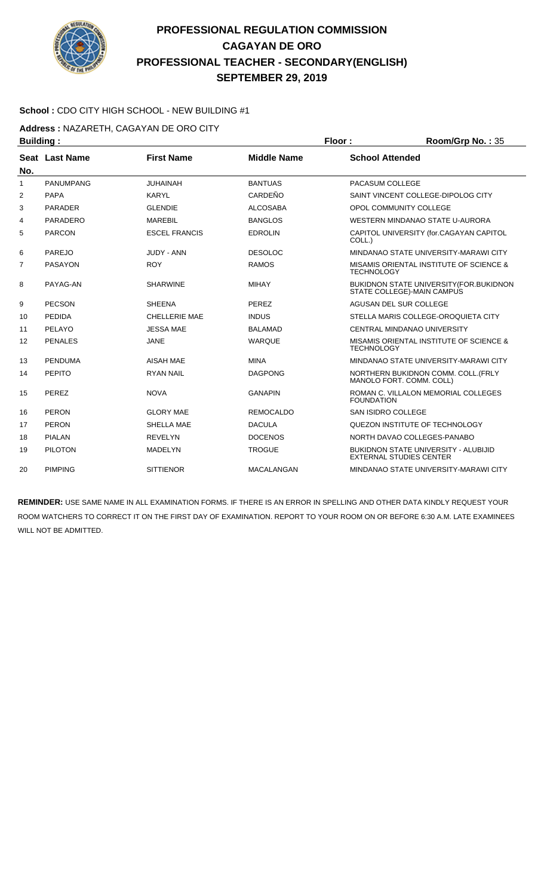

#### **School :** CDO CITY HIGH SCHOOL - NEW BUILDING #1

**Address :** NAZARETH, CAGAYAN DE ORO CITY

| <b>Building:</b><br>Floor: |                  | Room/Grp No.: 35     |                    |                           |                                                                               |
|----------------------------|------------------|----------------------|--------------------|---------------------------|-------------------------------------------------------------------------------|
|                            | Seat Last Name   | <b>First Name</b>    | <b>Middle Name</b> | <b>School Attended</b>    |                                                                               |
| No.                        |                  |                      |                    |                           |                                                                               |
| $\mathbf{1}$               | <b>PANUMPANG</b> | <b>JUHAINAH</b>      | <b>BANTUAS</b>     | PACASUM COLLEGE           |                                                                               |
| 2                          | <b>PAPA</b>      | <b>KARYL</b>         | CARDEÑO            |                           | SAINT VINCENT COLLEGE-DIPOLOG CITY                                            |
| 3                          | <b>PARADER</b>   | <b>GLENDIE</b>       | <b>ALCOSABA</b>    |                           | OPOL COMMUNITY COLLEGE                                                        |
| 4                          | <b>PARADERO</b>  | <b>MAREBIL</b>       | <b>BANGLOS</b>     |                           | WESTERN MINDANAO STATE U-AURORA                                               |
| 5                          | <b>PARCON</b>    | <b>ESCEL FRANCIS</b> | <b>EDROLIN</b>     | COLL.)                    | CAPITOL UNIVERSITY (for.CAGAYAN CAPITOL                                       |
| 6                          | <b>PAREJO</b>    | <b>JUDY - ANN</b>    | <b>DESOLOC</b>     |                           | MINDANAO STATE UNIVERSITY-MARAWI CITY                                         |
| 7                          | <b>PASAYON</b>   | <b>ROY</b>           | <b>RAMOS</b>       | <b>TECHNOLOGY</b>         | <b>MISAMIS ORIENTAL INSTITUTE OF SCIENCE &amp;</b>                            |
| 8                          | PAYAG-AN         | <b>SHARWINE</b>      | <b>MIHAY</b>       |                           | BUKIDNON STATE UNIVERSITY (FOR. BUKIDNON<br>STATE COLLEGE)-MAIN CAMPUS        |
| 9                          | <b>PECSON</b>    | <b>SHEENA</b>        | <b>PEREZ</b>       |                           | AGUSAN DEL SUR COLLEGE                                                        |
| 10                         | <b>PEDIDA</b>    | <b>CHELLERIE MAE</b> | <b>INDUS</b>       |                           | STELLA MARIS COLLEGE-OROQUIETA CITY                                           |
| 11                         | PELAYO           | <b>JESSA MAE</b>     | <b>BALAMAD</b>     |                           | CENTRAL MINDANAO UNIVERSITY                                                   |
| 12                         | <b>PENALES</b>   | <b>JANE</b>          | <b>WARQUE</b>      | <b>TECHNOLOGY</b>         | MISAMIS ORIENTAL INSTITUTE OF SCIENCE &                                       |
| 13                         | <b>PENDUMA</b>   | <b>AISAH MAE</b>     | <b>MINA</b>        |                           | MINDANAO STATE UNIVERSITY-MARAWI CITY                                         |
| 14                         | <b>PEPITO</b>    | <b>RYAN NAIL</b>     | <b>DAGPONG</b>     |                           | NORTHERN BUKIDNON COMM. COLL. (FRLY<br>MANOLO FORT, COMM, COLL)               |
| 15                         | PEREZ            | <b>NOVA</b>          | <b>GANAPIN</b>     | <b>FOUNDATION</b>         | ROMAN C. VILLALON MEMORIAL COLLEGES                                           |
| 16                         | <b>PERON</b>     | <b>GLORY MAE</b>     | <b>REMOCALDO</b>   | <b>SAN ISIDRO COLLEGE</b> |                                                                               |
| 17                         | <b>PERON</b>     | SHELLA MAE           | <b>DACULA</b>      |                           | QUEZON INSTITUTE OF TECHNOLOGY                                                |
| 18                         | <b>PIALAN</b>    | <b>REVELYN</b>       | <b>DOCENOS</b>     |                           | NORTH DAVAO COLLEGES-PANABO                                                   |
| 19                         | <b>PILOTON</b>   | <b>MADELYN</b>       | <b>TROGUE</b>      |                           | <b>BUKIDNON STATE UNIVERSITY - ALUBIJID</b><br><b>EXTERNAL STUDIES CENTER</b> |
| 20                         | <b>PIMPING</b>   | <b>SITTIENOR</b>     | <b>MACALANGAN</b>  |                           | MINDANAO STATE UNIVERSITY-MARAWI CITY                                         |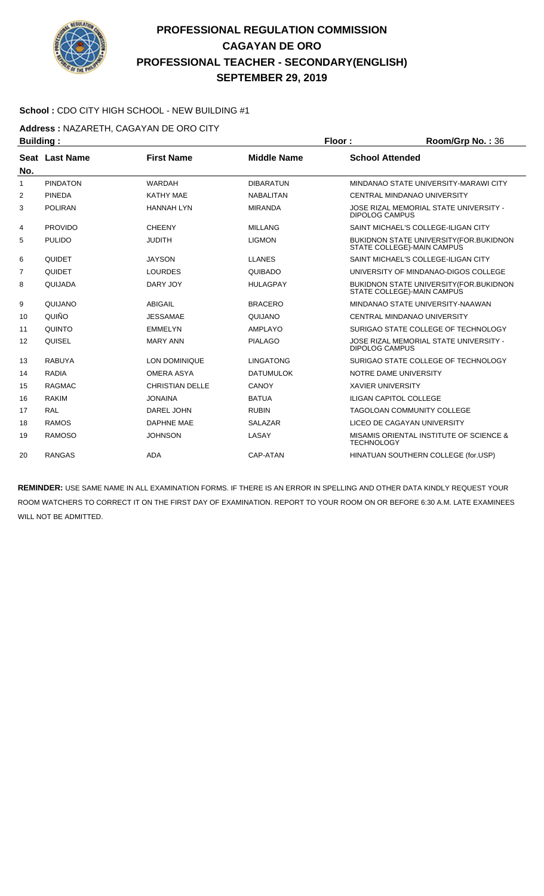

#### **School :** CDO CITY HIGH SCHOOL - NEW BUILDING #1

**Address :** NAZARETH, CAGAYAN DE ORO CITY

| <b>Building:</b> |                       |                        | Floor:             | Room/Grp No.: 36         |                                                                        |
|------------------|-----------------------|------------------------|--------------------|--------------------------|------------------------------------------------------------------------|
| No.              | <b>Seat Last Name</b> | <b>First Name</b>      | <b>Middle Name</b> | <b>School Attended</b>   |                                                                        |
| 1                | <b>PINDATON</b>       | <b>WARDAH</b>          | <b>DIBARATUN</b>   |                          | MINDANAO STATE UNIVERSITY-MARAWI CITY                                  |
| $\overline{2}$   | <b>PINEDA</b>         | <b>KATHY MAE</b>       | <b>NABALITAN</b>   |                          | CENTRAL MINDANAO UNIVERSITY                                            |
| 3                | <b>POLIRAN</b>        | <b>HANNAH LYN</b>      | <b>MIRANDA</b>     | <b>DIPOLOG CAMPUS</b>    | JOSE RIZAL MEMORIAL STATE UNIVERSITY -                                 |
| 4                | <b>PROVIDO</b>        | <b>CHEENY</b>          | <b>MILLANG</b>     |                          | SAINT MICHAEL'S COLLEGE-ILIGAN CITY                                    |
| 5                | <b>PULIDO</b>         | <b>JUDITH</b>          | <b>LIGMON</b>      |                          | BUKIDNON STATE UNIVERSITY (FOR. BUKIDNON<br>STATE COLLEGE)-MAIN CAMPUS |
| 6                | QUIDET                | <b>JAYSON</b>          | <b>LLANES</b>      |                          | SAINT MICHAEL'S COLLEGE-ILIGAN CITY                                    |
| 7                | QUIDET                | <b>LOURDES</b>         | <b>QUIBADO</b>     |                          | UNIVERSITY OF MINDANAO-DIGOS COLLEGE                                   |
| 8                | QUIJADA               | DARY JOY               | <b>HULAGPAY</b>    |                          | BUKIDNON STATE UNIVERSITY (FOR. BUKIDNON<br>STATE COLLEGE)-MAIN CAMPUS |
| 9                | QUIJANO               | <b>ABIGAIL</b>         | <b>BRACERO</b>     |                          | MINDANAO STATE UNIVERSITY-NAAWAN                                       |
| 10               | QUIÑO                 | <b>JESSAMAE</b>        | QUIJANO            |                          | CENTRAL MINDANAO UNIVERSITY                                            |
| 11               | QUINTO                | <b>EMMELYN</b>         | AMPLAYO            |                          | SURIGAO STATE COLLEGE OF TECHNOLOGY                                    |
| 12               | QUISEL                | <b>MARY ANN</b>        | <b>PIALAGO</b>     | <b>DIPOLOG CAMPUS</b>    | JOSE RIZAL MEMORIAL STATE UNIVERSITY -                                 |
| 13               | <b>RABUYA</b>         | LON DOMINIQUE          | <b>LINGATONG</b>   |                          | SURIGAO STATE COLLEGE OF TECHNOLOGY                                    |
| 14               | <b>RADIA</b>          | <b>OMERA ASYA</b>      | <b>DATUMULOK</b>   |                          | NOTRE DAME UNIVERSITY                                                  |
| 15               | <b>RAGMAC</b>         | <b>CHRISTIAN DELLE</b> | CANOY              | <b>XAVIER UNIVERSITY</b> |                                                                        |
| 16               | <b>RAKIM</b>          | <b>JONAINA</b>         | <b>BATUA</b>       |                          | <b>ILIGAN CAPITOL COLLEGE</b>                                          |
| 17               | <b>RAL</b>            | DAREL JOHN             | <b>RUBIN</b>       |                          | TAGOLOAN COMMUNITY COLLEGE                                             |
| 18               | <b>RAMOS</b>          | <b>DAPHNE MAE</b>      | <b>SALAZAR</b>     |                          | LICEO DE CAGAYAN UNIVERSITY                                            |
| 19               | <b>RAMOSO</b>         | <b>JOHNSON</b>         | LASAY              | <b>TECHNOLOGY</b>        | MISAMIS ORIENTAL INSTITUTE OF SCIENCE &                                |
| 20               | <b>RANGAS</b>         | <b>ADA</b>             | CAP-ATAN           |                          | HINATUAN SOUTHERN COLLEGE (for.USP)                                    |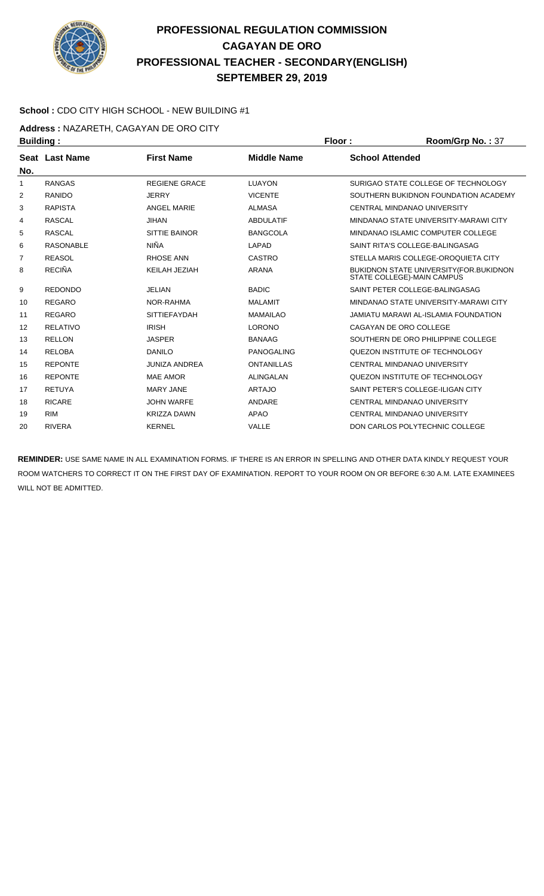

#### **School :** CDO CITY HIGH SCHOOL - NEW BUILDING #1

**Address :** NAZARETH, CAGAYAN DE ORO CITY

| <b>Building:</b> |                  |                      |                    |  | Room/Grp No.: 37                                                      |
|------------------|------------------|----------------------|--------------------|--|-----------------------------------------------------------------------|
| No.              | Seat Last Name   | <b>First Name</b>    | <b>Middle Name</b> |  | <b>School Attended</b>                                                |
| 1                | <b>RANGAS</b>    | <b>REGIENE GRACE</b> | LUAYON             |  | SURIGAO STATE COLLEGE OF TECHNOLOGY                                   |
| 2                | RANIDO           | <b>JERRY</b>         | <b>VICENTE</b>     |  | SOUTHERN BUKIDNON FOUNDATION ACADEMY                                  |
| 3                | <b>RAPISTA</b>   | <b>ANGEL MARIE</b>   | <b>ALMASA</b>      |  | <b>CENTRAL MINDANAO UNIVERSITY</b>                                    |
| 4                | <b>RASCAL</b>    | <b>JIHAN</b>         | <b>ABDULATIF</b>   |  | MINDANAO STATE UNIVERSITY-MARAWI CITY                                 |
| 5                | <b>RASCAL</b>    | <b>SITTIE BAINOR</b> | <b>BANGCOLA</b>    |  | MINDANAO ISLAMIC COMPUTER COLLEGE                                     |
| 6                | <b>RASONABLE</b> | <b>NIÑA</b>          | LAPAD              |  | SAINT RITA'S COLLEGE-BALINGASAG                                       |
| 7                | <b>REASOL</b>    | <b>RHOSE ANN</b>     | CASTRO             |  | STELLA MARIS COLLEGE-OROQUIETA CITY                                   |
| 8                | <b>RECIÑA</b>    | KEILAH JEZIAH        | <b>ARANA</b>       |  | BUKIDNON STATE UNIVERSITY (FOR.BUKIDNON<br>STATE COLLEGE)-MAIN CAMPUS |
| 9                | <b>REDONDO</b>   | <b>JELIAN</b>        | <b>BADIC</b>       |  | SAINT PETER COLLEGE-BALINGASAG                                        |
| 10               | <b>REGARO</b>    | NOR-RAHMA            | <b>MALAMIT</b>     |  | MINDANAO STATE UNIVERSITY-MARAWI CITY                                 |
| 11               | <b>REGARO</b>    | <b>SITTIEFAYDAH</b>  | <b>MAMAILAO</b>    |  | JAMIATU MARAWI AL-ISLAMIA FOUNDATION                                  |
| 12               | <b>RELATIVO</b>  | <b>IRISH</b>         | <b>LORONO</b>      |  | CAGAYAN DE ORO COLLEGE                                                |
| 13               | <b>RELLON</b>    | <b>JASPER</b>        | <b>BANAAG</b>      |  | SOUTHERN DE ORO PHILIPPINE COLLEGE                                    |
| 14               | <b>RELOBA</b>    | <b>DANILO</b>        | PANOGALING         |  | QUEZON INSTITUTE OF TECHNOLOGY                                        |
| 15               | <b>REPONTE</b>   | <b>JUNIZA ANDREA</b> | <b>ONTANILLAS</b>  |  | <b>CENTRAL MINDANAO UNIVERSITY</b>                                    |
| 16               | <b>REPONTE</b>   | <b>MAE AMOR</b>      | <b>ALINGALAN</b>   |  | QUEZON INSTITUTE OF TECHNOLOGY                                        |
| 17               | <b>RETUYA</b>    | <b>MARY JANE</b>     | <b>ARTAJO</b>      |  | SAINT PETER'S COLLEGE-ILIGAN CITY                                     |
| 18               | <b>RICARE</b>    | <b>JOHN WARFE</b>    | ANDARE             |  | CENTRAL MINDANAO UNIVERSITY                                           |
| 19               | <b>RIM</b>       | <b>KRIZZA DAWN</b>   | <b>APAO</b>        |  | <b>CENTRAL MINDANAO UNIVERSITY</b>                                    |
| 20               | <b>RIVERA</b>    | <b>KERNEL</b>        | VALLE              |  | DON CARLOS POLYTECHNIC COLLEGE                                        |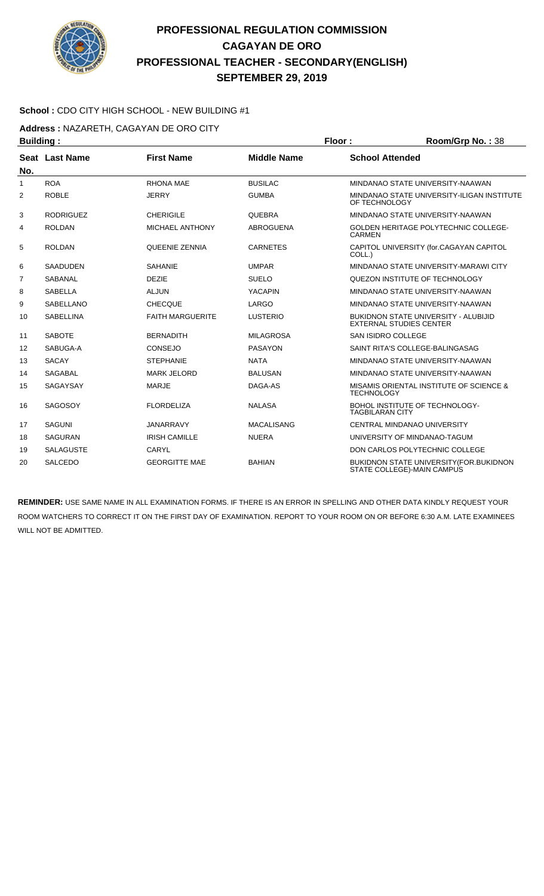

#### **School :** CDO CITY HIGH SCHOOL - NEW BUILDING #1

**Address :** NAZARETH, CAGAYAN DE ORO CITY

| <b>Building:</b> |                  |                         |                    | Floor:                 | Room/Grp No.: 38                                                              |
|------------------|------------------|-------------------------|--------------------|------------------------|-------------------------------------------------------------------------------|
|                  | Seat Last Name   | <b>First Name</b>       | <b>Middle Name</b> | <b>School Attended</b> |                                                                               |
| No.              |                  |                         |                    |                        |                                                                               |
| $\mathbf{1}$     | <b>ROA</b>       | <b>RHONA MAE</b>        | <b>BUSILAC</b>     |                        | MINDANAO STATE UNIVERSITY-NAAWAN                                              |
| 2                | <b>ROBLE</b>     | <b>JERRY</b>            | <b>GUMBA</b>       | OF TECHNOLOGY          | MINDANAO STATE UNIVERSITY-ILIGAN INSTITUTE                                    |
| 3                | <b>RODRIGUEZ</b> | <b>CHERIGILE</b>        | <b>QUEBRA</b>      |                        | MINDANAO STATE UNIVERSITY-NAAWAN                                              |
| 4                | <b>ROLDAN</b>    | <b>MICHAEL ANTHONY</b>  | <b>ABROGUENA</b>   | <b>CARMEN</b>          | <b>GOLDEN HERITAGE POLYTECHNIC COLLEGE-</b>                                   |
| 5                | <b>ROLDAN</b>    | <b>QUEENIE ZENNIA</b>   | <b>CARNETES</b>    | COLL.)                 | CAPITOL UNIVERSITY (for.CAGAYAN CAPITOL                                       |
| 6                | <b>SAADUDEN</b>  | <b>SAHANIE</b>          | <b>UMPAR</b>       |                        | MINDANAO STATE UNIVERSITY-MARAWI CITY                                         |
| $\overline{7}$   | SABANAL          | <b>DEZIE</b>            | <b>SUELO</b>       |                        | QUEZON INSTITUTE OF TECHNOLOGY                                                |
| 8                | <b>SABELLA</b>   | <b>ALJUN</b>            | <b>YACAPIN</b>     |                        | MINDANAO STATE UNIVERSITY-NAAWAN                                              |
| 9                | <b>SABELLANO</b> | <b>CHECQUE</b>          | LARGO              |                        | MINDANAO STATE UNIVERSITY-NAAWAN                                              |
| 10               | <b>SABELLINA</b> | <b>FAITH MARGUERITE</b> | <b>LUSTERIO</b>    |                        | <b>BUKIDNON STATE UNIVERSITY - ALUBIJID</b><br><b>EXTERNAL STUDIES CENTER</b> |
| 11               | <b>SABOTE</b>    | <b>BERNADITH</b>        | <b>MILAGROSA</b>   |                        | <b>SAN ISIDRO COLLEGE</b>                                                     |
| 12               | SABUGA-A         | <b>CONSEJO</b>          | <b>PASAYON</b>     |                        | SAINT RITA'S COLLEGE-BALINGASAG                                               |
| 13               | <b>SACAY</b>     | <b>STEPHANIE</b>        | <b>NATA</b>        |                        | MINDANAO STATE UNIVERSITY-NAAWAN                                              |
| 14               | <b>SAGABAL</b>   | <b>MARK JELORD</b>      | <b>BALUSAN</b>     |                        | MINDANAO STATE UNIVERSITY-NAAWAN                                              |
| 15               | <b>SAGAYSAY</b>  | <b>MARJE</b>            | DAGA-AS            | <b>TECHNOLOGY</b>      | MISAMIS ORIENTAL INSTITUTE OF SCIENCE &                                       |
| 16               | <b>SAGOSOY</b>   | <b>FLORDELIZA</b>       | <b>NALASA</b>      | <b>TAGBILARAN CITY</b> | BOHOL INSTITUTE OF TECHNOLOGY-                                                |
| 17               | <b>SAGUNI</b>    | <b>JANARRAVY</b>        | <b>MACALISANG</b>  |                        | CENTRAL MINDANAO UNIVERSITY                                                   |
| 18               | <b>SAGURAN</b>   | <b>IRISH CAMILLE</b>    | <b>NUERA</b>       |                        | UNIVERSITY OF MINDANAO-TAGUM                                                  |
| 19               | <b>SALAGUSTE</b> | <b>CARYL</b>            |                    |                        | DON CARLOS POLYTECHNIC COLLEGE                                                |
| 20               | <b>SALCEDO</b>   | <b>GEORGITTE MAE</b>    | <b>BAHIAN</b>      |                        | <b>BUKIDNON STATE UNIVERSITY (FOR. BUKIDNON</b><br>STATE COLLEGE)-MAIN CAMPUS |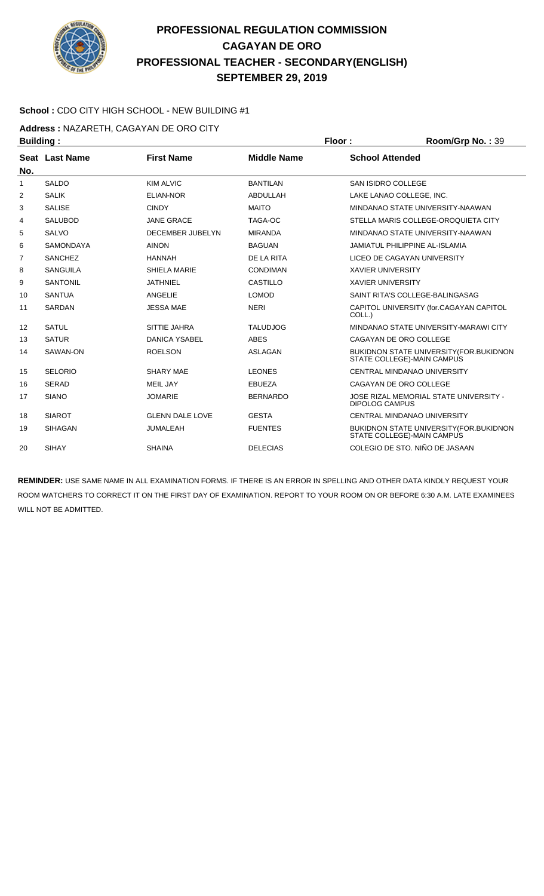

#### **School :** CDO CITY HIGH SCHOOL - NEW BUILDING #1

**Address :** NAZARETH, CAGAYAN DE ORO CITY

| <b>Building:</b> |                  |                         |                    | Floor:                   | Room/Grp No.: 39                                                       |
|------------------|------------------|-------------------------|--------------------|--------------------------|------------------------------------------------------------------------|
|                  | Seat Last Name   | <b>First Name</b>       | <b>Middle Name</b> | <b>School Attended</b>   |                                                                        |
| No.              |                  |                         |                    |                          |                                                                        |
| 1                | <b>SALDO</b>     | <b>KIM ALVIC</b>        | <b>BANTILAN</b>    | SAN ISIDRO COLLEGE       |                                                                        |
| 2                | <b>SALIK</b>     | <b>ELIAN-NOR</b>        | ABDULLAH           |                          | LAKE LANAO COLLEGE, INC.                                               |
| 3                | <b>SALISE</b>    | <b>CINDY</b>            | <b>MAITO</b>       |                          | MINDANAO STATE UNIVERSITY-NAAWAN                                       |
| 4                | <b>SALUBOD</b>   | <b>JANE GRACE</b>       | TAGA-OC            |                          | STELLA MARIS COLLEGE-OROQUIETA CITY                                    |
| 5                | <b>SALVO</b>     | <b>DECEMBER JUBELYN</b> | <b>MIRANDA</b>     |                          | MINDANAO STATE UNIVERSITY-NAAWAN                                       |
| 6                | <b>SAMONDAYA</b> | <b>AINON</b>            | <b>BAGUAN</b>      |                          | <b>JAMIATUL PHILIPPINE AL-ISLAMIA</b>                                  |
| 7                | <b>SANCHEZ</b>   | <b>HANNAH</b>           | DE LA RITA         |                          | LICEO DE CAGAYAN UNIVERSITY                                            |
| 8                | <b>SANGUILA</b>  | SHIELA MARIE            | <b>CONDIMAN</b>    | <b>XAVIER UNIVERSITY</b> |                                                                        |
| 9                | <b>SANTONIL</b>  | <b>JATHNIEL</b>         | CASTILLO           | <b>XAVIER UNIVERSITY</b> |                                                                        |
| 10               | <b>SANTUA</b>    | <b>ANGELIE</b>          | <b>LOMOD</b>       |                          | SAINT RITA'S COLLEGE-BALINGASAG                                        |
| 11               | <b>SARDAN</b>    | <b>JESSA MAE</b>        | <b>NERI</b>        | COLL.)                   | CAPITOL UNIVERSITY (for.CAGAYAN CAPITOL                                |
| 12               | <b>SATUL</b>     | SITTIE JAHRA            | <b>TALUDJOG</b>    |                          | MINDANAO STATE UNIVERSITY-MARAWI CITY                                  |
| 13               | <b>SATUR</b>     | <b>DANICA YSABEL</b>    | <b>ABES</b>        |                          | CAGAYAN DE ORO COLLEGE                                                 |
| 14               | SAWAN-ON         | <b>ROELSON</b>          | <b>ASLAGAN</b>     |                          | BUKIDNON STATE UNIVERSITY (FOR. BUKIDNON<br>STATE COLLEGE)-MAIN CAMPUS |
| 15               | <b>SELORIO</b>   | <b>SHARY MAE</b>        | <b>LEONES</b>      |                          | CENTRAL MINDANAO UNIVERSITY                                            |
| 16               | <b>SERAD</b>     | <b>MEIL JAY</b>         | <b>EBUEZA</b>      |                          | CAGAYAN DE ORO COLLEGE                                                 |
| 17               | <b>SIANO</b>     | <b>JOMARIE</b>          | <b>BERNARDO</b>    | <b>DIPOLOG CAMPUS</b>    | JOSE RIZAL MEMORIAL STATE UNIVERSITY -                                 |
| 18               | <b>SIAROT</b>    | <b>GLENN DALE LOVE</b>  | <b>GESTA</b>       |                          | CENTRAL MINDANAO UNIVERSITY                                            |
| 19               | <b>SIHAGAN</b>   | JUMALEAH                | <b>FUENTES</b>     |                          | BUKIDNON STATE UNIVERSITY (FOR.BUKIDNON<br>STATE COLLEGE)-MAIN CAMPUS  |
| 20               | <b>SIHAY</b>     | <b>SHAINA</b>           | <b>DELECIAS</b>    |                          | COLEGIO DE STO. NIÑO DE JASAAN                                         |
|                  |                  |                         |                    |                          |                                                                        |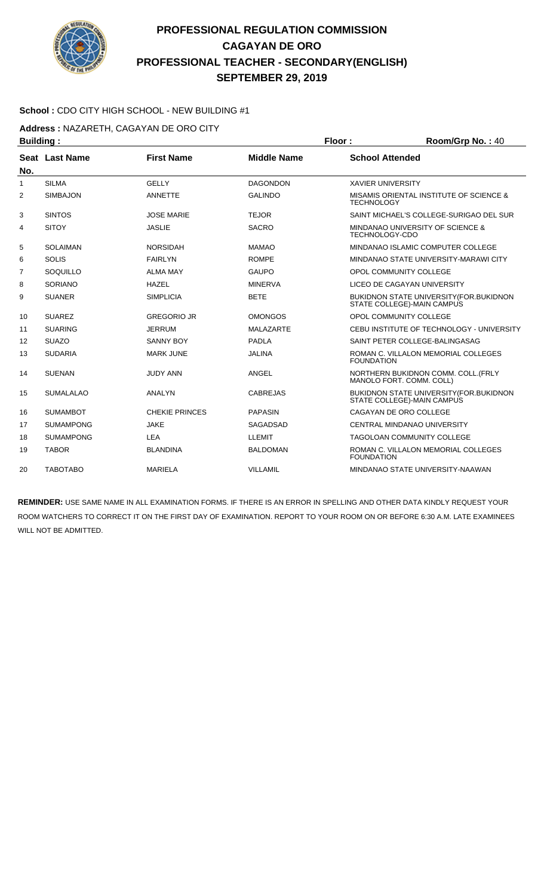

#### **School :** CDO CITY HIGH SCHOOL - NEW BUILDING #1

**Address :** NAZARETH, CAGAYAN DE ORO CITY

| <b>Building:</b> |                  |                       |                    | Floor:                   | Room/Grp No.: 40                                                               |
|------------------|------------------|-----------------------|--------------------|--------------------------|--------------------------------------------------------------------------------|
|                  | Seat Last Name   | <b>First Name</b>     | <b>Middle Name</b> | <b>School Attended</b>   |                                                                                |
| No.              |                  |                       |                    |                          |                                                                                |
| $\mathbf{1}$     | <b>SILMA</b>     | <b>GELLY</b>          | <b>DAGONDON</b>    | <b>XAVIER UNIVERSITY</b> |                                                                                |
| 2                | <b>SIMBAJON</b>  | ANNETTE               | <b>GALINDO</b>     | <b>TECHNOLOGY</b>        | MISAMIS ORIENTAL INSTITUTE OF SCIENCE &                                        |
| 3                | <b>SINTOS</b>    | JOSE MARIE            | <b>TEJOR</b>       |                          | SAINT MICHAEL'S COLLEGE-SURIGAO DEL SUR                                        |
| 4                | <b>SITOY</b>     | <b>JASLIE</b>         | <b>SACRO</b>       | TECHNOLOGY-CDO           | MINDANAO UNIVERSITY OF SCIENCE &                                               |
| 5                | <b>SOLAIMAN</b>  | <b>NORSIDAH</b>       | <b>MAMAO</b>       |                          | MINDANAO ISLAMIC COMPUTER COLLEGE                                              |
| 6                | <b>SOLIS</b>     | <b>FAIRLYN</b>        | <b>ROMPE</b>       |                          | MINDANAO STATE UNIVERSITY-MARAWI CITY                                          |
| $\overline{7}$   | SOQUILLO         | <b>ALMA MAY</b>       | <b>GAUPO</b>       |                          | OPOL COMMUNITY COLLEGE                                                         |
| 8                | SORIANO          | <b>HAZEL</b>          | <b>MINERVA</b>     |                          | LICEO DE CAGAYAN UNIVERSITY                                                    |
| 9                | <b>SUANER</b>    | <b>SIMPLICIA</b>      | <b>BETE</b>        |                          | <b>BUKIDNON STATE UNIVERSITY (FOR. BUKIDNON)</b><br>STATE COLLEGE)-MAIN CAMPUS |
| 10               | <b>SUAREZ</b>    | <b>GREGORIO JR</b>    | <b>OMONGOS</b>     |                          | OPOL COMMUNITY COLLEGE                                                         |
| 11               | <b>SUARING</b>   | <b>JERRUM</b>         | <b>MALAZARTE</b>   |                          | CEBU INSTITUTE OF TECHNOLOGY - UNIVERSITY                                      |
| 12               | <b>SUAZO</b>     | <b>SANNY BOY</b>      | <b>PADLA</b>       |                          | SAINT PETER COLLEGE-BALINGASAG                                                 |
| 13               | <b>SUDARIA</b>   | <b>MARK JUNE</b>      | <b>JALINA</b>      | <b>FOUNDATION</b>        | ROMAN C. VILLALON MEMORIAL COLLEGES                                            |
| 14               | <b>SUENAN</b>    | <b>JUDY ANN</b>       | <b>ANGEL</b>       |                          | NORTHERN BUKIDNON COMM. COLL. (FRLY<br>MANOLO FORT. COMM. COLL)                |
| 15               | <b>SUMALALAO</b> | ANALYN                | <b>CABREJAS</b>    |                          | <b>BUKIDNON STATE UNIVERSITY (FOR. BUKIDNON)</b><br>STATE COLLEGE)-MAIN CAMPUS |
| 16               | <b>SUMAMBOT</b>  | <b>CHEKIE PRINCES</b> | <b>PAPASIN</b>     |                          | CAGAYAN DE ORO COLLEGE                                                         |
| 17               | <b>SUMAMPONG</b> | <b>JAKE</b>           | <b>SAGADSAD</b>    |                          | CENTRAL MINDANAO UNIVERSITY                                                    |
| 18               | <b>SUMAMPONG</b> | <b>LEA</b>            | <b>LLEMIT</b>      |                          | <b>TAGOLOAN COMMUNITY COLLEGE</b>                                              |
| 19               | <b>TABOR</b>     | <b>BLANDINA</b>       | <b>BALDOMAN</b>    | <b>FOUNDATION</b>        | ROMAN C. VILLALON MEMORIAL COLLEGES                                            |
| 20               | <b>TABOTABO</b>  | <b>MARIELA</b>        | <b>VILLAMIL</b>    |                          | MINDANAO STATE UNIVERSITY-NAAWAN                                               |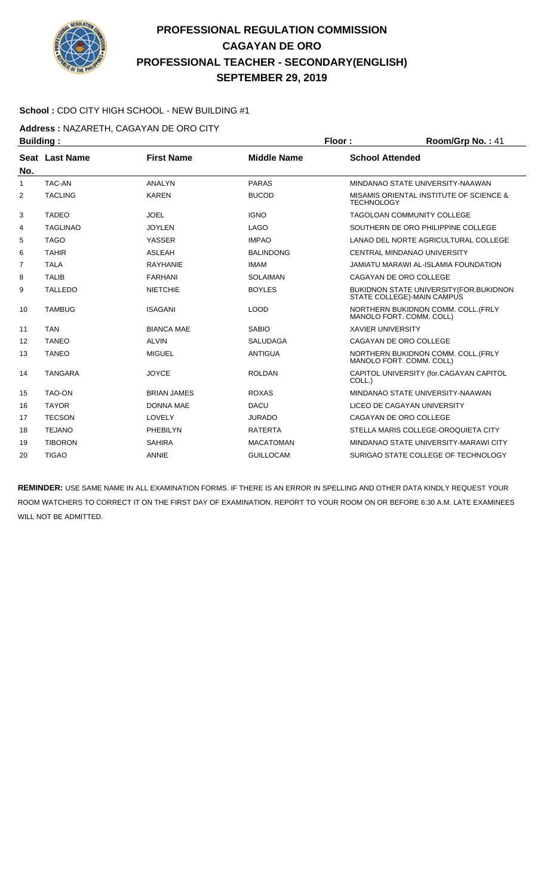

#### **School :** CDO CITY HIGH SCHOOL - NEW BUILDING #1

**Address :** NAZARETH, CAGAYAN DE ORO CITY

| <b>Building:</b> |                 |                    |                    | Floor:                             | Room/Grp No.: 41                               |
|------------------|-----------------|--------------------|--------------------|------------------------------------|------------------------------------------------|
| No.              | Seat Last Name  | <b>First Name</b>  | <b>Middle Name</b> | <b>School Attended</b>             |                                                |
| 1                | <b>TAC-AN</b>   | <b>ANALYN</b>      | <b>PARAS</b>       | MINDANAO STATE UNIVERSITY-NAAWAN   |                                                |
| 2                | <b>TACLING</b>  | <b>KAREN</b>       | <b>BUCOD</b>       | <b>TECHNOLOGY</b>                  | MISAMIS ORIENTAL INSTITUTE OF SCIENCE &        |
| 3                | <b>TADEO</b>    | <b>JOEL</b>        | <b>IGNO</b>        | <b>TAGOLOAN COMMUNITY COLLEGE</b>  |                                                |
| 4                | <b>TAGLINAO</b> | <b>JOYLEN</b>      | <b>LAGO</b>        |                                    | SOUTHERN DE ORO PHILIPPINE COLLEGE             |
| 5                | <b>TAGO</b>     | <b>YASSER</b>      | <b>IMPAO</b>       |                                    | LANAO DEL NORTE AGRICULTURAL COLLEGE           |
| 6                | <b>TAHIR</b>    | <b>ASLEAH</b>      | <b>BALINDONG</b>   | <b>CENTRAL MINDANAO UNIVERSITY</b> |                                                |
| 7                | <b>TALA</b>     | <b>RAYHANIE</b>    | <b>IMAM</b>        |                                    | JAMIATU MARAWI AL-ISLAMIA FOUNDATION           |
| 8                | <b>TALIB</b>    | <b>FARHANI</b>     | <b>SOLAIMAN</b>    | CAGAYAN DE ORO COLLEGE             |                                                |
| 9                | <b>TALLEDO</b>  | <b>NIETCHIE</b>    | <b>BOYLES</b>      | STATE COLLEGE)-MAIN CAMPUS         | <b>BUKIDNON STATE UNIVERSITY (FOR.BUKIDNON</b> |
| 10               | <b>TAMBUG</b>   | <b>ISAGANI</b>     | <b>LOOD</b>        | MANOLO FORT. COMM. COLL)           | NORTHERN BUKIDNON COMM. COLL.(FRLY             |
| 11               | <b>TAN</b>      | <b>BIANCA MAE</b>  | <b>SABIO</b>       | <b>XAVIER UNIVERSITY</b>           |                                                |
| 12               | <b>TANEO</b>    | <b>ALVIN</b>       | <b>SALUDAGA</b>    | CAGAYAN DE ORO COLLEGE             |                                                |
| 13               | <b>TANEO</b>    | <b>MIGUEL</b>      | <b>ANTIGUA</b>     | MANOLO FORT. COMM. COLL)           | NORTHERN BUKIDNON COMM. COLL. (FRLY            |
| 14               | <b>TANGARA</b>  | <b>JOYCE</b>       | <b>ROLDAN</b>      | COLL.)                             | CAPITOL UNIVERSITY (for.CAGAYAN CAPITOL        |
| 15               | <b>TAO-ON</b>   | <b>BRIAN JAMES</b> | <b>ROXAS</b>       | MINDANAO STATE UNIVERSITY-NAAWAN   |                                                |
| 16               | <b>TAYOR</b>    | <b>DONNA MAE</b>   | <b>DACU</b>        | LICEO DE CAGAYAN UNIVERSITY        |                                                |
| 17               | <b>TECSON</b>   | LOVELY             | <b>JURADO</b>      | CAGAYAN DE ORO COLLEGE             |                                                |
| 18               | <b>TEJANO</b>   | PHEBILYN           | <b>RATERTA</b>     |                                    | STELLA MARIS COLLEGE-OROQUIETA CITY            |
| 19               | <b>TIBORON</b>  | <b>SAHIRA</b>      | <b>MACATOMAN</b>   |                                    | MINDANAO STATE UNIVERSITY-MARAWI CITY          |
| 20               | <b>TIGAO</b>    | <b>ANNIE</b>       | <b>GUILLOCAM</b>   |                                    | SURIGAO STATE COLLEGE OF TECHNOLOGY            |
|                  |                 |                    |                    |                                    |                                                |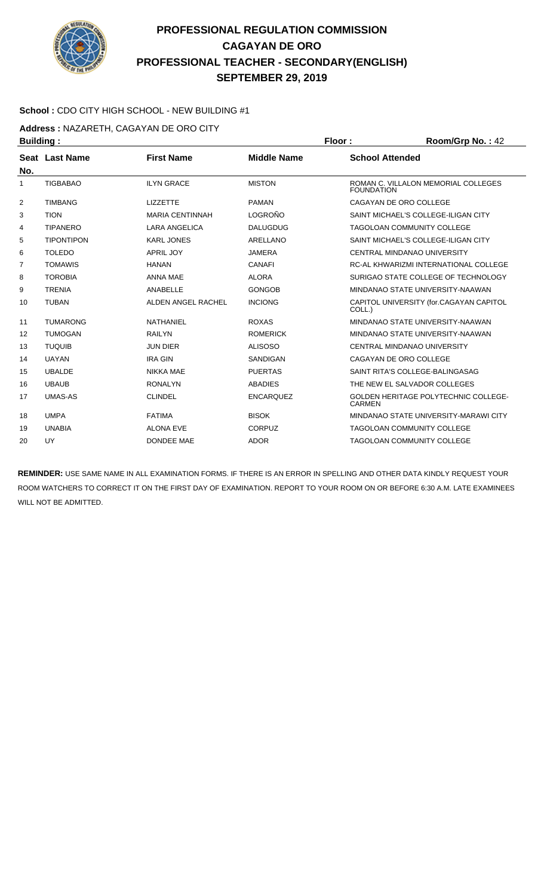

#### **School :** CDO CITY HIGH SCHOOL - NEW BUILDING #1

**Address :** NAZARETH, CAGAYAN DE ORO CITY

| <b>Building:</b> |                   |                        |                    | Floor:                 | Room/Grp No.: 42                            |
|------------------|-------------------|------------------------|--------------------|------------------------|---------------------------------------------|
|                  | Seat Last Name    | <b>First Name</b>      | <b>Middle Name</b> | <b>School Attended</b> |                                             |
| No.              |                   |                        |                    |                        |                                             |
| 1                | <b>TIGBABAO</b>   | <b>ILYN GRACE</b>      | <b>MISTON</b>      | <b>FOUNDATION</b>      | ROMAN C. VILLALON MEMORIAL COLLEGES         |
| 2                | <b>TIMBANG</b>    | <b>LIZZETTE</b>        | <b>PAMAN</b>       |                        | CAGAYAN DE ORO COLLEGE                      |
| 3                | <b>TION</b>       | <b>MARIA CENTINNAH</b> | LOGROÑO            |                        | SAINT MICHAEL'S COLLEGE-ILIGAN CITY         |
| 4                | <b>TIPANERO</b>   | <b>LARA ANGELICA</b>   | <b>DALUGDUG</b>    |                        | TAGOLOAN COMMUNITY COLLEGE                  |
| 5                | <b>TIPONTIPON</b> | <b>KARL JONES</b>      | ARELLANO           |                        | SAINT MICHAEL'S COLLEGE-ILIGAN CITY         |
| 6                | <b>TOLEDO</b>     | <b>APRIL JOY</b>       | <b>JAMERA</b>      |                        | CENTRAL MINDANAO UNIVERSITY                 |
| $\overline{7}$   | <b>TOMAWIS</b>    | <b>HANAN</b>           | <b>CANAFI</b>      |                        | RC-AL KHWARIZMI INTERNATIONAL COLLEGE       |
| 8                | <b>TOROBIA</b>    | <b>ANNA MAE</b>        | <b>ALORA</b>       |                        | SURIGAO STATE COLLEGE OF TECHNOLOGY         |
| 9                | <b>TRENIA</b>     | ANABELLE               | <b>GONGOB</b>      |                        | MINDANAO STATE UNIVERSITY-NAAWAN            |
| 10               | <b>TUBAN</b>      | ALDEN ANGEL RACHEL     | <b>INCIONG</b>     | COLL.)                 | CAPITOL UNIVERSITY (for.CAGAYAN CAPITOL     |
| 11               | <b>TUMARONG</b>   | NATHANIEL              | <b>ROXAS</b>       |                        | MINDANAO STATE UNIVERSITY-NAAWAN            |
| 12               | <b>TUMOGAN</b>    | <b>RAILYN</b>          | <b>ROMERICK</b>    |                        | MINDANAO STATE UNIVERSITY-NAAWAN            |
| 13               | <b>TUQUIB</b>     | <b>JUN DIER</b>        | <b>ALISOSO</b>     |                        | CENTRAL MINDANAO UNIVERSITY                 |
| 14               | <b>UAYAN</b>      | <b>IRA GIN</b>         | <b>SANDIGAN</b>    |                        | CAGAYAN DE ORO COLLEGE                      |
| 15               | <b>UBALDE</b>     | <b>NIKKA MAE</b>       | <b>PUERTAS</b>     |                        | SAINT RITA'S COLLEGE-BALINGASAG             |
| 16               | <b>UBAUB</b>      | <b>RONALYN</b>         | <b>ABADIES</b>     |                        | THE NEW EL SALVADOR COLLEGES                |
| 17               | <b>UMAS-AS</b>    | <b>CLINDEL</b>         | <b>ENCARQUEZ</b>   | <b>CARMEN</b>          | <b>GOLDEN HERITAGE POLYTECHNIC COLLEGE-</b> |
| 18               | <b>UMPA</b>       | <b>FATIMA</b>          | <b>BISOK</b>       |                        | MINDANAO STATE UNIVERSITY-MARAWI CITY       |
| 19               | <b>UNABIA</b>     | <b>ALONA EVE</b>       | <b>CORPUZ</b>      |                        | <b>TAGOLOAN COMMUNITY COLLEGE</b>           |
| 20               | UY                | <b>DONDEE MAE</b>      | <b>ADOR</b>        |                        | <b>TAGOLOAN COMMUNITY COLLEGE</b>           |
|                  |                   |                        |                    |                        |                                             |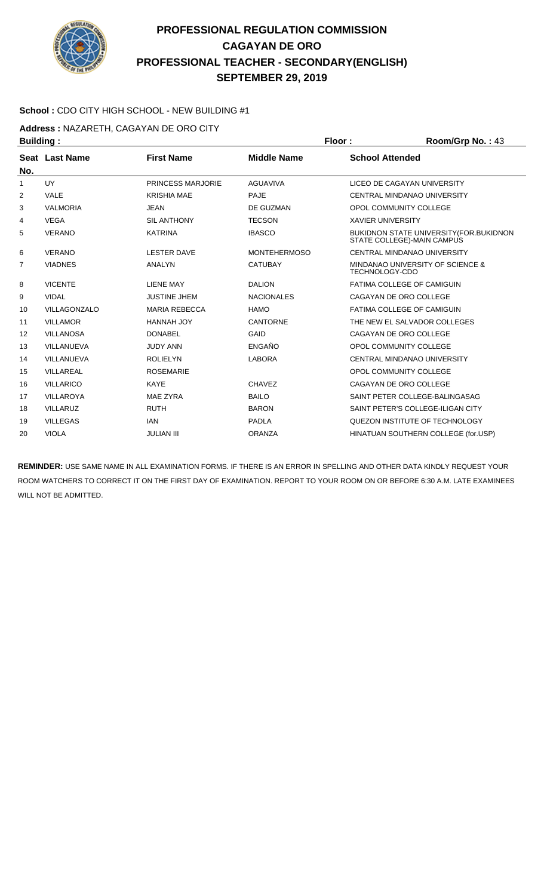

#### **School :** CDO CITY HIGH SCHOOL - NEW BUILDING #1

**Address :** NAZARETH, CAGAYAN DE ORO CITY

| <b>Building:</b>  |                  |                      |                     | Floor:                   | Room/Grp No.: 43                                                              |
|-------------------|------------------|----------------------|---------------------|--------------------------|-------------------------------------------------------------------------------|
| No.               | Seat Last Name   | <b>First Name</b>    | <b>Middle Name</b>  | <b>School Attended</b>   |                                                                               |
| 1                 | <b>UY</b>        | PRINCESS MARJORIE    | <b>AGUAVIVA</b>     |                          | LICEO DE CAGAYAN UNIVERSITY                                                   |
| 2                 | <b>VALE</b>      | <b>KRISHIA MAE</b>   | <b>PAJE</b>         |                          | CENTRAL MINDANAO UNIVERSITY                                                   |
| 3                 | <b>VALMORIA</b>  | <b>JEAN</b>          | DE GUZMAN           | OPOL COMMUNITY COLLEGE   |                                                                               |
| 4                 | <b>VEGA</b>      | <b>SIL ANTHONY</b>   | <b>TECSON</b>       | <b>XAVIER UNIVERSITY</b> |                                                                               |
| 5                 | <b>VERANO</b>    | <b>KATRINA</b>       | <b>IBASCO</b>       |                          | <b>BUKIDNON STATE UNIVERSITY (FOR. BUKIDNON</b><br>STATE COLLEGE)-MAIN CAMPUS |
| 6                 | <b>VERANO</b>    | <b>LESTER DAVE</b>   | <b>MONTEHERMOSO</b> |                          | CENTRAL MINDANAO UNIVERSITY                                                   |
| $\overline{7}$    | <b>VIADNES</b>   | ANALYN               | <b>CATUBAY</b>      | TECHNOLOGY-CDO           | MINDANAO UNIVERSITY OF SCIENCE &                                              |
| 8                 | <b>VICENTE</b>   | <b>LIENE MAY</b>     | <b>DALION</b>       |                          | FATIMA COLLEGE OF CAMIGUIN                                                    |
| 9                 | <b>VIDAL</b>     | <b>JUSTINE JHEM</b>  | <b>NACIONALES</b>   | CAGAYAN DE ORO COLLEGE   |                                                                               |
| 10                | VILLAGONZALO     | <b>MARIA REBECCA</b> | <b>HAMO</b>         |                          | FATIMA COLLEGE OF CAMIGUIN                                                    |
| 11                | <b>VILLAMOR</b>  | HANNAH JOY           | <b>CANTORNE</b>     |                          | THE NEW EL SALVADOR COLLEGES                                                  |
| $12 \overline{ }$ | <b>VILLANOSA</b> | <b>DONABEL</b>       | GAID                | CAGAYAN DE ORO COLLEGE   |                                                                               |
| 13                | VILLANUEVA       | <b>JUDY ANN</b>      | ENGAÑO              | OPOL COMMUNITY COLLEGE   |                                                                               |
| 14                | VILLANUEVA       | <b>ROLIELYN</b>      | <b>LABORA</b>       |                          | CENTRAL MINDANAO UNIVERSITY                                                   |
| 15                | <b>VILLAREAL</b> | <b>ROSEMARIE</b>     |                     | OPOL COMMUNITY COLLEGE   |                                                                               |
| 16                | <b>VILLARICO</b> | <b>KAYE</b>          | <b>CHAVEZ</b>       | CAGAYAN DE ORO COLLEGE   |                                                                               |
| 17                | <b>VILLAROYA</b> | <b>MAE ZYRA</b>      | <b>BAILO</b>        |                          | SAINT PETER COLLEGE-BALINGASAG                                                |
| 18                | <b>VILLARUZ</b>  | <b>RUTH</b>          | <b>BARON</b>        |                          | SAINT PETER'S COLLEGE-ILIGAN CITY                                             |
| 19                | <b>VILLEGAS</b>  | <b>IAN</b>           | PADLA               |                          | QUEZON INSTITUTE OF TECHNOLOGY                                                |
| 20                | <b>VIOLA</b>     | <b>JULIAN III</b>    | <b>ORANZA</b>       |                          | HINATUAN SOUTHERN COLLEGE (for.USP)                                           |
|                   |                  |                      |                     |                          |                                                                               |